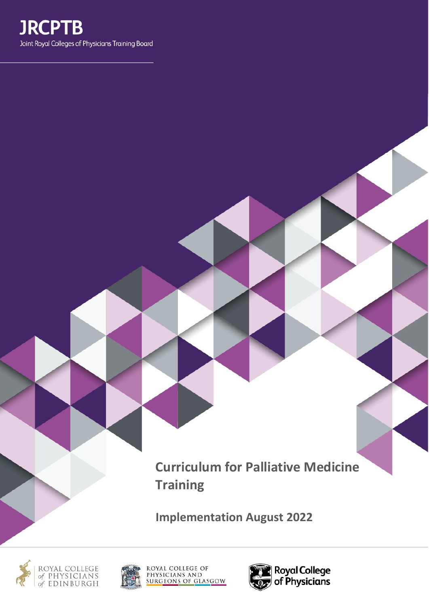

**Curriculum for Palliative Medicine Training**

**Implementation August 2022**





ROYAL COLLEGE OF<br>PHYSICIANS AND<br>SURGEONS OF GLASGOW

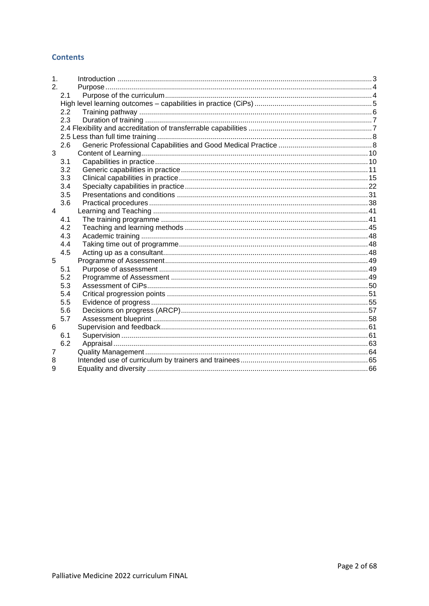## **Contents**

| 2.<br>2.1<br>2.2<br>2.3<br>2.6<br>3<br>3.1<br>3.2<br>3.3<br>3.4<br>3.5<br>3.6<br>$\overline{4}$<br>4.1<br>4.2<br>4.3<br>4.4<br>4.5<br>5<br>5.1<br>5.2<br>5.3<br>5.4<br>5.5<br>5.6<br>5.7<br>6<br>6.1<br>6.2<br>7<br>8<br>9 | 1. |  |  |
|----------------------------------------------------------------------------------------------------------------------------------------------------------------------------------------------------------------------------|----|--|--|
|                                                                                                                                                                                                                            |    |  |  |
|                                                                                                                                                                                                                            |    |  |  |
|                                                                                                                                                                                                                            |    |  |  |
|                                                                                                                                                                                                                            |    |  |  |
|                                                                                                                                                                                                                            |    |  |  |
|                                                                                                                                                                                                                            |    |  |  |
|                                                                                                                                                                                                                            |    |  |  |
|                                                                                                                                                                                                                            |    |  |  |
|                                                                                                                                                                                                                            |    |  |  |
|                                                                                                                                                                                                                            |    |  |  |
|                                                                                                                                                                                                                            |    |  |  |
|                                                                                                                                                                                                                            |    |  |  |
|                                                                                                                                                                                                                            |    |  |  |
|                                                                                                                                                                                                                            |    |  |  |
|                                                                                                                                                                                                                            |    |  |  |
|                                                                                                                                                                                                                            |    |  |  |
|                                                                                                                                                                                                                            |    |  |  |
|                                                                                                                                                                                                                            |    |  |  |
|                                                                                                                                                                                                                            |    |  |  |
|                                                                                                                                                                                                                            |    |  |  |
|                                                                                                                                                                                                                            |    |  |  |
|                                                                                                                                                                                                                            |    |  |  |
|                                                                                                                                                                                                                            |    |  |  |
|                                                                                                                                                                                                                            |    |  |  |
|                                                                                                                                                                                                                            |    |  |  |
|                                                                                                                                                                                                                            |    |  |  |
|                                                                                                                                                                                                                            |    |  |  |
|                                                                                                                                                                                                                            |    |  |  |
|                                                                                                                                                                                                                            |    |  |  |
|                                                                                                                                                                                                                            |    |  |  |
|                                                                                                                                                                                                                            |    |  |  |
|                                                                                                                                                                                                                            |    |  |  |
|                                                                                                                                                                                                                            |    |  |  |
|                                                                                                                                                                                                                            |    |  |  |
|                                                                                                                                                                                                                            |    |  |  |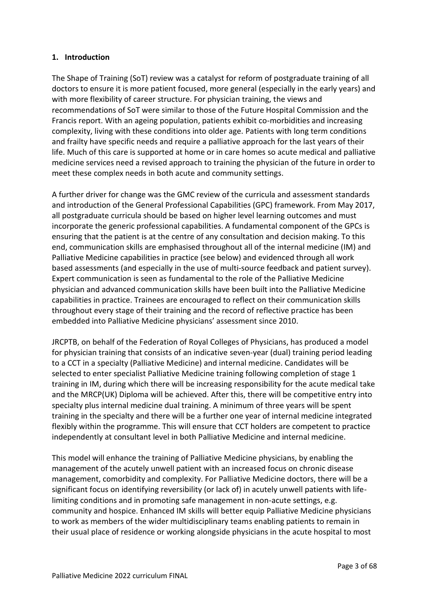# <span id="page-2-0"></span>**1. Introduction**

The Shape of Training (SoT) review was a catalyst for reform of postgraduate training of all doctors to ensure it is more patient focused, more general (especially in the early years) and with more flexibility of career structure. For physician training, the views and recommendations of SoT were similar to those of the Future Hospital Commission and the Francis report. With an ageing population, patients exhibit co-morbidities and increasing complexity, living with these conditions into older age. Patients with long term conditions and frailty have specific needs and require a palliative approach for the last years of their life. Much of this care is supported at home or in care homes so acute medical and palliative medicine services need a revised approach to training the physician of the future in order to meet these complex needs in both acute and community settings.

A further driver for change was the GMC review of the curricula and assessment standards and introduction of the General Professional Capabilities (GPC) framework. From May 2017, all postgraduate curricula should be based on higher level learning outcomes and must incorporate the generic professional capabilities. A fundamental component of the GPCs is ensuring that the patient is at the centre of any consultation and decision making. To this end, communication skills are emphasised throughout all of the internal medicine (IM) and Palliative Medicine capabilities in practice (see below) and evidenced through all work based assessments (and especially in the use of multi-source feedback and patient survey). Expert communication is seen as fundamental to the role of the Palliative Medicine physician and advanced communication skills have been built into the Palliative Medicine capabilities in practice. Trainees are encouraged to reflect on their communication skills throughout every stage of their training and the record of reflective practice has been embedded into Palliative Medicine physicians' assessment since 2010.

JRCPTB, on behalf of the Federation of Royal Colleges of Physicians, has produced a model for physician training that consists of an indicative seven-year (dual) training period leading to a CCT in a specialty (Palliative Medicine) and internal medicine. Candidates will be selected to enter specialist Palliative Medicine training following completion of stage 1 training in IM, during which there will be increasing responsibility for the acute medical take and the MRCP(UK) Diploma will be achieved. After this, there will be competitive entry into specialty plus internal medicine dual training. A minimum of three years will be spent training in the specialty and there will be a further one year of internal medicine integrated flexibly within the programme. This will ensure that CCT holders are competent to practice independently at consultant level in both Palliative Medicine and internal medicine.

This model will enhance the training of Palliative Medicine physicians, by enabling the management of the acutely unwell patient with an increased focus on chronic disease management, comorbidity and complexity. For Palliative Medicine doctors, there will be a significant focus on identifying reversibility (or lack of) in acutely unwell patients with lifelimiting conditions and in promoting safe management in non-acute settings, e.g. community and hospice. Enhanced IM skills will better equip Palliative Medicine physicians to work as members of the wider multidisciplinary teams enabling patients to remain in their usual place of residence or working alongside physicians in the acute hospital to most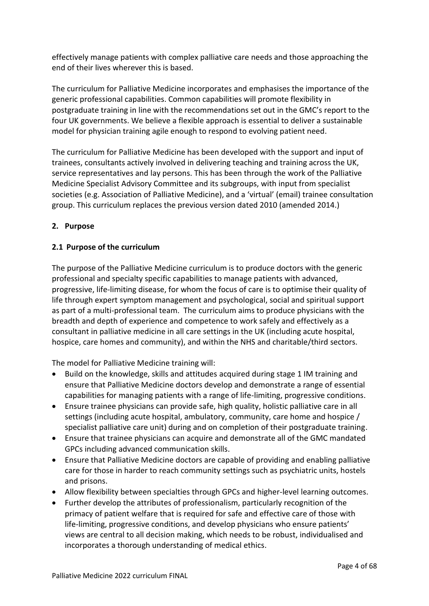effectively manage patients with complex palliative care needs and those approaching the end of their lives wherever this is based.

The curriculum for Palliative Medicine incorporates and emphasises the importance of the generic professional capabilities. Common capabilities will promote flexibility in postgraduate training in line with the recommendations set out in the GMC's report to the four UK governments. We believe a flexible approach is essential to deliver a sustainable model for physician training agile enough to respond to evolving patient need.

The curriculum for Palliative Medicine has been developed with the support and input of trainees, consultants actively involved in delivering teaching and training across the UK, service representatives and lay persons. This has been through the work of the Palliative Medicine Specialist Advisory Committee and its subgroups, with input from specialist societies (e.g. Association of Palliative Medicine), and a 'virtual' (email) trainee consultation group. This curriculum replaces the previous version dated 2010 (amended 2014.)

# <span id="page-3-0"></span>**2. Purpose**

# <span id="page-3-1"></span>**2.1 Purpose of the curriculum**

The purpose of the Palliative Medicine curriculum is to produce doctors with the generic professional and specialty specific capabilities to manage patients with advanced, progressive, life-limiting disease, for whom the focus of care is to optimise their quality of life through expert symptom management and psychological, social and spiritual support as part of a multi-professional team. The curriculum aims to produce physicians with the breadth and depth of experience and competence to work safely and effectively as a consultant in palliative medicine in all care settings in the UK (including acute hospital, hospice, care homes and community), and within the NHS and charitable/third sectors.

The model for Palliative Medicine training will:

- Build on the knowledge, skills and attitudes acquired during stage 1 IM training and ensure that Palliative Medicine doctors develop and demonstrate a range of essential capabilities for managing patients with a range of life-limiting, progressive conditions.
- Ensure trainee physicians can provide safe, high quality, holistic palliative care in all settings (including acute hospital, ambulatory, community, care home and hospice / specialist palliative care unit) during and on completion of their postgraduate training.
- Ensure that trainee physicians can acquire and demonstrate all of the GMC mandated GPCs including advanced communication skills.
- Ensure that Palliative Medicine doctors are capable of providing and enabling palliative care for those in harder to reach community settings such as psychiatric units, hostels and prisons.
- Allow flexibility between specialties through GPCs and higher-level learning outcomes.
- Further develop the attributes of professionalism, particularly recognition of the primacy of patient welfare that is required for safe and effective care of those with life-limiting, progressive conditions, and develop physicians who ensure patients' views are central to all decision making, which needs to be robust, individualised and incorporates a thorough understanding of medical ethics.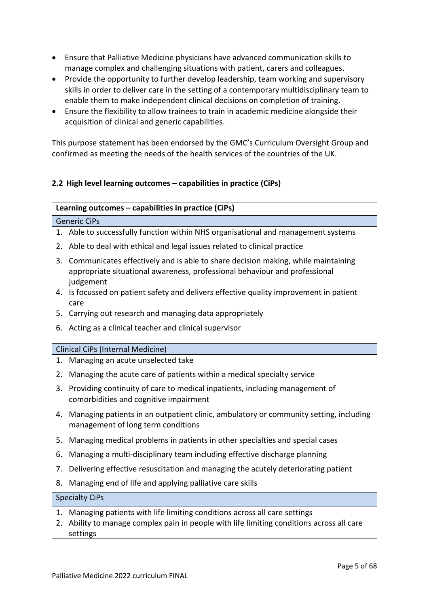- Ensure that Palliative Medicine physicians have advanced communication skills to manage complex and challenging situations with patient, carers and colleagues.
- Provide the opportunity to further develop leadership, team working and supervisory skills in order to deliver care in the setting of a contemporary multidisciplinary team to enable them to make independent clinical decisions on completion of training.
- Ensure the flexibility to allow trainees to train in academic medicine alongside their acquisition of clinical and generic capabilities.

This purpose statement has been endorsed by the GMC's Curriculum Oversight Group and confirmed as meeting the needs of the health services of the countries of the UK.

# <span id="page-4-0"></span>**2.2 High level learning outcomes – capabilities in practice (CiPs)**

## **Learning outcomes – capabilities in practice (CiPs)**

#### Generic CiPs

- 1. Able to successfully function within NHS organisational and management systems
- 2. Able to deal with ethical and legal issues related to clinical practice
- 3. Communicates effectively and is able to share decision making, while maintaining appropriate situational awareness, professional behaviour and professional judgement
- 4. Is focussed on patient safety and delivers effective quality improvement in patient care
- 5. Carrying out research and managing data appropriately
- 6. Acting as a clinical teacher and clinical supervisor

## Clinical CiPs (Internal Medicine)

- 1. Managing an acute unselected take
- 2. Managing the acute care of patients within a medical specialty service
- 3. Providing continuity of care to medical inpatients, including management of comorbidities and cognitive impairment
- 4. Managing patients in an outpatient clinic, ambulatory or community setting, including management of long term conditions
- 5. Managing medical problems in patients in other specialties and special cases
- 6. Managing a multi-disciplinary team including effective discharge planning
- 7. Delivering effective resuscitation and managing the acutely deteriorating patient
- 8. Managing end of life and applying palliative care skills

## Specialty CiPs

- 1. Managing patients with life limiting conditions across all care settings
- 2. Ability to manage complex pain in people with life limiting conditions across all care settings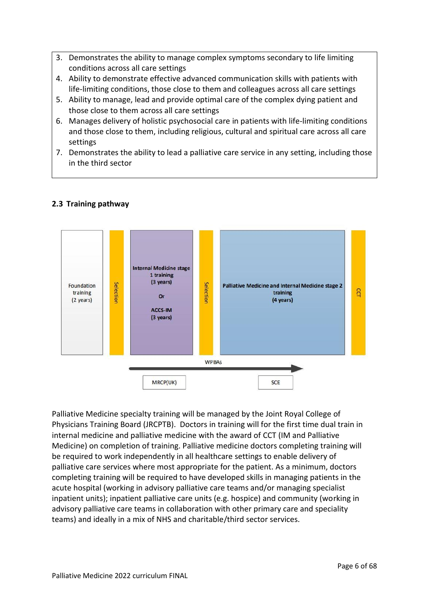- 3. Demonstrates the ability to manage complex symptoms secondary to life limiting conditions across all care settings
- 4. Ability to demonstrate effective advanced communication skills with patients with life-limiting conditions, those close to them and colleagues across all care settings
- 5. Ability to manage, lead and provide optimal care of the complex dying patient and those close to them across all care settings
- 6. Manages delivery of holistic psychosocial care in patients with life-limiting conditions and those close to them, including religious, cultural and spiritual care across all care settings
- 7. Demonstrates the ability to lead a palliative care service in any setting, including those in the third sector



# <span id="page-5-0"></span>**2.3 Training pathway**

Palliative Medicine specialty training will be managed by the Joint Royal College of Physicians Training Board (JRCPTB). Doctors in training will for the first time dual train in internal medicine and palliative medicine with the award of CCT (IM and Palliative Medicine) on completion of training. Palliative medicine doctors completing training will be required to work independently in all healthcare settings to enable delivery of palliative care services where most appropriate for the patient. As a minimum, doctors completing training will be required to have developed skills in managing patients in the acute hospital (working in advisory palliative care teams and/or managing specialist inpatient units); inpatient palliative care units (e.g. hospice) and community (working in advisory palliative care teams in collaboration with other primary care and speciality teams) and ideally in a mix of NHS and charitable/third sector services.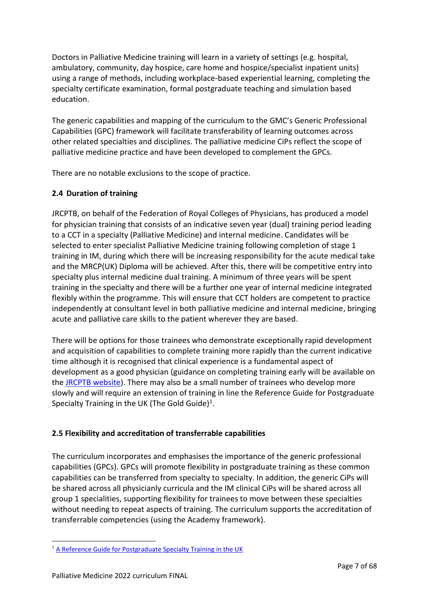Doctors in Palliative Medicine training will learn in a variety of settings (e.g. hospital, ambulatory, community, day hospice, care home and hospice/specialist inpatient units) using a range of methods, including workplace-based experiential learning, completing the specialty certificate examination, formal postgraduate teaching and simulation based education.

The generic capabilities and mapping of the curriculum to the GMC's Generic Professional Capabilities (GPC) framework will facilitate transferability of learning outcomes across other related specialties and disciplines. The palliative medicine CiPs reflect the scope of palliative medicine practice and have been developed to complement the GPCs.

There are no notable exclusions to the scope of practice.

# <span id="page-6-0"></span>**2.4 Duration of training**

JRCPTB, on behalf of the Federation of Royal Colleges of Physicians, has produced a model for physician training that consists of an indicative seven year (dual) training period leading to a CCT in a specialty (Palliative Medicine) and internal medicine. Candidates will be selected to enter specialist Palliative Medicine training following completion of stage 1 training in IM, during which there will be increasing responsibility for the acute medical take and the MRCP(UK) Diploma will be achieved. After this, there will be competitive entry into specialty plus internal medicine dual training. A minimum of three years will be spent training in the specialty and there will be a further one year of internal medicine integrated flexibly within the programme. This will ensure that CCT holders are competent to practice independently at consultant level in both palliative medicine and internal medicine, bringing acute and palliative care skills to the patient wherever they are based.

There will be options for those trainees who demonstrate exceptionally rapid development and acquisition of capabilities to complete training more rapidly than the current indicative time although it is recognised that clinical experience is a fundamental aspect of development as a good physician (guidance on completing training early will be available on the [JRCPTB website\)](http://www.jrcptb.org.uk/). There may also be a small number of trainees who develop more slowly and will require an extension of training in line the Reference Guide for Postgraduate Specialty Training in the UK (The Gold Guide) $<sup>1</sup>$ .</sup>

# <span id="page-6-1"></span>**2.5 Flexibility and accreditation of transferrable capabilities**

The curriculum incorporates and emphasises the importance of the generic professional capabilities (GPCs). GPCs will promote flexibility in postgraduate training as these common capabilities can be transferred from specialty to specialty. In addition, the generic CiPs will be shared across all physicianly curricula and the IM clinical CiPs will be shared across all group 1 specialities, supporting flexibility for trainees to move between these specialties without needing to repeat aspects of training. The curriculum supports the accreditation of transferrable competencies (using the Academy framework).

<sup>&</sup>lt;sup>1</sup> [A Reference Guide for Postgraduate Specialty Training in the UK](https://www.copmed.org.uk/publications/the-gold-guide)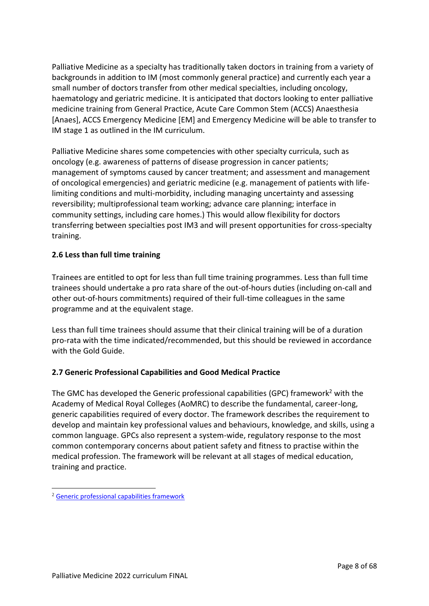Palliative Medicine as a specialty has traditionally taken doctors in training from a variety of backgrounds in addition to IM (most commonly general practice) and currently each year a small number of doctors transfer from other medical specialties, including oncology, haematology and geriatric medicine. It is anticipated that doctors looking to enter palliative medicine training from General Practice, Acute Care Common Stem (ACCS) Anaesthesia [Anaes], ACCS Emergency Medicine [EM] and Emergency Medicine will be able to transfer to IM stage 1 as outlined in the IM curriculum.

Palliative Medicine shares some competencies with other specialty curricula, such as oncology (e.g. awareness of patterns of disease progression in cancer patients; management of symptoms caused by cancer treatment; and assessment and management of oncological emergencies) and geriatric medicine (e.g. management of patients with lifelimiting conditions and multi-morbidity, including managing uncertainty and assessing reversibility; multiprofessional team working; advance care planning; interface in community settings, including care homes.) This would allow flexibility for doctors transferring between specialties post IM3 and will present opportunities for cross-specialty training.

# <span id="page-7-0"></span>**2.6 Less than full time training**

Trainees are entitled to opt for less than full time training programmes. Less than full time trainees should undertake a pro rata share of the out-of-hours duties (including on-call and other out-of-hours commitments) required of their full-time colleagues in the same programme and at the equivalent stage.

Less than full time trainees should assume that their clinical training will be of a duration pro-rata with the time indicated/recommended, but this should be reviewed in accordance with the Gold Guide.

# <span id="page-7-1"></span>**2.7 Generic Professional Capabilities and Good Medical Practice**

The GMC has developed the Generic professional capabilities (GPC) framework<sup>2</sup> with the Academy of Medical Royal Colleges (AoMRC) to describe the fundamental, career-long, generic capabilities required of every doctor. The framework describes the requirement to develop and maintain key professional values and behaviours, knowledge, and skills, using a common language. GPCs also represent a system-wide, regulatory response to the most common contemporary concerns about patient safety and fitness to practise within the medical profession. The framework will be relevant at all stages of medical education, training and practice.

<sup>2</sup> [Generic professional capabilities framework](http://www.gmc-uk.org/education/postgraduate/GPC.asp)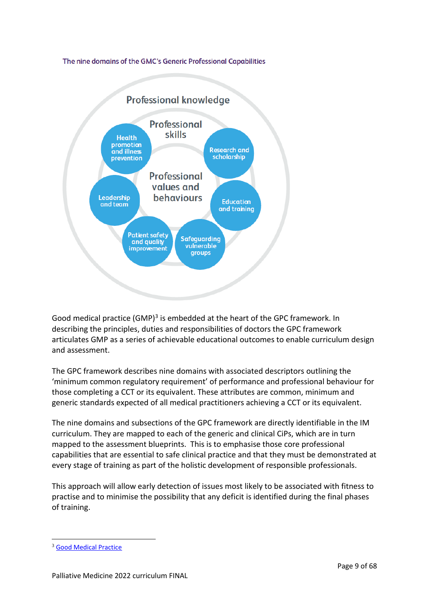The nine domains of the GMC's Generic Professional Capabilities



Good medical practice (GMP)<sup>3</sup> is embedded at the heart of the GPC framework. In describing the principles, duties and responsibilities of doctors the GPC framework articulates GMP as a series of achievable educational outcomes to enable curriculum design and assessment.

The GPC framework describes nine domains with associated descriptors outlining the 'minimum common regulatory requirement' of performance and professional behaviour for those completing a CCT or its equivalent. These attributes are common, minimum and generic standards expected of all medical practitioners achieving a CCT or its equivalent.

The nine domains and subsections of the GPC framework are directly identifiable in the IM curriculum. They are mapped to each of the generic and clinical CiPs, which are in turn mapped to the assessment blueprints. This is to emphasise those core professional capabilities that are essential to safe clinical practice and that they must be demonstrated at every stage of training as part of the holistic development of responsible professionals.

This approach will allow early detection of issues most likely to be associated with fitness to practise and to minimise the possibility that any deficit is identified during the final phases of training.

<sup>3</sup> [Good Medical Practice](http://www.gmc-uk.org/guidance/good_medical_practice.asp)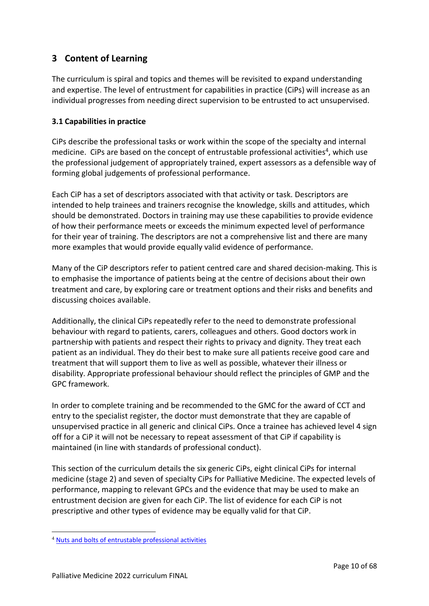# <span id="page-9-0"></span>**3 Content of Learning**

The curriculum is spiral and topics and themes will be revisited to expand understanding and expertise. The level of entrustment for capabilities in practice (CiPs) will increase as an individual progresses from needing direct supervision to be entrusted to act unsupervised.

# <span id="page-9-1"></span>**3.1 Capabilities in practice**

CiPs describe the professional tasks or work within the scope of the specialty and internal medicine. CiPs are based on the concept of entrustable professional activities<sup>4</sup>, which use the professional judgement of appropriately trained, expert assessors as a defensible way of forming global judgements of professional performance.

Each CiP has a set of descriptors associated with that activity or task. Descriptors are intended to help trainees and trainers recognise the knowledge, skills and attitudes, which should be demonstrated. Doctors in training may use these capabilities to provide evidence of how their performance meets or exceeds the minimum expected level of performance for their year of training. The descriptors are not a comprehensive list and there are many more examples that would provide equally valid evidence of performance.

Many of the CiP descriptors refer to patient centred care and shared decision-making. This is to emphasise the importance of patients being at the centre of decisions about their own treatment and care, by exploring care or treatment options and their risks and benefits and discussing choices available.

Additionally, the clinical CiPs repeatedly refer to the need to demonstrate professional behaviour with regard to patients, carers, colleagues and others. Good doctors work in partnership with patients and respect their rights to privacy and dignity. They treat each patient as an individual. They do their best to make sure all patients receive good care and treatment that will support them to live as well as possible, whatever their illness or disability. Appropriate professional behaviour should reflect the principles of GMP and the GPC framework.

In order to complete training and be recommended to the GMC for the award of CCT and entry to the specialist register, the doctor must demonstrate that they are capable of unsupervised practice in all generic and clinical CiPs. Once a trainee has achieved level 4 sign off for a CiP it will not be necessary to repeat assessment of that CiP if capability is maintained (in line with standards of professional conduct).

This section of the curriculum details the six generic CiPs, eight clinical CiPs for internal medicine (stage 2) and seven of specialty CiPs for Palliative Medicine. The expected levels of performance, mapping to relevant GPCs and the evidence that may be used to make an entrustment decision are given for each CiP. The list of evidence for each CiP is not prescriptive and other types of evidence may be equally valid for that CiP.

<sup>4</sup> [Nuts and bolts of entrustable professional activities](https://www.ncbi.nlm.nih.gov/pmc/articles/PMC3613304/)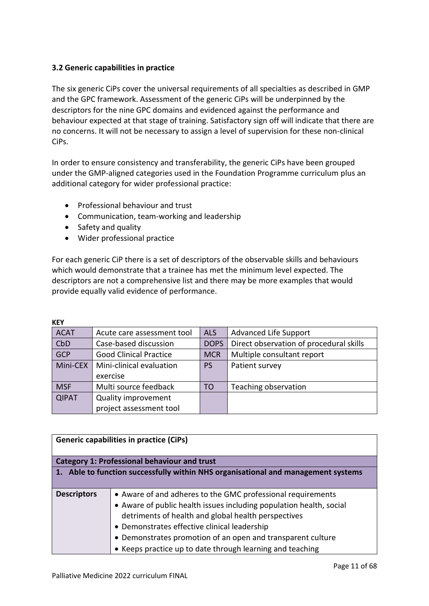# <span id="page-10-0"></span>**3.2 Generic capabilities in practice**

The six generic CiPs cover the universal requirements of all specialties as described in GMP and the GPC framework. Assessment of the generic CiPs will be underpinned by the descriptors for the nine GPC domains and evidenced against the performance and behaviour expected at that stage of training. Satisfactory sign off will indicate that there are no concerns. It will not be necessary to assign a level of supervision for these non-clinical CiPs.

In order to ensure consistency and transferability, the generic CiPs have been grouped under the GMP-aligned categories used in the Foundation Programme curriculum plus an additional category for wider professional practice:

- Professional behaviour and trust
- Communication, team-working and leadership
- Safety and quality
- Wider professional practice

For each generic CiP there is a set of descriptors of the observable skills and behaviours which would demonstrate that a trainee has met the minimum level expected. The descriptors are not a comprehensive list and there may be more examples that would provide equally valid evidence of performance.

| <b>KEY</b>   |                               |             |                                         |  |
|--------------|-------------------------------|-------------|-----------------------------------------|--|
| <b>ACAT</b>  | Acute care assessment tool    | <b>ALS</b>  | <b>Advanced Life Support</b>            |  |
| CbD          | Case-based discussion         | <b>DOPS</b> | Direct observation of procedural skills |  |
| <b>GCP</b>   | <b>Good Clinical Practice</b> | <b>MCR</b>  | Multiple consultant report              |  |
| Mini-CEX     | Mini-clinical evaluation      | <b>PS</b>   | Patient survey                          |  |
|              | exercise                      |             |                                         |  |
| <b>MSF</b>   | Multi source feedback         | TO          | Teaching observation                    |  |
| <b>QIPAT</b> | Quality improvement           |             |                                         |  |
|              | project assessment tool       |             |                                         |  |

| <b>Generic capabilities in practice (CiPs)</b>                                    |                                                                     |  |
|-----------------------------------------------------------------------------------|---------------------------------------------------------------------|--|
|                                                                                   |                                                                     |  |
|                                                                                   |                                                                     |  |
|                                                                                   | <b>Category 1: Professional behaviour and trust</b>                 |  |
| 1. Able to function successfully within NHS organisational and management systems |                                                                     |  |
|                                                                                   |                                                                     |  |
|                                                                                   |                                                                     |  |
| <b>Descriptors</b>                                                                | • Aware of and adheres to the GMC professional requirements         |  |
|                                                                                   | • Aware of public health issues including population health, social |  |
|                                                                                   | detriments of health and global health perspectives                 |  |
|                                                                                   | • Demonstrates effective clinical leadership                        |  |
|                                                                                   | • Demonstrates promotion of an open and transparent culture         |  |
|                                                                                   | • Keeps practice up to date through learning and teaching           |  |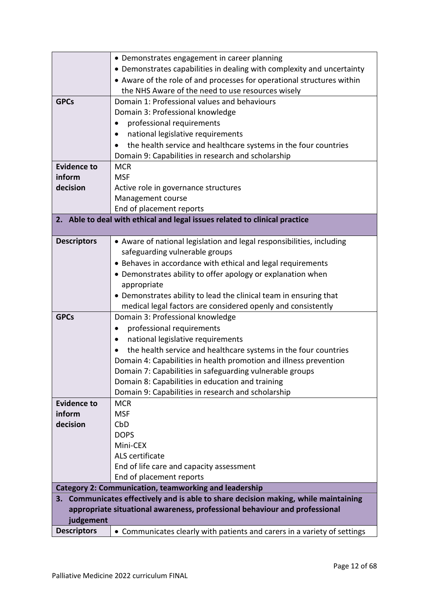|                    | • Demonstrates engagement in career planning                                        |
|--------------------|-------------------------------------------------------------------------------------|
|                    | • Demonstrates capabilities in dealing with complexity and uncertainty              |
|                    | • Aware of the role of and processes for operational structures within              |
|                    | the NHS Aware of the need to use resources wisely                                   |
| <b>GPCs</b>        | Domain 1: Professional values and behaviours                                        |
|                    | Domain 3: Professional knowledge                                                    |
|                    | professional requirements                                                           |
|                    | national legislative requirements                                                   |
|                    | the health service and healthcare systems in the four countries                     |
|                    | Domain 9: Capabilities in research and scholarship                                  |
| <b>Evidence to</b> | <b>MCR</b>                                                                          |
| inform             | <b>MSF</b>                                                                          |
| decision           | Active role in governance structures                                                |
|                    | Management course                                                                   |
|                    | End of placement reports                                                            |
|                    | 2. Able to deal with ethical and legal issues related to clinical practice          |
|                    |                                                                                     |
| <b>Descriptors</b> | • Aware of national legislation and legal responsibilities, including               |
|                    | safeguarding vulnerable groups                                                      |
|                    | • Behaves in accordance with ethical and legal requirements                         |
|                    | • Demonstrates ability to offer apology or explanation when                         |
|                    | appropriate                                                                         |
|                    | • Demonstrates ability to lead the clinical team in ensuring that                   |
|                    | medical legal factors are considered openly and consistently                        |
| <b>GPCs</b>        | Domain 3: Professional knowledge                                                    |
|                    | professional requirements<br>$\bullet$                                              |
|                    | national legislative requirements                                                   |
|                    | the health service and healthcare systems in the four countries                     |
|                    | Domain 4: Capabilities in health promotion and illness prevention                   |
|                    | Domain 7: Capabilities in safeguarding vulnerable groups                            |
|                    | Domain 8: Capabilities in education and training                                    |
|                    | Domain 9: Capabilities in research and scholarship                                  |
| <b>Evidence to</b> | <b>MCR</b>                                                                          |
| inform             | <b>MSF</b>                                                                          |
| decision           | CbD                                                                                 |
|                    | <b>DOPS</b>                                                                         |
|                    | Mini-CEX                                                                            |
|                    | ALS certificate                                                                     |
|                    | End of life care and capacity assessment                                            |
|                    | End of placement reports                                                            |
|                    | <b>Category 2: Communication, teamworking and leadership</b>                        |
|                    | 3. Communicates effectively and is able to share decision making, while maintaining |
|                    | appropriate situational awareness, professional behaviour and professional          |
| judgement          |                                                                                     |
| <b>Descriptors</b> | • Communicates clearly with patients and carers in a variety of settings            |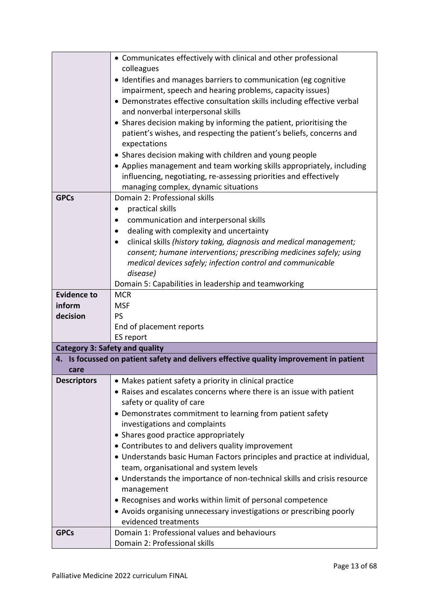|                                       | • Communicates effectively with clinical and other professional                        |
|---------------------------------------|----------------------------------------------------------------------------------------|
|                                       | colleagues                                                                             |
|                                       | • Identifies and manages barriers to communication (eg cognitive                       |
|                                       | impairment, speech and hearing problems, capacity issues)                              |
|                                       | • Demonstrates effective consultation skills including effective verbal                |
|                                       | and nonverbal interpersonal skills                                                     |
|                                       | • Shares decision making by informing the patient, prioritising the                    |
|                                       | patient's wishes, and respecting the patient's beliefs, concerns and                   |
|                                       | expectations                                                                           |
|                                       | • Shares decision making with children and young people                                |
|                                       | • Applies management and team working skills appropriately, including                  |
|                                       | influencing, negotiating, re-assessing priorities and effectively                      |
|                                       | managing complex, dynamic situations                                                   |
| <b>GPCs</b>                           | Domain 2: Professional skills                                                          |
|                                       | practical skills<br>٠                                                                  |
|                                       | communication and interpersonal skills                                                 |
|                                       | dealing with complexity and uncertainty<br>$\bullet$                                   |
|                                       | clinical skills (history taking, diagnosis and medical management;                     |
|                                       | consent; humane interventions; prescribing medicines safely; using                     |
|                                       | medical devices safely; infection control and communicable                             |
|                                       | disease)                                                                               |
|                                       | Domain 5: Capabilities in leadership and teamworking                                   |
| <b>Evidence to</b>                    | <b>MCR</b>                                                                             |
| inform<br>decision                    | <b>MSF</b><br><b>PS</b>                                                                |
|                                       | End of placement reports                                                               |
|                                       | ES report                                                                              |
| <b>Category 3: Safety and quality</b> |                                                                                        |
|                                       | 4. Is focussed on patient safety and delivers effective quality improvement in patient |
| care                                  |                                                                                        |
| <b>Descriptors</b>                    | • Makes patient safety a priority in clinical practice                                 |
|                                       | • Raises and escalates concerns where there is an issue with patient                   |
|                                       | safety or quality of care                                                              |
|                                       | • Demonstrates commitment to learning from patient safety                              |
|                                       | investigations and complaints                                                          |
|                                       | • Shares good practice appropriately                                                   |
|                                       | • Contributes to and delivers quality improvement                                      |
|                                       | • Understands basic Human Factors principles and practice at individual,               |
|                                       | team, organisational and system levels                                                 |
|                                       | • Understands the importance of non-technical skills and crisis resource               |
|                                       | management                                                                             |
|                                       | • Recognises and works within limit of personal competence                             |
|                                       | • Avoids organising unnecessary investigations or prescribing poorly                   |
|                                       | evidenced treatments                                                                   |
| <b>GPCs</b>                           | Domain 1: Professional values and behaviours                                           |
|                                       | Domain 2: Professional skills                                                          |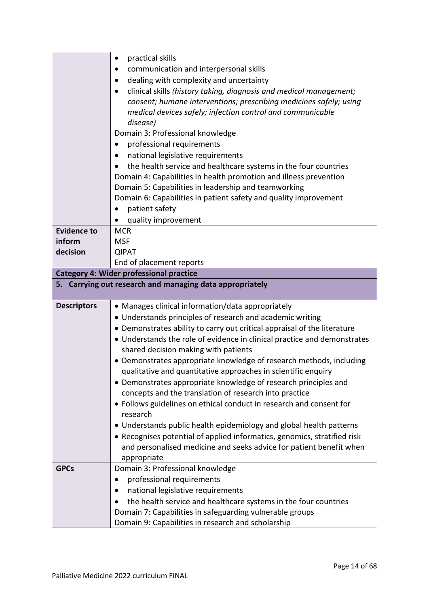|                    | practical skills<br>٠                                                        |
|--------------------|------------------------------------------------------------------------------|
|                    | communication and interpersonal skills                                       |
|                    | dealing with complexity and uncertainty                                      |
|                    | clinical skills (history taking, diagnosis and medical management;           |
|                    | consent; humane interventions; prescribing medicines safely; using           |
|                    | medical devices safely; infection control and communicable                   |
|                    | disease)                                                                     |
|                    | Domain 3: Professional knowledge                                             |
|                    | professional requirements                                                    |
|                    | national legislative requirements                                            |
|                    |                                                                              |
|                    | the health service and healthcare systems in the four countries<br>$\bullet$ |
|                    | Domain 4: Capabilities in health promotion and illness prevention            |
|                    | Domain 5: Capabilities in leadership and teamworking                         |
|                    | Domain 6: Capabilities in patient safety and quality improvement             |
|                    | patient safety                                                               |
|                    | quality improvement                                                          |
| <b>Evidence to</b> | <b>MCR</b>                                                                   |
| inform             | <b>MSF</b>                                                                   |
| decision           | <b>QIPAT</b>                                                                 |
|                    | End of placement reports                                                     |
|                    | <b>Category 4: Wider professional practice</b>                               |
|                    | 5. Carrying out research and managing data appropriately                     |
|                    |                                                                              |
| <b>Descriptors</b> | • Manages clinical information/data appropriately                            |
|                    | • Understands principles of research and academic writing                    |
|                    | • Demonstrates ability to carry out critical appraisal of the literature     |
|                    | • Understands the role of evidence in clinical practice and demonstrates     |
|                    | shared decision making with patients                                         |
|                    | • Demonstrates appropriate knowledge of research methods, including          |
|                    | qualitative and quantitative approaches in scientific enquiry                |
|                    | • Demonstrates appropriate knowledge of research principles and              |
|                    | concepts and the translation of research into practice                       |
|                    | • Follows guidelines on ethical conduct in research and consent for          |
|                    | research                                                                     |
|                    | • Understands public health epidemiology and global health patterns          |
|                    | • Recognises potential of applied informatics, genomics, stratified risk     |
|                    | and personalised medicine and seeks advice for patient benefit when          |
|                    | appropriate                                                                  |
| <b>GPCs</b>        | Domain 3: Professional knowledge                                             |
|                    | professional requirements                                                    |
|                    | national legislative requirements                                            |
|                    |                                                                              |
|                    | the health service and healthcare systems in the four countries              |
|                    | Domain 7: Capabilities in safeguarding vulnerable groups                     |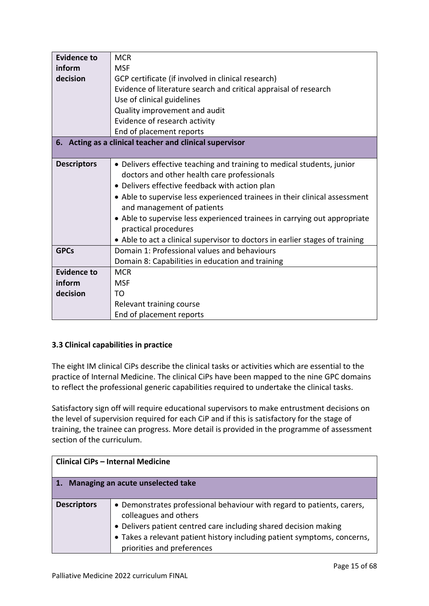| <b>Evidence to</b> | <b>MCR</b>                                                                   |
|--------------------|------------------------------------------------------------------------------|
| inform             | <b>MSF</b>                                                                   |
| decision           | GCP certificate (if involved in clinical research)                           |
|                    | Evidence of literature search and critical appraisal of research             |
|                    | Use of clinical guidelines                                                   |
|                    | Quality improvement and audit                                                |
|                    | Evidence of research activity                                                |
|                    | End of placement reports                                                     |
|                    | 6. Acting as a clinical teacher and clinical supervisor                      |
|                    |                                                                              |
| <b>Descriptors</b> | • Delivers effective teaching and training to medical students, junior       |
|                    | doctors and other health care professionals                                  |
|                    | • Delivers effective feedback with action plan                               |
|                    | • Able to supervise less experienced trainees in their clinical assessment   |
|                    | and management of patients                                                   |
|                    | • Able to supervise less experienced trainees in carrying out appropriate    |
|                    | practical procedures                                                         |
|                    | • Able to act a clinical supervisor to doctors in earlier stages of training |
| <b>GPCs</b>        | Domain 1: Professional values and behaviours                                 |
|                    | Domain 8: Capabilities in education and training                             |
| <b>Evidence to</b> | <b>MCR</b>                                                                   |
| inform             | <b>MSF</b>                                                                   |
| decision           | TO                                                                           |
|                    | Relevant training course                                                     |
|                    | End of placement reports                                                     |

# <span id="page-14-0"></span>**3.3 Clinical capabilities in practice**

The eight IM clinical CiPs describe the clinical tasks or activities which are essential to the practice of Internal Medicine. The clinical CiPs have been mapped to the nine GPC domains to reflect the professional generic capabilities required to undertake the clinical tasks.

Satisfactory sign off will require educational supervisors to make entrustment decisions on the level of supervision required for each CiP and if this is satisfactory for the stage of training, the trainee can progress. More detail is provided in the programme of assessment section of the curriculum.

| <b>Clinical CiPs - Internal Medicine</b> |                                                                                                                                                                                                                                                 |  |
|------------------------------------------|-------------------------------------------------------------------------------------------------------------------------------------------------------------------------------------------------------------------------------------------------|--|
| Managing an acute unselected take<br>4.7 |                                                                                                                                                                                                                                                 |  |
| <b>Descriptors</b>                       | • Demonstrates professional behaviour with regard to patients, carers,<br>colleagues and others<br>• Delivers patient centred care including shared decision making<br>• Takes a relevant patient history including patient symptoms, concerns, |  |
|                                          | priorities and preferences                                                                                                                                                                                                                      |  |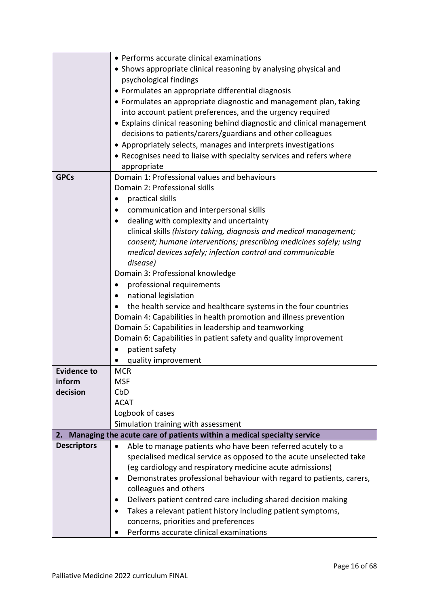|                              | • Performs accurate clinical examinations                                         |
|------------------------------|-----------------------------------------------------------------------------------|
|                              | • Shows appropriate clinical reasoning by analysing physical and                  |
|                              | psychological findings                                                            |
|                              | • Formulates an appropriate differential diagnosis                                |
|                              | • Formulates an appropriate diagnostic and management plan, taking                |
|                              | into account patient preferences, and the urgency required                        |
|                              | • Explains clinical reasoning behind diagnostic and clinical management           |
|                              | decisions to patients/carers/guardians and other colleagues                       |
|                              | • Appropriately selects, manages and interprets investigations                    |
|                              | • Recognises need to liaise with specialty services and refers where              |
|                              | appropriate                                                                       |
| <b>GPCs</b>                  | Domain 1: Professional values and behaviours                                      |
|                              | Domain 2: Professional skills                                                     |
|                              | practical skills                                                                  |
|                              | communication and interpersonal skills                                            |
|                              | dealing with complexity and uncertainty                                           |
|                              | clinical skills (history taking, diagnosis and medical management;                |
|                              | consent; humane interventions; prescribing medicines safely; using                |
|                              | medical devices safely; infection control and communicable                        |
|                              | disease)                                                                          |
|                              | Domain 3: Professional knowledge                                                  |
|                              | professional requirements<br>$\bullet$                                            |
|                              | national legislation                                                              |
|                              | the health service and healthcare systems in the four countries                   |
|                              | Domain 4: Capabilities in health promotion and illness prevention                 |
|                              | Domain 5: Capabilities in leadership and teamworking                              |
|                              | Domain 6: Capabilities in patient safety and quality improvement                  |
|                              | patient safety                                                                    |
|                              | quality improvement                                                               |
| <b>Evidence to</b><br>inform | <b>MCR</b><br><b>MSF</b>                                                          |
| decision                     | CbD                                                                               |
|                              | <b>ACAT</b>                                                                       |
|                              | Logbook of cases                                                                  |
|                              | Simulation training with assessment                                               |
| 2.                           | Managing the acute care of patients within a medical specialty service            |
| <b>Descriptors</b>           | Able to manage patients who have been referred acutely to a<br>$\bullet$          |
|                              | specialised medical service as opposed to the acute unselected take               |
|                              | (eg cardiology and respiratory medicine acute admissions)                         |
|                              | Demonstrates professional behaviour with regard to patients, carers,<br>$\bullet$ |
|                              | colleagues and others                                                             |
|                              | Delivers patient centred care including shared decision making<br>٠               |
|                              | Takes a relevant patient history including patient symptoms,<br>٠                 |
|                              | concerns, priorities and preferences                                              |
|                              | Performs accurate clinical examinations                                           |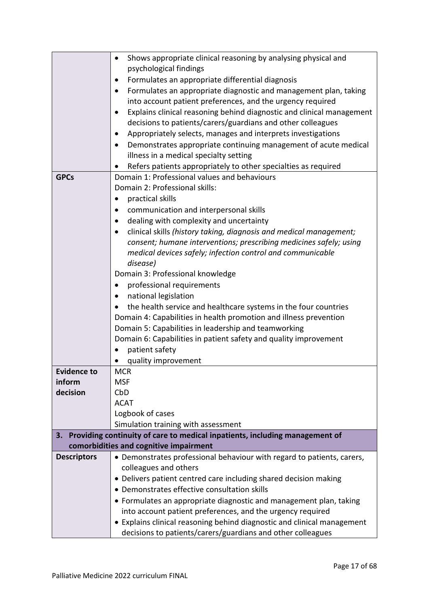|                    | Shows appropriate clinical reasoning by analysing physical and<br>$\bullet$                                              |
|--------------------|--------------------------------------------------------------------------------------------------------------------------|
|                    | psychological findings                                                                                                   |
|                    | Formulates an appropriate differential diagnosis<br>$\bullet$                                                            |
|                    | Formulates an appropriate diagnostic and management plan, taking                                                         |
|                    | into account patient preferences, and the urgency required                                                               |
|                    | Explains clinical reasoning behind diagnostic and clinical management                                                    |
|                    | decisions to patients/carers/guardians and other colleagues                                                              |
|                    | Appropriately selects, manages and interprets investigations                                                             |
|                    | Demonstrates appropriate continuing management of acute medical                                                          |
|                    | illness in a medical specialty setting                                                                                   |
|                    | Refers patients appropriately to other specialties as required                                                           |
| <b>GPCs</b>        | Domain 1: Professional values and behaviours                                                                             |
|                    | Domain 2: Professional skills:                                                                                           |
|                    | practical skills<br>$\bullet$                                                                                            |
|                    | communication and interpersonal skills                                                                                   |
|                    | dealing with complexity and uncertainty                                                                                  |
|                    | clinical skills (history taking, diagnosis and medical management;                                                       |
|                    | consent; humane interventions; prescribing medicines safely; using                                                       |
|                    | medical devices safely; infection control and communicable                                                               |
|                    | disease)                                                                                                                 |
|                    | Domain 3: Professional knowledge                                                                                         |
|                    | professional requirements<br>٠                                                                                           |
|                    | national legislation                                                                                                     |
|                    | the health service and healthcare systems in the four countries                                                          |
|                    | Domain 4: Capabilities in health promotion and illness prevention                                                        |
|                    | Domain 5: Capabilities in leadership and teamworking<br>Domain 6: Capabilities in patient safety and quality improvement |
|                    | patient safety                                                                                                           |
|                    | quality improvement                                                                                                      |
| <b>Evidence to</b> | <b>MCR</b>                                                                                                               |
| inform             | <b>MSF</b>                                                                                                               |
| decision           | CbD                                                                                                                      |
|                    | <b>ACAT</b>                                                                                                              |
|                    | Logbook of cases                                                                                                         |
|                    | Simulation training with assessment                                                                                      |
| 3.                 | Providing continuity of care to medical inpatients, including management of                                              |
|                    | comorbidities and cognitive impairment                                                                                   |
| <b>Descriptors</b> | • Demonstrates professional behaviour with regard to patients, carers,                                                   |
|                    | colleagues and others                                                                                                    |
|                    | • Delivers patient centred care including shared decision making                                                         |
|                    | • Demonstrates effective consultation skills                                                                             |
|                    | • Formulates an appropriate diagnostic and management plan, taking                                                       |
|                    | into account patient preferences, and the urgency required                                                               |
|                    | • Explains clinical reasoning behind diagnostic and clinical management                                                  |
|                    | decisions to patients/carers/guardians and other colleagues                                                              |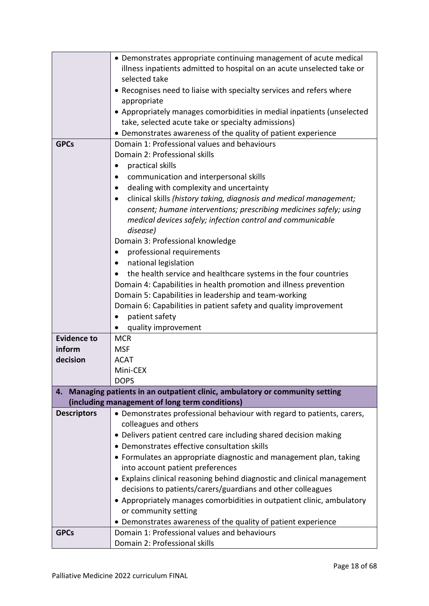|                    | • Demonstrates appropriate continuing management of acute medical          |
|--------------------|----------------------------------------------------------------------------|
|                    | illness inpatients admitted to hospital on an acute unselected take or     |
|                    | selected take                                                              |
|                    | • Recognises need to liaise with specialty services and refers where       |
|                    | appropriate                                                                |
|                    | • Appropriately manages comorbidities in medial inpatients (unselected     |
|                    | take, selected acute take or specialty admissions)                         |
|                    | • Demonstrates awareness of the quality of patient experience              |
| <b>GPCs</b>        | Domain 1: Professional values and behaviours                               |
|                    | Domain 2: Professional skills                                              |
|                    |                                                                            |
|                    | practical skills<br>٠                                                      |
|                    | communication and interpersonal skills                                     |
|                    | dealing with complexity and uncertainty                                    |
|                    | clinical skills (history taking, diagnosis and medical management;         |
|                    | consent; humane interventions; prescribing medicines safely; using         |
|                    | medical devices safely; infection control and communicable                 |
|                    | disease)                                                                   |
|                    | Domain 3: Professional knowledge                                           |
|                    | professional requirements<br>٠                                             |
|                    | national legislation                                                       |
|                    | the health service and healthcare systems in the four countries            |
|                    | Domain 4: Capabilities in health promotion and illness prevention          |
|                    |                                                                            |
|                    | Domain 5: Capabilities in leadership and team-working                      |
|                    | Domain 6: Capabilities in patient safety and quality improvement           |
|                    | patient safety<br>$\bullet$                                                |
|                    | quality improvement                                                        |
| <b>Evidence to</b> | <b>MCR</b>                                                                 |
| inform             | <b>MSF</b>                                                                 |
| decision           | <b>ACAT</b>                                                                |
|                    | Mini-CEX                                                                   |
|                    | <b>DOPS</b>                                                                |
| 4.                 | Managing patients in an outpatient clinic, ambulatory or community setting |
|                    | (including management of long term conditions)                             |
| <b>Descriptors</b> | • Demonstrates professional behaviour with regard to patients, carers,     |
|                    | colleagues and others                                                      |
|                    | • Delivers patient centred care including shared decision making           |
|                    | • Demonstrates effective consultation skills                               |
|                    | • Formulates an appropriate diagnostic and management plan, taking         |
|                    |                                                                            |
|                    | into account patient preferences                                           |
|                    | • Explains clinical reasoning behind diagnostic and clinical management    |
|                    | decisions to patients/carers/guardians and other colleagues                |
|                    | • Appropriately manages comorbidities in outpatient clinic, ambulatory     |
|                    | or community setting                                                       |
|                    | • Demonstrates awareness of the quality of patient experience              |
| <b>GPCs</b>        | Domain 1: Professional values and behaviours                               |
|                    | Domain 2: Professional skills                                              |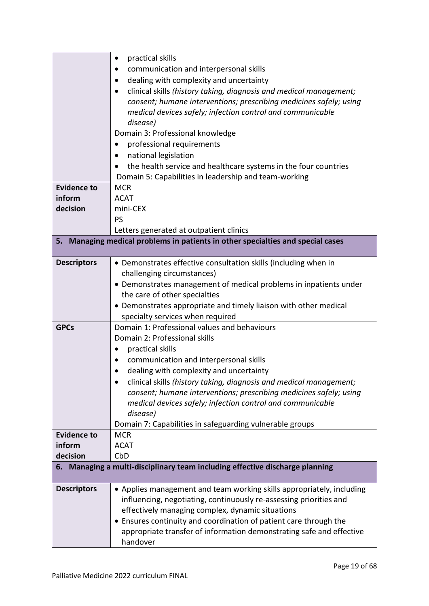|                    | practical skills<br>$\bullet$                                                   |
|--------------------|---------------------------------------------------------------------------------|
|                    | communication and interpersonal skills                                          |
|                    | dealing with complexity and uncertainty                                         |
|                    | clinical skills (history taking, diagnosis and medical management;              |
|                    | consent; humane interventions; prescribing medicines safely; using              |
|                    | medical devices safely; infection control and communicable                      |
|                    | disease)                                                                        |
|                    | Domain 3: Professional knowledge                                                |
|                    | professional requirements                                                       |
|                    | national legislation<br>٠                                                       |
|                    | the health service and healthcare systems in the four countries                 |
|                    | Domain 5: Capabilities in leadership and team-working                           |
| <b>Evidence to</b> | <b>MCR</b>                                                                      |
| inform             | <b>ACAT</b>                                                                     |
| decision           | mini-CEX                                                                        |
|                    | <b>PS</b>                                                                       |
|                    | Letters generated at outpatient clinics                                         |
|                    | 5. Managing medical problems in patients in other specialties and special cases |
|                    |                                                                                 |
| <b>Descriptors</b> | • Demonstrates effective consultation skills (including when in                 |
|                    | challenging circumstances)                                                      |
|                    | • Demonstrates management of medical problems in inpatients under               |
|                    | the care of other specialties                                                   |
|                    | • Demonstrates appropriate and timely liaison with other medical                |
|                    | specialty services when required                                                |
| <b>GPCs</b>        | Domain 1: Professional values and behaviours                                    |
|                    | Domain 2: Professional skills                                                   |
|                    | practical skills                                                                |
|                    | communication and interpersonal skills                                          |
|                    | dealing with complexity and uncertainty                                         |
|                    | clinical skills (history taking, diagnosis and medical management;              |
|                    | consent; humane interventions; prescribing medicines safely; using              |
|                    | medical devices safely; infection control and communicable                      |
|                    | disease)                                                                        |
|                    | Domain 7: Capabilities in safeguarding vulnerable groups                        |
| <b>Evidence to</b> | <b>MCR</b>                                                                      |
| inform             | <b>ACAT</b>                                                                     |
| decision           | CbD                                                                             |
|                    | 6. Managing a multi-disciplinary team including effective discharge planning    |
|                    |                                                                                 |
| <b>Descriptors</b> | • Applies management and team working skills appropriately, including           |
|                    | influencing, negotiating, continuously re-assessing priorities and              |
|                    | effectively managing complex, dynamic situations                                |
|                    | Ensures continuity and coordination of patient care through the                 |
|                    | appropriate transfer of information demonstrating safe and effective            |
|                    | handover                                                                        |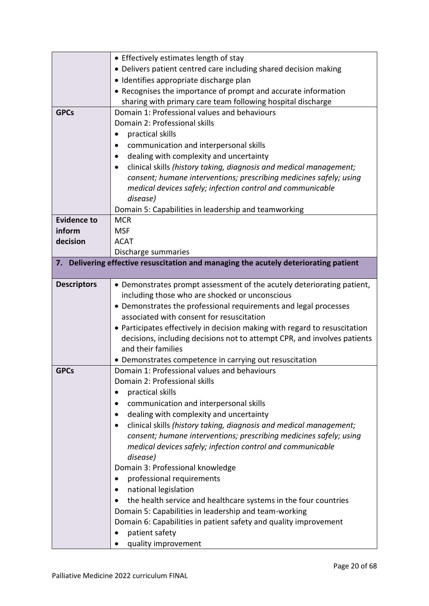|                    | • Effectively estimates length of stay                                            |
|--------------------|-----------------------------------------------------------------------------------|
|                    | • Delivers patient centred care including shared decision making                  |
|                    | · Identifies appropriate discharge plan                                           |
|                    | • Recognises the importance of prompt and accurate information                    |
|                    | sharing with primary care team following hospital discharge                       |
| <b>GPCs</b>        | Domain 1: Professional values and behaviours                                      |
|                    | Domain 2: Professional skills                                                     |
|                    | practical skills                                                                  |
|                    | communication and interpersonal skills                                            |
|                    | dealing with complexity and uncertainty                                           |
|                    | clinical skills (history taking, diagnosis and medical management;                |
|                    | consent; humane interventions; prescribing medicines safely; using                |
|                    | medical devices safely; infection control and communicable                        |
|                    | disease)                                                                          |
|                    | Domain 5: Capabilities in leadership and teamworking                              |
| <b>Evidence to</b> | <b>MCR</b>                                                                        |
| inform             | <b>MSF</b>                                                                        |
| decision           | <b>ACAT</b>                                                                       |
|                    | Discharge summaries                                                               |
| 7.                 | Delivering effective resuscitation and managing the acutely deteriorating patient |
|                    |                                                                                   |
| <b>Descriptors</b> | • Demonstrates prompt assessment of the acutely deteriorating patient,            |
|                    | including those who are shocked or unconscious                                    |
|                    | • Demonstrates the professional requirements and legal processes                  |
|                    | associated with consent for resuscitation                                         |
|                    | • Participates effectively in decision making with regard to resuscitation        |
|                    | decisions, including decisions not to attempt CPR, and involves patients          |
|                    | and their families                                                                |
|                    | • Demonstrates competence in carrying out resuscitation                           |
| <b>GPCs</b>        | Domain 1: Professional values and behaviours                                      |
|                    | Domain 2: Professional skills                                                     |
|                    | practical skills<br>$\bullet$                                                     |
|                    | communication and interpersonal skills<br>$\bullet$                               |
|                    | dealing with complexity and uncertainty<br>$\bullet$                              |
|                    | clinical skills (history taking, diagnosis and medical management;                |
|                    | consent; humane interventions; prescribing medicines safely; using                |
|                    | medical devices safely; infection control and communicable                        |
|                    | disease)                                                                          |
|                    | Domain 3: Professional knowledge                                                  |
|                    | professional requirements                                                         |
|                    | national legislation<br>٠                                                         |
|                    | the health service and healthcare systems in the four countries<br>$\bullet$      |
|                    | Domain 5: Capabilities in leadership and team-working                             |
|                    | Domain 6: Capabilities in patient safety and quality improvement                  |
|                    | patient safety                                                                    |
|                    | quality improvement                                                               |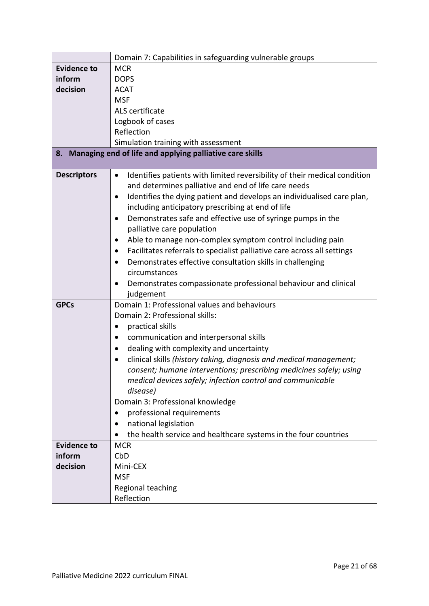|                    | Domain 7: Capabilities in safeguarding vulnerable groups                                                                                                                                                                                                                                          |
|--------------------|---------------------------------------------------------------------------------------------------------------------------------------------------------------------------------------------------------------------------------------------------------------------------------------------------|
| <b>Evidence to</b> | <b>MCR</b>                                                                                                                                                                                                                                                                                        |
| inform             | <b>DOPS</b>                                                                                                                                                                                                                                                                                       |
| decision           | <b>ACAT</b>                                                                                                                                                                                                                                                                                       |
|                    | <b>MSF</b>                                                                                                                                                                                                                                                                                        |
|                    | ALS certificate                                                                                                                                                                                                                                                                                   |
|                    | Logbook of cases                                                                                                                                                                                                                                                                                  |
|                    | Reflection                                                                                                                                                                                                                                                                                        |
|                    | Simulation training with assessment                                                                                                                                                                                                                                                               |
|                    | 8. Managing end of life and applying palliative care skills                                                                                                                                                                                                                                       |
|                    |                                                                                                                                                                                                                                                                                                   |
| <b>Descriptors</b> | Identifies patients with limited reversibility of their medical condition<br>$\bullet$<br>and determines palliative and end of life care needs<br>Identifies the dying patient and develops an individualised care plan,<br>$\bullet$<br>including anticipatory prescribing at end of life        |
|                    | Demonstrates safe and effective use of syringe pumps in the<br>palliative care population                                                                                                                                                                                                         |
|                    | Able to manage non-complex symptom control including pain<br>Facilitates referrals to specialist palliative care across all settings<br>Demonstrates effective consultation skills in challenging<br>circumstances<br>Demonstrates compassionate professional behaviour and clinical<br>judgement |
| <b>GPCs</b>        | Domain 1: Professional values and behaviours                                                                                                                                                                                                                                                      |
|                    | Domain 2: Professional skills:                                                                                                                                                                                                                                                                    |
|                    | practical skills                                                                                                                                                                                                                                                                                  |
|                    | communication and interpersonal skills<br>$\bullet$                                                                                                                                                                                                                                               |
|                    | dealing with complexity and uncertainty<br>$\bullet$                                                                                                                                                                                                                                              |
|                    | clinical skills (history taking, diagnosis and medical management;                                                                                                                                                                                                                                |
|                    | consent; humane interventions; prescribing medicines safely; using                                                                                                                                                                                                                                |
|                    | medical devices safely; infection control and communicable                                                                                                                                                                                                                                        |
|                    | disease)                                                                                                                                                                                                                                                                                          |
|                    | Domain 3: Professional knowledge                                                                                                                                                                                                                                                                  |
|                    | professional requirements                                                                                                                                                                                                                                                                         |
|                    | national legislation                                                                                                                                                                                                                                                                              |
|                    | the health service and healthcare systems in the four countries                                                                                                                                                                                                                                   |
| <b>Evidence to</b> | <b>MCR</b>                                                                                                                                                                                                                                                                                        |
| inform             | CbD                                                                                                                                                                                                                                                                                               |
| decision           | Mini-CEX                                                                                                                                                                                                                                                                                          |
|                    | <b>MSF</b>                                                                                                                                                                                                                                                                                        |
|                    | Regional teaching                                                                                                                                                                                                                                                                                 |
|                    | Reflection                                                                                                                                                                                                                                                                                        |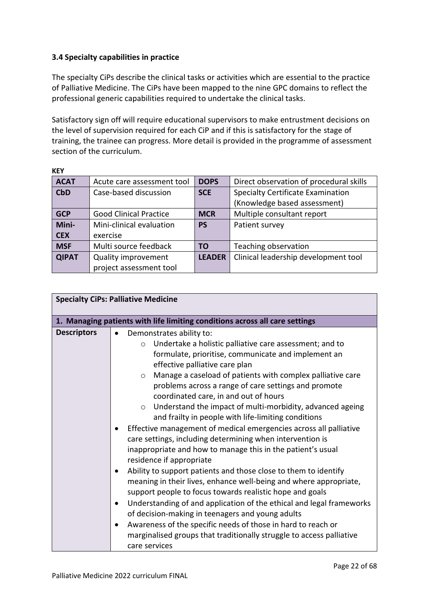# <span id="page-21-0"></span>**3.4 Specialty capabilities in practice**

 $\cdot$ 

The specialty CiPs describe the clinical tasks or activities which are essential to the practice of Palliative Medicine. The CiPs have been mapped to the nine GPC domains to reflect the professional generic capabilities required to undertake the clinical tasks.

Satisfactory sign off will require educational supervisors to make entrustment decisions on the level of supervision required for each CiP and if this is satisfactory for the stage of training, the trainee can progress. More detail is provided in the programme of assessment section of the curriculum.

| KEY          |                               |               |                                          |
|--------------|-------------------------------|---------------|------------------------------------------|
| <b>ACAT</b>  | Acute care assessment tool    | <b>DOPS</b>   | Direct observation of procedural skills  |
| <b>CbD</b>   | Case-based discussion         | <b>SCE</b>    | <b>Specialty Certificate Examination</b> |
|              |                               |               | (Knowledge based assessment)             |
| <b>GCP</b>   | <b>Good Clinical Practice</b> | <b>MCR</b>    | Multiple consultant report               |
| Mini-        | Mini-clinical evaluation      | <b>PS</b>     | Patient survey                           |
| <b>CEX</b>   | exercise                      |               |                                          |
| <b>MSF</b>   | Multi source feedback         | <b>TO</b>     | Teaching observation                     |
| <b>QIPAT</b> | <b>Quality improvement</b>    | <b>LEADER</b> | Clinical leadership development tool     |
|              | project assessment tool       |               |                                          |

| <b>Specialty CiPs: Palliative Medicine</b> |                                                                                                                                                                                                                                                                                                                                                                                                                                                                                                                                                                                                                                                                                                                                                                                                                                                                                                                                                                                                                                                                                                                                                                                                                                     |
|--------------------------------------------|-------------------------------------------------------------------------------------------------------------------------------------------------------------------------------------------------------------------------------------------------------------------------------------------------------------------------------------------------------------------------------------------------------------------------------------------------------------------------------------------------------------------------------------------------------------------------------------------------------------------------------------------------------------------------------------------------------------------------------------------------------------------------------------------------------------------------------------------------------------------------------------------------------------------------------------------------------------------------------------------------------------------------------------------------------------------------------------------------------------------------------------------------------------------------------------------------------------------------------------|
|                                            | 1. Managing patients with life limiting conditions across all care settings                                                                                                                                                                                                                                                                                                                                                                                                                                                                                                                                                                                                                                                                                                                                                                                                                                                                                                                                                                                                                                                                                                                                                         |
| <b>Descriptors</b>                         | Demonstrates ability to:<br>Undertake a holistic palliative care assessment; and to<br>$\circ$<br>formulate, prioritise, communicate and implement an<br>effective palliative care plan<br>Manage a caseload of patients with complex palliative care<br>$\circ$<br>problems across a range of care settings and promote<br>coordinated care, in and out of hours<br>Understand the impact of multi-morbidity, advanced ageing<br>$\circ$<br>and frailty in people with life-limiting conditions<br>Effective management of medical emergencies across all palliative<br>care settings, including determining when intervention is<br>inappropriate and how to manage this in the patient's usual<br>residence if appropriate<br>Ability to support patients and those close to them to identify<br>meaning in their lives, enhance well-being and where appropriate,<br>support people to focus towards realistic hope and goals<br>Understanding of and application of the ethical and legal frameworks<br>of decision-making in teenagers and young adults<br>Awareness of the specific needs of those in hard to reach or<br>$\bullet$<br>marginalised groups that traditionally struggle to access palliative<br>care services |

Palliative Medicine 2022 curriculum FINAL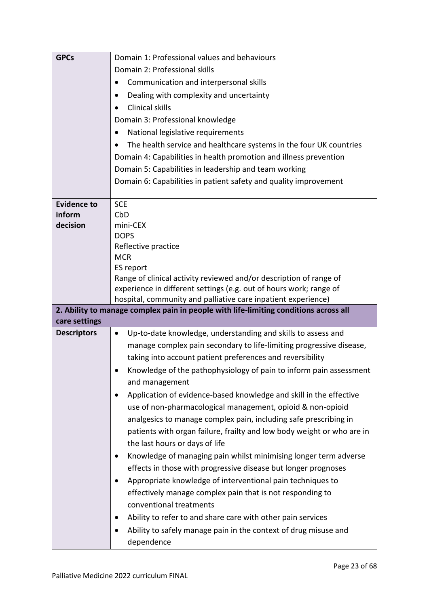| <b>GPCs</b>        | Domain 1: Professional values and behaviours                                         |
|--------------------|--------------------------------------------------------------------------------------|
|                    | Domain 2: Professional skills                                                        |
|                    | Communication and interpersonal skills                                               |
|                    | Dealing with complexity and uncertainty                                              |
|                    | Clinical skills                                                                      |
|                    | Domain 3: Professional knowledge                                                     |
|                    | National legislative requirements<br>٠                                               |
|                    | The health service and healthcare systems in the four UK countries                   |
|                    | Domain 4: Capabilities in health promotion and illness prevention                    |
|                    | Domain 5: Capabilities in leadership and team working                                |
|                    | Domain 6: Capabilities in patient safety and quality improvement                     |
|                    |                                                                                      |
| <b>Evidence to</b> | <b>SCE</b>                                                                           |
| inform             | CbD                                                                                  |
| decision           | mini-CEX                                                                             |
|                    | <b>DOPS</b>                                                                          |
|                    | Reflective practice<br><b>MCR</b>                                                    |
|                    | ES report                                                                            |
|                    | Range of clinical activity reviewed and/or description of range of                   |
|                    | experience in different settings (e.g. out of hours work; range of                   |
|                    | hospital, community and palliative care inpatient experience)                        |
|                    | 2. Ability to manage complex pain in people with life-limiting conditions across all |
| care settings      |                                                                                      |
| <b>Descriptors</b> | Up-to-date knowledge, understanding and skills to assess and<br>$\bullet$            |
|                    | manage complex pain secondary to life-limiting progressive disease,                  |
|                    | taking into account patient preferences and reversibility                            |
|                    | Knowledge of the pathophysiology of pain to inform pain assessment                   |
|                    | and management                                                                       |
|                    | Application of evidence-based knowledge and skill in the effective                   |
|                    | use of non-pharmacological management, opioid & non-opioid                           |
|                    | analgesics to manage complex pain, including safe prescribing in                     |
|                    | patients with organ failure, frailty and low body weight or who are in               |
|                    | the last hours or days of life                                                       |
|                    | Knowledge of managing pain whilst minimising longer term adverse<br>$\bullet$        |
|                    | effects in those with progressive disease but longer prognoses                       |
|                    | Appropriate knowledge of interventional pain techniques to                           |
|                    | effectively manage complex pain that is not responding to                            |
|                    | conventional treatments                                                              |
|                    |                                                                                      |
|                    | Ability to refer to and share care with other pain services<br>$\bullet$             |
|                    | Ability to safely manage pain in the context of drug misuse and<br>$\bullet$         |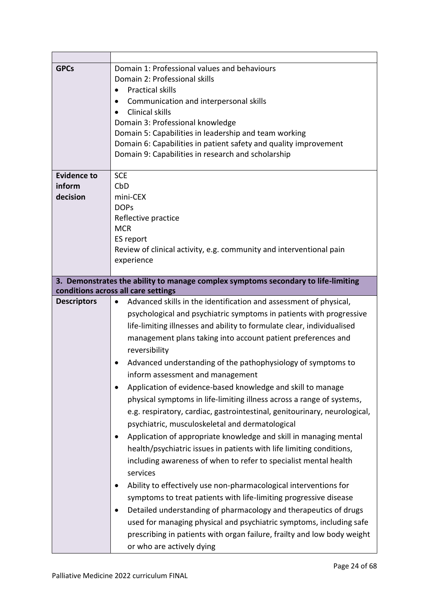| <b>GPCs</b>        | Domain 1: Professional values and behaviours<br>Domain 2: Professional skills<br><b>Practical skills</b><br>$\bullet$<br>Communication and interpersonal skills<br><b>Clinical skills</b><br>Domain 3: Professional knowledge<br>Domain 5: Capabilities in leadership and team working<br>Domain 6: Capabilities in patient safety and quality improvement<br>Domain 9: Capabilities in research and scholarship |
|--------------------|------------------------------------------------------------------------------------------------------------------------------------------------------------------------------------------------------------------------------------------------------------------------------------------------------------------------------------------------------------------------------------------------------------------|
| <b>Evidence to</b> | <b>SCE</b>                                                                                                                                                                                                                                                                                                                                                                                                       |
| inform<br>decision | CbD                                                                                                                                                                                                                                                                                                                                                                                                              |
|                    | mini-CEX<br><b>DOPs</b>                                                                                                                                                                                                                                                                                                                                                                                          |
|                    | Reflective practice                                                                                                                                                                                                                                                                                                                                                                                              |
|                    | <b>MCR</b>                                                                                                                                                                                                                                                                                                                                                                                                       |
|                    | ES report                                                                                                                                                                                                                                                                                                                                                                                                        |
|                    | Review of clinical activity, e.g. community and interventional pain                                                                                                                                                                                                                                                                                                                                              |
|                    | experience                                                                                                                                                                                                                                                                                                                                                                                                       |
|                    |                                                                                                                                                                                                                                                                                                                                                                                                                  |
|                    | 3. Demonstrates the ability to manage complex symptoms secondary to life-limiting<br>conditions across all care settings                                                                                                                                                                                                                                                                                         |
| <b>Descriptors</b> | Advanced skills in the identification and assessment of physical,<br>$\bullet$                                                                                                                                                                                                                                                                                                                                   |
|                    | psychological and psychiatric symptoms in patients with progressive                                                                                                                                                                                                                                                                                                                                              |
|                    | life-limiting illnesses and ability to formulate clear, individualised                                                                                                                                                                                                                                                                                                                                           |
|                    | management plans taking into account patient preferences and                                                                                                                                                                                                                                                                                                                                                     |
|                    | reversibility                                                                                                                                                                                                                                                                                                                                                                                                    |
|                    | Advanced understanding of the pathophysiology of symptoms to                                                                                                                                                                                                                                                                                                                                                     |
|                    | inform assessment and management                                                                                                                                                                                                                                                                                                                                                                                 |
|                    | Application of evidence-based knowledge and skill to manage                                                                                                                                                                                                                                                                                                                                                      |
|                    | physical symptoms in life-limiting illness across a range of systems,                                                                                                                                                                                                                                                                                                                                            |
|                    | e.g. respiratory, cardiac, gastrointestinal, genitourinary, neurological,                                                                                                                                                                                                                                                                                                                                        |
|                    | psychiatric, musculoskeletal and dermatological                                                                                                                                                                                                                                                                                                                                                                  |
|                    | Application of appropriate knowledge and skill in managing mental<br>$\bullet$                                                                                                                                                                                                                                                                                                                                   |
|                    | health/psychiatric issues in patients with life limiting conditions,                                                                                                                                                                                                                                                                                                                                             |
|                    | including awareness of when to refer to specialist mental health                                                                                                                                                                                                                                                                                                                                                 |
|                    | services                                                                                                                                                                                                                                                                                                                                                                                                         |
|                    | Ability to effectively use non-pharmacological interventions for                                                                                                                                                                                                                                                                                                                                                 |
|                    | symptoms to treat patients with life-limiting progressive disease                                                                                                                                                                                                                                                                                                                                                |
|                    | Detailed understanding of pharmacology and therapeutics of drugs<br>٠                                                                                                                                                                                                                                                                                                                                            |
|                    | used for managing physical and psychiatric symptoms, including safe                                                                                                                                                                                                                                                                                                                                              |
|                    | prescribing in patients with organ failure, frailty and low body weight                                                                                                                                                                                                                                                                                                                                          |
|                    | or who are actively dying                                                                                                                                                                                                                                                                                                                                                                                        |
|                    |                                                                                                                                                                                                                                                                                                                                                                                                                  |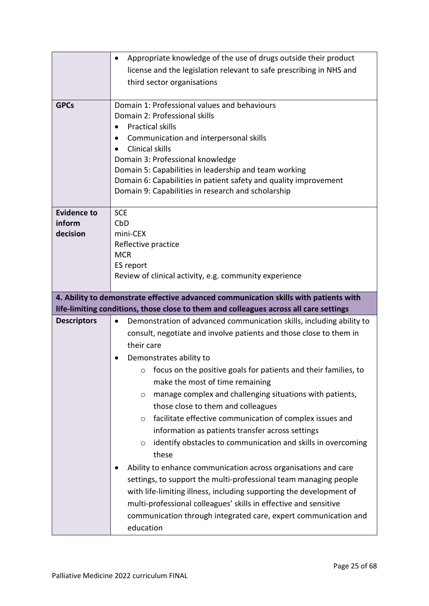|                                          | Appropriate knowledge of the use of drugs outside their product<br>$\bullet$<br>license and the legislation relevant to safe prescribing in NHS and<br>third sector organisations                                                                                                                                                                                                                                                                                                           |
|------------------------------------------|---------------------------------------------------------------------------------------------------------------------------------------------------------------------------------------------------------------------------------------------------------------------------------------------------------------------------------------------------------------------------------------------------------------------------------------------------------------------------------------------|
| <b>GPCs</b>                              | Domain 1: Professional values and behaviours<br>Domain 2: Professional skills<br><b>Practical skills</b><br>Communication and interpersonal skills<br>Clinical skills<br>Domain 3: Professional knowledge<br>Domain 5: Capabilities in leadership and team working<br>Domain 6: Capabilities in patient safety and quality improvement<br>Domain 9: Capabilities in research and scholarship                                                                                                |
| <b>Evidence to</b><br>inform<br>decision | <b>SCE</b><br>CbD<br>mini-CEX<br>Reflective practice<br><b>MCR</b><br>ES report<br>Review of clinical activity, e.g. community experience                                                                                                                                                                                                                                                                                                                                                   |
|                                          | 4. Ability to demonstrate effective advanced communication skills with patients with                                                                                                                                                                                                                                                                                                                                                                                                        |
| <b>Descriptors</b>                       | life-limiting conditions, those close to them and colleagues across all care settings<br>Demonstration of advanced communication skills, including ability to<br>$\bullet$                                                                                                                                                                                                                                                                                                                  |
|                                          |                                                                                                                                                                                                                                                                                                                                                                                                                                                                                             |
|                                          | consult, negotiate and involve patients and those close to them in<br>their care<br>Demonstrates ability to<br>focus on the positive goals for patients and their families, to<br>O                                                                                                                                                                                                                                                                                                         |
|                                          | make the most of time remaining<br>manage complex and challenging situations with patients,<br>O<br>those close to them and colleagues<br>facilitate effective communication of complex issues and<br>$\circ$<br>information as patients transfer across settings<br>identify obstacles to communication and skills in overcoming<br>$\circ$<br>these<br>Ability to enhance communication across organisations and care<br>settings, to support the multi-professional team managing people |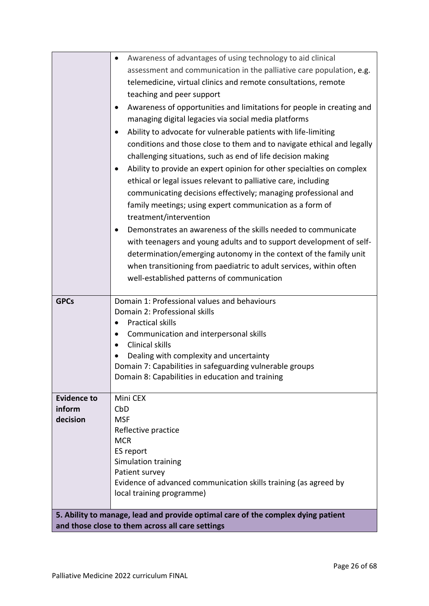|                    | Awareness of advantages of using technology to aid clinical                      |
|--------------------|----------------------------------------------------------------------------------|
|                    | assessment and communication in the palliative care population, e.g.             |
|                    | telemedicine, virtual clinics and remote consultations, remote                   |
|                    | teaching and peer support                                                        |
|                    | Awareness of opportunities and limitations for people in creating and            |
|                    | managing digital legacies via social media platforms                             |
|                    | Ability to advocate for vulnerable patients with life-limiting<br>$\bullet$      |
|                    | conditions and those close to them and to navigate ethical and legally           |
|                    | challenging situations, such as end of life decision making                      |
|                    | Ability to provide an expert opinion for other specialties on complex            |
|                    | ethical or legal issues relevant to palliative care, including                   |
|                    | communicating decisions effectively; managing professional and                   |
|                    | family meetings; using expert communication as a form of                         |
|                    | treatment/intervention                                                           |
|                    | Demonstrates an awareness of the skills needed to communicate                    |
|                    | with teenagers and young adults and to support development of self-              |
|                    | determination/emerging autonomy in the context of the family unit                |
|                    | when transitioning from paediatric to adult services, within often               |
|                    | well-established patterns of communication                                       |
|                    |                                                                                  |
| <b>GPCs</b>        | Domain 1: Professional values and behaviours                                     |
|                    | Domain 2: Professional skills                                                    |
|                    | <b>Practical skills</b>                                                          |
|                    | Communication and interpersonal skills<br>Clinical skills                        |
|                    | Dealing with complexity and uncertainty                                          |
|                    | Domain 7: Capabilities in safeguarding vulnerable groups                         |
|                    | Domain 8: Capabilities in education and training                                 |
|                    |                                                                                  |
| <b>Evidence to</b> | Mini CEX                                                                         |
| inform<br>decision | CbD                                                                              |
|                    | <b>MSF</b><br>Reflective practice                                                |
|                    | <b>MCR</b>                                                                       |
|                    | ES report                                                                        |
|                    | Simulation training                                                              |
|                    | Patient survey                                                                   |
|                    | Evidence of advanced communication skills training (as agreed by                 |
|                    | local training programme)                                                        |
|                    | 5. Ability to manage, lead and provide optimal care of the complex dying patient |
|                    | and those close to them across all care settings                                 |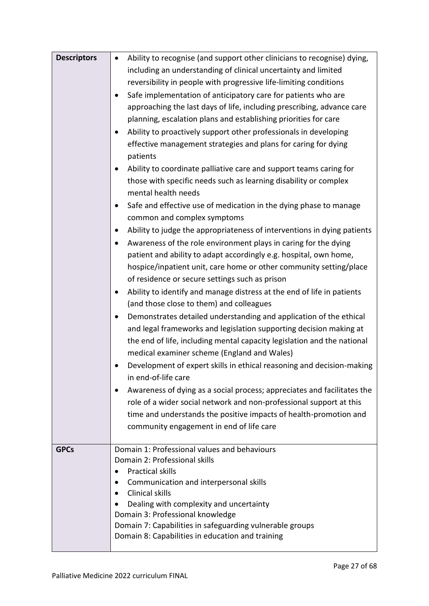| <b>Descriptors</b> | Ability to recognise (and support other clinicians to recognise) dying,<br>$\bullet$<br>including an understanding of clinical uncertainty and limited<br>reversibility in people with progressive life-limiting conditions<br>Safe implementation of anticipatory care for patients who are                                                                                            |
|--------------------|-----------------------------------------------------------------------------------------------------------------------------------------------------------------------------------------------------------------------------------------------------------------------------------------------------------------------------------------------------------------------------------------|
|                    | approaching the last days of life, including prescribing, advance care<br>planning, escalation plans and establishing priorities for care<br>Ability to proactively support other professionals in developing<br>effective management strategies and plans for caring for dying<br>patients<br>Ability to coordinate palliative care and support teams caring for                       |
|                    | those with specific needs such as learning disability or complex<br>mental health needs<br>Safe and effective use of medication in the dying phase to manage<br>common and complex symptoms<br>Ability to judge the appropriateness of interventions in dying patients                                                                                                                  |
|                    | Awareness of the role environment plays in caring for the dying<br>patient and ability to adapt accordingly e.g. hospital, own home,<br>hospice/inpatient unit, care home or other community setting/place<br>of residence or secure settings such as prison<br>Ability to identify and manage distress at the end of life in patients<br>٠<br>(and those close to them) and colleagues |
|                    | Demonstrates detailed understanding and application of the ethical<br>and legal frameworks and legislation supporting decision making at<br>the end of life, including mental capacity legislation and the national<br>medical examiner scheme (England and Wales)<br>Development of expert skills in ethical reasoning and decision-making<br>in end-of-life care                      |
|                    | Awareness of dying as a social process; appreciates and facilitates the<br>role of a wider social network and non-professional support at this<br>time and understands the positive impacts of health-promotion and<br>community engagement in end of life care                                                                                                                         |
| <b>GPCs</b>        | Domain 1: Professional values and behaviours<br>Domain 2: Professional skills<br><b>Practical skills</b><br>Communication and interpersonal skills<br>Clinical skills<br>Dealing with complexity and uncertainty<br>Domain 3: Professional knowledge<br>Domain 7: Capabilities in safeguarding vulnerable groups<br>Domain 8: Capabilities in education and training                    |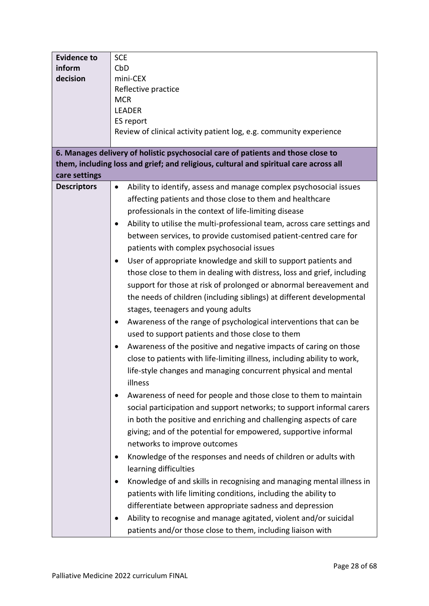| <b>Evidence to</b> | <b>SCE</b>                                                                            |
|--------------------|---------------------------------------------------------------------------------------|
| inform             | CbD                                                                                   |
| decision           | mini-CEX                                                                              |
|                    | Reflective practice                                                                   |
|                    | <b>MCR</b>                                                                            |
|                    | <b>LEADER</b>                                                                         |
|                    | ES report                                                                             |
|                    | Review of clinical activity patient log, e.g. community experience                    |
|                    |                                                                                       |
|                    | 6. Manages delivery of holistic psychosocial care of patients and those close to      |
|                    | them, including loss and grief; and religious, cultural and spiritual care across all |
| care settings      |                                                                                       |
| <b>Descriptors</b> | Ability to identify, assess and manage complex psychosocial issues<br>$\bullet$       |
|                    | affecting patients and those close to them and healthcare                             |
|                    | professionals in the context of life-limiting disease                                 |
|                    | Ability to utilise the multi-professional team, across care settings and<br>$\bullet$ |
|                    | between services, to provide customised patient-centred care for                      |
|                    |                                                                                       |
|                    | patients with complex psychosocial issues                                             |
|                    | User of appropriate knowledge and skill to support patients and<br>$\bullet$          |
|                    | those close to them in dealing with distress, loss and grief, including               |
|                    | support for those at risk of prolonged or abnormal bereavement and                    |
|                    | the needs of children (including siblings) at different developmental                 |
|                    | stages, teenagers and young adults                                                    |
|                    | Awareness of the range of psychological interventions that can be<br>$\bullet$        |
|                    | used to support patients and those close to them                                      |
|                    |                                                                                       |
|                    | Awareness of the positive and negative impacts of caring on those<br>٠                |
|                    | close to patients with life-limiting illness, including ability to work,              |
|                    | life-style changes and managing concurrent physical and mental                        |
|                    | illness                                                                               |
|                    | Awareness of need for people and those close to them to maintain<br>$\bullet$         |
|                    | social participation and support networks; to support informal carers                 |
|                    | in both the positive and enriching and challenging aspects of care                    |
|                    | giving; and of the potential for empowered, supportive informal                       |
|                    | networks to improve outcomes                                                          |
|                    |                                                                                       |
|                    | Knowledge of the responses and needs of children or adults with<br>$\bullet$          |
|                    | learning difficulties                                                                 |
|                    | Knowledge of and skills in recognising and managing mental illness in<br>$\bullet$    |
|                    | patients with life limiting conditions, including the ability to                      |
|                    | differentiate between appropriate sadness and depression                              |
|                    | Ability to recognise and manage agitated, violent and/or suicidal<br>$\bullet$        |
|                    | patients and/or those close to them, including liaison with                           |
|                    |                                                                                       |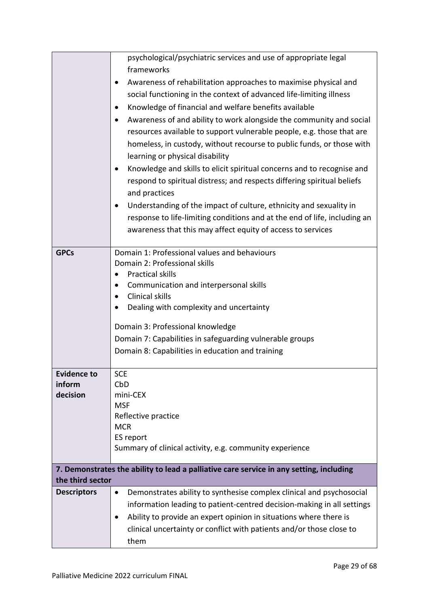|                                          | psychological/psychiatric services and use of appropriate legal<br>frameworks<br>Awareness of rehabilitation approaches to maximise physical and<br>social functioning in the context of advanced life-limiting illness<br>Knowledge of financial and welfare benefits available<br>Awareness of and ability to work alongside the community and social<br>resources available to support vulnerable people, e.g. those that are<br>homeless, in custody, without recourse to public funds, or those with<br>learning or physical disability<br>Knowledge and skills to elicit spiritual concerns and to recognise and<br>respond to spiritual distress; and respects differing spiritual beliefs<br>and practices<br>Understanding of the impact of culture, ethnicity and sexuality in<br>$\bullet$<br>response to life-limiting conditions and at the end of life, including an<br>awareness that this may affect equity of access to services |
|------------------------------------------|---------------------------------------------------------------------------------------------------------------------------------------------------------------------------------------------------------------------------------------------------------------------------------------------------------------------------------------------------------------------------------------------------------------------------------------------------------------------------------------------------------------------------------------------------------------------------------------------------------------------------------------------------------------------------------------------------------------------------------------------------------------------------------------------------------------------------------------------------------------------------------------------------------------------------------------------------|
| <b>GPCs</b>                              | Domain 1: Professional values and behaviours<br>Domain 2: Professional skills<br><b>Practical skills</b><br>Communication and interpersonal skills<br>Clinical skills<br>Dealing with complexity and uncertainty<br>Domain 3: Professional knowledge<br>Domain 7: Capabilities in safeguarding vulnerable groups<br>Domain 8: Capabilities in education and training                                                                                                                                                                                                                                                                                                                                                                                                                                                                                                                                                                              |
| <b>Evidence to</b><br>inform<br>decision | <b>SCE</b><br>CbD<br>mini-CEX<br><b>MSF</b><br>Reflective practice<br><b>MCR</b><br>ES report<br>Summary of clinical activity, e.g. community experience                                                                                                                                                                                                                                                                                                                                                                                                                                                                                                                                                                                                                                                                                                                                                                                          |
| the third sector                         | 7. Demonstrates the ability to lead a palliative care service in any setting, including                                                                                                                                                                                                                                                                                                                                                                                                                                                                                                                                                                                                                                                                                                                                                                                                                                                           |
| <b>Descriptors</b>                       | Demonstrates ability to synthesise complex clinical and psychosocial<br>$\bullet$<br>information leading to patient-centred decision-making in all settings<br>Ability to provide an expert opinion in situations where there is<br>clinical uncertainty or conflict with patients and/or those close to<br>them                                                                                                                                                                                                                                                                                                                                                                                                                                                                                                                                                                                                                                  |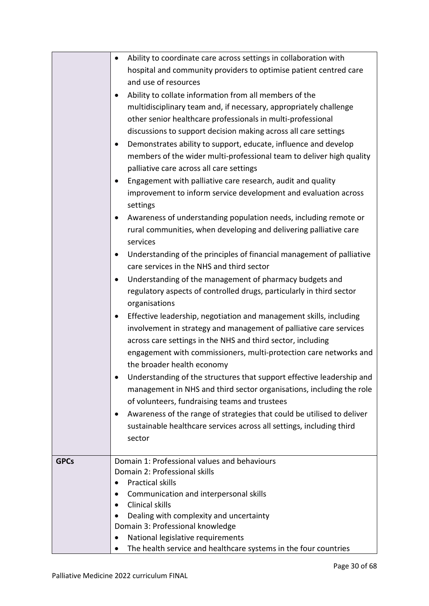|             | Ability to coordinate care across settings in collaboration with<br>$\bullet$       |
|-------------|-------------------------------------------------------------------------------------|
|             | hospital and community providers to optimise patient centred care                   |
|             | and use of resources                                                                |
|             | Ability to collate information from all members of the<br>$\bullet$                 |
|             | multidisciplinary team and, if necessary, appropriately challenge                   |
|             | other senior healthcare professionals in multi-professional                         |
|             | discussions to support decision making across all care settings                     |
|             | Demonstrates ability to support, educate, influence and develop                     |
|             | members of the wider multi-professional team to deliver high quality                |
|             | palliative care across all care settings                                            |
|             |                                                                                     |
|             | Engagement with palliative care research, audit and quality                         |
|             | improvement to inform service development and evaluation across<br>settings         |
|             | Awareness of understanding population needs, including remote or<br>$\bullet$       |
|             | rural communities, when developing and delivering palliative care                   |
|             | services                                                                            |
|             | Understanding of the principles of financial management of palliative<br>$\bullet$  |
|             | care services in the NHS and third sector                                           |
|             | Understanding of the management of pharmacy budgets and<br>$\bullet$                |
|             | regulatory aspects of controlled drugs, particularly in third sector                |
|             | organisations                                                                       |
|             | Effective leadership, negotiation and management skills, including                  |
|             | involvement in strategy and management of palliative care services                  |
|             | across care settings in the NHS and third sector, including                         |
|             | engagement with commissioners, multi-protection care networks and                   |
|             | the broader health economy                                                          |
|             | Understanding of the structures that support effective leadership and               |
|             | management in NHS and third sector organisations, including the role                |
|             | of volunteers, fundraising teams and trustees                                       |
|             | Awareness of the range of strategies that could be utilised to deliver<br>$\bullet$ |
|             | sustainable healthcare services across all settings, including third                |
|             | sector                                                                              |
|             |                                                                                     |
| <b>GPCs</b> | Domain 1: Professional values and behaviours                                        |
|             | Domain 2: Professional skills                                                       |
|             | <b>Practical skills</b><br>$\bullet$                                                |
|             | Communication and interpersonal skills                                              |
|             | Clinical skills<br>$\bullet$                                                        |
|             | Dealing with complexity and uncertainty                                             |
|             | Domain 3: Professional knowledge                                                    |
|             | National legislative requirements                                                   |
|             | The health service and healthcare systems in the four countries                     |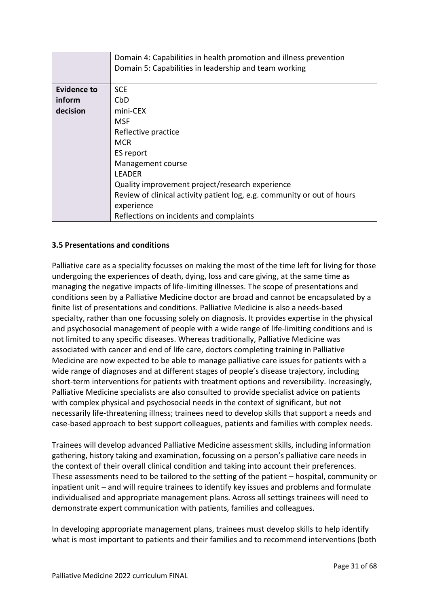|                    | Domain 4: Capabilities in health promotion and illness prevention<br>Domain 5: Capabilities in leadership and team working |
|--------------------|----------------------------------------------------------------------------------------------------------------------------|
|                    |                                                                                                                            |
| <b>Evidence to</b> | <b>SCE</b>                                                                                                                 |
| inform             | CbD                                                                                                                        |
| decision           | mini-CEX                                                                                                                   |
|                    | MSF                                                                                                                        |
|                    | Reflective practice                                                                                                        |
|                    | <b>MCR</b>                                                                                                                 |
|                    | ES report                                                                                                                  |
|                    | Management course                                                                                                          |
|                    | LEADER                                                                                                                     |
|                    | Quality improvement project/research experience                                                                            |
|                    | Review of clinical activity patient log, e.g. community or out of hours                                                    |
|                    | experience                                                                                                                 |
|                    | Reflections on incidents and complaints                                                                                    |

# <span id="page-30-0"></span>**3.5 Presentations and conditions**

Palliative care as a speciality focusses on making the most of the time left for living for those undergoing the experiences of death, dying, loss and care giving, at the same time as managing the negative impacts of life-limiting illnesses. The scope of presentations and conditions seen by a Palliative Medicine doctor are broad and cannot be encapsulated by a finite list of presentations and conditions. Palliative Medicine is also a needs-based specialty, rather than one focussing solely on diagnosis. It provides expertise in the physical and psychosocial management of people with a wide range of life-limiting conditions and is not limited to any specific diseases. Whereas traditionally, Palliative Medicine was associated with cancer and end of life care, doctors completing training in Palliative Medicine are now expected to be able to manage palliative care issues for patients with a wide range of diagnoses and at different stages of people's disease trajectory, including short-term interventions for patients with treatment options and reversibility. Increasingly, Palliative Medicine specialists are also consulted to provide specialist advice on patients with complex physical and psychosocial needs in the context of significant, but not necessarily life-threatening illness; trainees need to develop skills that support a needs and case-based approach to best support colleagues, patients and families with complex needs.

Trainees will develop advanced Palliative Medicine assessment skills, including information gathering, history taking and examination, focussing on a person's palliative care needs in the context of their overall clinical condition and taking into account their preferences. These assessments need to be tailored to the setting of the patient – hospital, community or inpatient unit – and will require trainees to identify key issues and problems and formulate individualised and appropriate management plans. Across all settings trainees will need to demonstrate expert communication with patients, families and colleagues.

In developing appropriate management plans, trainees must develop skills to help identify what is most important to patients and their families and to recommend interventions (both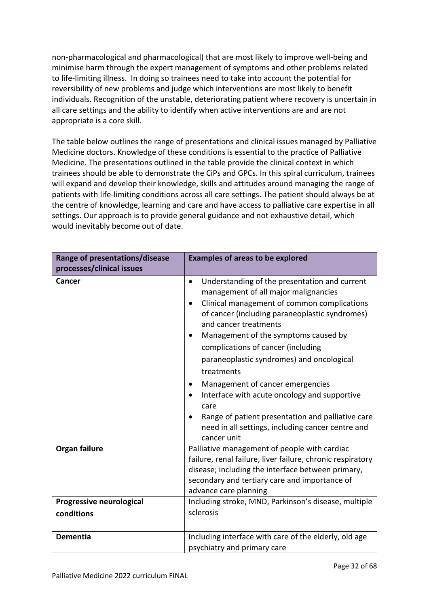non-pharmacological and pharmacological) that are most likely to improve well-being and minimise harm through the expert management of symptoms and other problems related to life-limiting illness. In doing so trainees need to take into account the potential for reversibility of new problems and judge which interventions are most likely to benefit individuals. Recognition of the unstable, deteriorating patient where recovery is uncertain in all care settings and the ability to identify when active interventions are and are not appropriate is a core skill.

The table below outlines the range of presentations and clinical issues managed by Palliative Medicine doctors. Knowledge of these conditions is essential to the practice of Palliative Medicine. The presentations outlined in the table provide the clinical context in which trainees should be able to demonstrate the CiPs and GPCs. In this spiral curriculum, trainees will expand and develop their knowledge, skills and attitudes around managing the range of patients with life-limiting conditions across all care settings. The patient should always be at the centre of knowledge, learning and care and have access to palliative care expertise in all settings. Our approach is to provide general guidance and not exhaustive detail, which would inevitably become out of date.

| Range of presentations/disease<br>processes/clinical issues | <b>Examples of areas to be explored</b>                                                                                                                                                                                                                                                                                                                                                                                                                                                                                                                                                    |
|-------------------------------------------------------------|--------------------------------------------------------------------------------------------------------------------------------------------------------------------------------------------------------------------------------------------------------------------------------------------------------------------------------------------------------------------------------------------------------------------------------------------------------------------------------------------------------------------------------------------------------------------------------------------|
| Cancer                                                      | Understanding of the presentation and current<br>$\bullet$<br>management of all major malignancies<br>Clinical management of common complications<br>of cancer (including paraneoplastic syndromes)<br>and cancer treatments<br>Management of the symptoms caused by<br>complications of cancer (including<br>paraneoplastic syndromes) and oncological<br>treatments<br>Management of cancer emergencies<br>Interface with acute oncology and supportive<br>care<br>Range of patient presentation and palliative care<br>need in all settings, including cancer centre and<br>cancer unit |
| Organ failure<br>Progressive neurological                   | Palliative management of people with cardiac<br>failure, renal failure, liver failure, chronic respiratory<br>disease; including the interface between primary,<br>secondary and tertiary care and importance of<br>advance care planning<br>Including stroke, MND, Parkinson's disease, multiple                                                                                                                                                                                                                                                                                          |
| conditions                                                  | sclerosis                                                                                                                                                                                                                                                                                                                                                                                                                                                                                                                                                                                  |
| Dementia                                                    | Including interface with care of the elderly, old age<br>psychiatry and primary care                                                                                                                                                                                                                                                                                                                                                                                                                                                                                                       |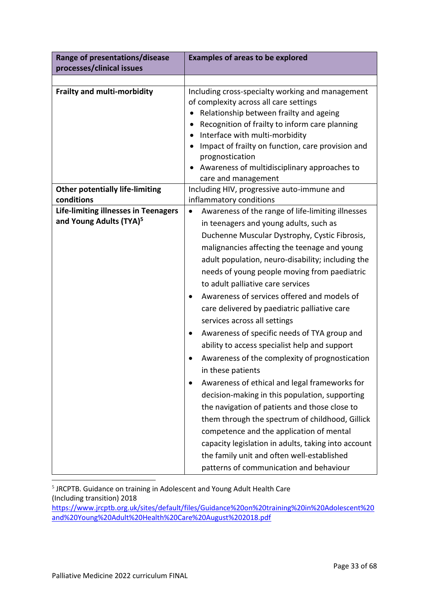| Range of presentations/disease                                                     | <b>Examples of areas to be explored</b>                                                                                                                                                                                                                                                                                                                                                                                                                                                                                                                                                                                                                                                                                                                                                                                                                                                                                                                                                                                                                            |
|------------------------------------------------------------------------------------|--------------------------------------------------------------------------------------------------------------------------------------------------------------------------------------------------------------------------------------------------------------------------------------------------------------------------------------------------------------------------------------------------------------------------------------------------------------------------------------------------------------------------------------------------------------------------------------------------------------------------------------------------------------------------------------------------------------------------------------------------------------------------------------------------------------------------------------------------------------------------------------------------------------------------------------------------------------------------------------------------------------------------------------------------------------------|
| processes/clinical issues                                                          |                                                                                                                                                                                                                                                                                                                                                                                                                                                                                                                                                                                                                                                                                                                                                                                                                                                                                                                                                                                                                                                                    |
|                                                                                    |                                                                                                                                                                                                                                                                                                                                                                                                                                                                                                                                                                                                                                                                                                                                                                                                                                                                                                                                                                                                                                                                    |
| <b>Frailty and multi-morbidity</b>                                                 | Including cross-specialty working and management<br>of complexity across all care settings<br>Relationship between frailty and ageing<br>$\bullet$<br>Recognition of frailty to inform care planning<br>Interface with multi-morbidity<br>$\bullet$<br>Impact of frailty on function, care provision and<br>prognostication<br>Awareness of multidisciplinary approaches to<br>care and management                                                                                                                                                                                                                                                                                                                                                                                                                                                                                                                                                                                                                                                                 |
| <b>Other potentially life-limiting</b>                                             | Including HIV, progressive auto-immune and                                                                                                                                                                                                                                                                                                                                                                                                                                                                                                                                                                                                                                                                                                                                                                                                                                                                                                                                                                                                                         |
| conditions                                                                         | inflammatory conditions                                                                                                                                                                                                                                                                                                                                                                                                                                                                                                                                                                                                                                                                                                                                                                                                                                                                                                                                                                                                                                            |
| <b>Life-limiting illnesses in Teenagers</b><br>and Young Adults (TYA) <sup>5</sup> | Awareness of the range of life-limiting illnesses<br>$\bullet$<br>in teenagers and young adults, such as<br>Duchenne Muscular Dystrophy, Cystic Fibrosis,<br>malignancies affecting the teenage and young<br>adult population, neuro-disability; including the<br>needs of young people moving from paediatric<br>to adult palliative care services<br>Awareness of services offered and models of<br>care delivered by paediatric palliative care<br>services across all settings<br>Awareness of specific needs of TYA group and<br>٠<br>ability to access specialist help and support<br>Awareness of the complexity of prognostication<br>in these patients<br>Awareness of ethical and legal frameworks for<br>decision-making in this population, supporting<br>the navigation of patients and those close to<br>them through the spectrum of childhood, Gillick<br>competence and the application of mental<br>capacity legislation in adults, taking into account<br>the family unit and often well-established<br>patterns of communication and behaviour |

<sup>5</sup> JRCPTB. Guidance on training in Adolescent and Young Adult Health Care (Including transition) 2018

[https://www.jrcptb.org.uk/sites/default/files/Guidance%20on%20training%20in%20Adolescent%20](https://www.jrcptb.org.uk/sites/default/files/Guidance%20on%20training%20in%20Adolescent%20and%20Young%20Adult%20Health%20Care%20August%202018.pdf) [and%20Young%20Adult%20Health%20Care%20August%202018.pdf](https://www.jrcptb.org.uk/sites/default/files/Guidance%20on%20training%20in%20Adolescent%20and%20Young%20Adult%20Health%20Care%20August%202018.pdf)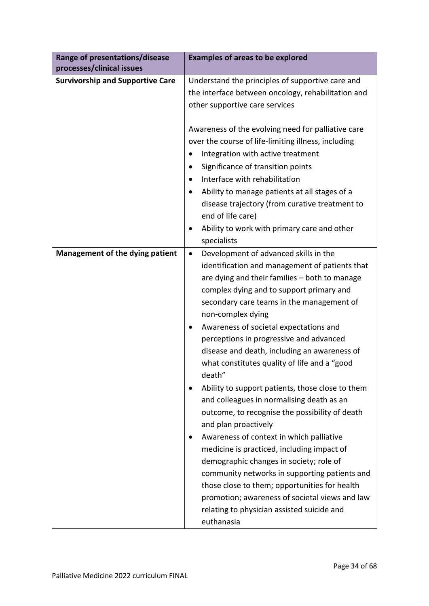| Range of presentations/disease                                       | <b>Examples of areas to be explored</b>                                                         |  |  |
|----------------------------------------------------------------------|-------------------------------------------------------------------------------------------------|--|--|
| processes/clinical issues<br><b>Survivorship and Supportive Care</b> | Understand the principles of supportive care and                                                |  |  |
|                                                                      | the interface between oncology, rehabilitation and                                              |  |  |
|                                                                      | other supportive care services                                                                  |  |  |
|                                                                      |                                                                                                 |  |  |
|                                                                      | Awareness of the evolving need for palliative care                                              |  |  |
|                                                                      | over the course of life-limiting illness, including                                             |  |  |
|                                                                      | Integration with active treatment                                                               |  |  |
|                                                                      | Significance of transition points                                                               |  |  |
|                                                                      | Interface with rehabilitation                                                                   |  |  |
|                                                                      | Ability to manage patients at all stages of a<br>disease trajectory (from curative treatment to |  |  |
|                                                                      | end of life care)                                                                               |  |  |
|                                                                      | Ability to work with primary care and other                                                     |  |  |
|                                                                      | specialists                                                                                     |  |  |
| Management of the dying patient                                      | Development of advanced skills in the<br>$\bullet$                                              |  |  |
|                                                                      | identification and management of patients that                                                  |  |  |
|                                                                      | are dying and their families - both to manage                                                   |  |  |
|                                                                      | complex dying and to support primary and                                                        |  |  |
|                                                                      | secondary care teams in the management of                                                       |  |  |
|                                                                      | non-complex dying                                                                               |  |  |
|                                                                      | Awareness of societal expectations and                                                          |  |  |
|                                                                      | perceptions in progressive and advanced                                                         |  |  |
|                                                                      | disease and death, including an awareness of                                                    |  |  |
|                                                                      | what constitutes quality of life and a "good                                                    |  |  |
|                                                                      | death"                                                                                          |  |  |
|                                                                      | Ability to support patients, those close to them<br>and colleagues in normalising death as an   |  |  |
|                                                                      | outcome, to recognise the possibility of death                                                  |  |  |
|                                                                      | and plan proactively                                                                            |  |  |
|                                                                      | Awareness of context in which palliative                                                        |  |  |
|                                                                      | medicine is practiced, including impact of                                                      |  |  |
|                                                                      | demographic changes in society; role of                                                         |  |  |
|                                                                      | community networks in supporting patients and                                                   |  |  |
|                                                                      | those close to them; opportunities for health                                                   |  |  |
|                                                                      | promotion; awareness of societal views and law                                                  |  |  |
|                                                                      | relating to physician assisted suicide and                                                      |  |  |
|                                                                      | euthanasia                                                                                      |  |  |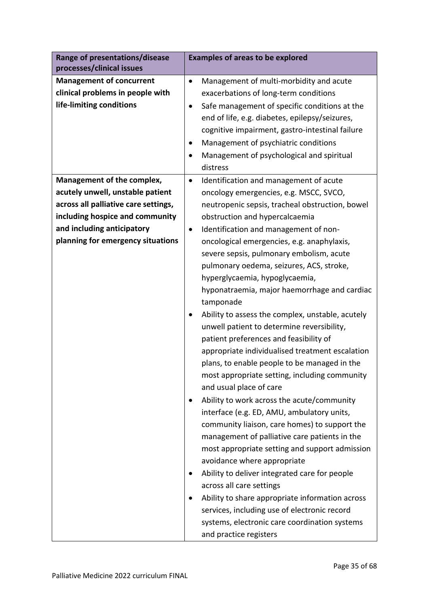| Range of presentations/disease<br>processes/clinical issues                                                                                                                                                                            | <b>Examples of areas to be explored</b>                                                                                                                                                                                                                                                                                                                                                                                                                                                                                                                                                                                                                                                                                                                                                                                                                                                                                                                                                                                                                                                                                                                                                                                                                                                        |
|----------------------------------------------------------------------------------------------------------------------------------------------------------------------------------------------------------------------------------------|------------------------------------------------------------------------------------------------------------------------------------------------------------------------------------------------------------------------------------------------------------------------------------------------------------------------------------------------------------------------------------------------------------------------------------------------------------------------------------------------------------------------------------------------------------------------------------------------------------------------------------------------------------------------------------------------------------------------------------------------------------------------------------------------------------------------------------------------------------------------------------------------------------------------------------------------------------------------------------------------------------------------------------------------------------------------------------------------------------------------------------------------------------------------------------------------------------------------------------------------------------------------------------------------|
| <b>Management of concurrent</b><br>$\bullet$<br>clinical problems in people with<br>life-limiting conditions<br>$\bullet$<br>٠                                                                                                         | Management of multi-morbidity and acute<br>exacerbations of long-term conditions<br>Safe management of specific conditions at the<br>end of life, e.g. diabetes, epilepsy/seizures,<br>cognitive impairment, gastro-intestinal failure<br>Management of psychiatric conditions<br>Management of psychological and spiritual<br>distress                                                                                                                                                                                                                                                                                                                                                                                                                                                                                                                                                                                                                                                                                                                                                                                                                                                                                                                                                        |
| Management of the complex,<br>$\bullet$<br>acutely unwell, unstable patient<br>across all palliative care settings,<br>including hospice and community<br>and including anticipatory<br>$\bullet$<br>planning for emergency situations | Identification and management of acute<br>oncology emergencies, e.g. MSCC, SVCO,<br>neutropenic sepsis, tracheal obstruction, bowel<br>obstruction and hypercalcaemia<br>Identification and management of non-<br>oncological emergencies, e.g. anaphylaxis,<br>severe sepsis, pulmonary embolism, acute<br>pulmonary oedema, seizures, ACS, stroke,<br>hyperglycaemia, hypoglycaemia,<br>hyponatraemia, major haemorrhage and cardiac<br>tamponade<br>Ability to assess the complex, unstable, acutely<br>unwell patient to determine reversibility,<br>patient preferences and feasibility of<br>appropriate individualised treatment escalation<br>plans, to enable people to be managed in the<br>most appropriate setting, including community<br>and usual place of care<br>Ability to work across the acute/community<br>interface (e.g. ED, AMU, ambulatory units,<br>community liaison, care homes) to support the<br>management of palliative care patients in the<br>most appropriate setting and support admission<br>avoidance where appropriate<br>Ability to deliver integrated care for people<br>across all care settings<br>Ability to share appropriate information across<br>services, including use of electronic record<br>systems, electronic care coordination systems |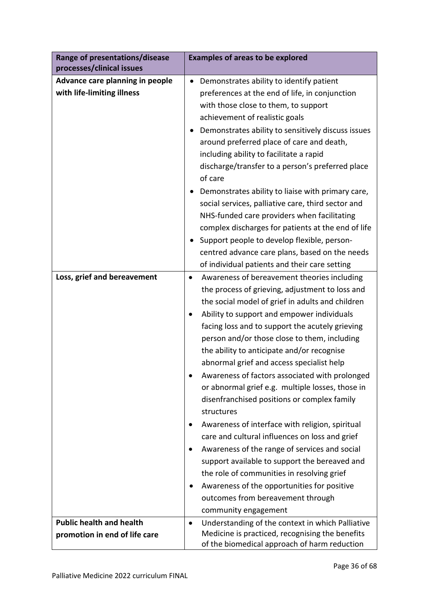| Range of presentations/disease<br>processes/clinical issues   | <b>Examples of areas to be explored</b>                                                         |
|---------------------------------------------------------------|-------------------------------------------------------------------------------------------------|
| Advance care planning in people<br>with life-limiting illness | Demonstrates ability to identify patient                                                        |
|                                                               | preferences at the end of life, in conjunction                                                  |
|                                                               | with those close to them, to support<br>achievement of realistic goals                          |
|                                                               | Demonstrates ability to sensitively discuss issues                                              |
|                                                               | around preferred place of care and death,                                                       |
|                                                               | including ability to facilitate a rapid                                                         |
|                                                               | discharge/transfer to a person's preferred place                                                |
|                                                               | of care                                                                                         |
|                                                               | Demonstrates ability to liaise with primary care,                                               |
|                                                               | social services, palliative care, third sector and                                              |
|                                                               | NHS-funded care providers when facilitating                                                     |
|                                                               | complex discharges for patients at the end of life                                              |
|                                                               | Support people to develop flexible, person-                                                     |
|                                                               | centred advance care plans, based on the needs                                                  |
|                                                               | of individual patients and their care setting                                                   |
| Loss, grief and bereavement                                   | Awareness of bereavement theories including<br>$\bullet$                                        |
|                                                               | the process of grieving, adjustment to loss and                                                 |
|                                                               | the social model of grief in adults and children                                                |
|                                                               | Ability to support and empower individuals                                                      |
|                                                               | facing loss and to support the acutely grieving                                                 |
|                                                               | person and/or those close to them, including                                                    |
|                                                               | the ability to anticipate and/or recognise                                                      |
|                                                               | abnormal grief and access specialist help                                                       |
|                                                               | Awareness of factors associated with prolonged                                                  |
|                                                               | or abnormal grief e.g. multiple losses, those in                                                |
|                                                               | disenfranchised positions or complex family                                                     |
|                                                               | structures                                                                                      |
|                                                               | Awareness of interface with religion, spiritual                                                 |
|                                                               | care and cultural influences on loss and grief                                                  |
|                                                               | Awareness of the range of services and social                                                   |
|                                                               | support available to support the bereaved and                                                   |
|                                                               | the role of communities in resolving grief                                                      |
|                                                               | Awareness of the opportunities for positive                                                     |
|                                                               | outcomes from bereavement through                                                               |
|                                                               | community engagement                                                                            |
| <b>Public health and health</b>                               | Understanding of the context in which Palliative<br>$\bullet$                                   |
| promotion in end of life care                                 | Medicine is practiced, recognising the benefits<br>of the biomedical approach of harm reduction |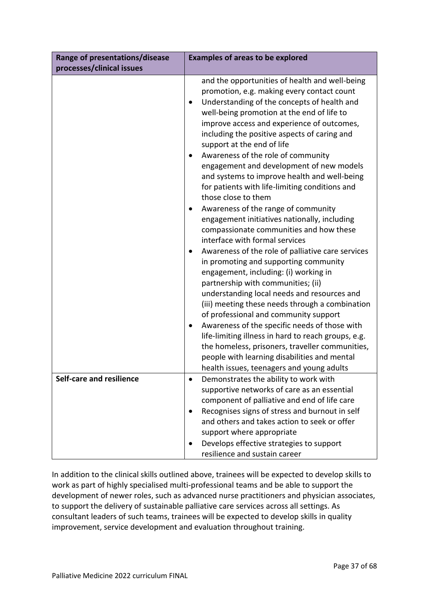| Range of presentations/disease  | <b>Examples of areas to be explored</b>                                                                                                                                                                                                                                                                                                                                                                                                                                                                                                                                                                                                                                                                                                                                                                                                                                                                                                                                                                                                                                                           |
|---------------------------------|---------------------------------------------------------------------------------------------------------------------------------------------------------------------------------------------------------------------------------------------------------------------------------------------------------------------------------------------------------------------------------------------------------------------------------------------------------------------------------------------------------------------------------------------------------------------------------------------------------------------------------------------------------------------------------------------------------------------------------------------------------------------------------------------------------------------------------------------------------------------------------------------------------------------------------------------------------------------------------------------------------------------------------------------------------------------------------------------------|
| processes/clinical issues       |                                                                                                                                                                                                                                                                                                                                                                                                                                                                                                                                                                                                                                                                                                                                                                                                                                                                                                                                                                                                                                                                                                   |
|                                 | and the opportunities of health and well-being<br>promotion, e.g. making every contact count<br>Understanding of the concepts of health and<br>٠<br>well-being promotion at the end of life to<br>improve access and experience of outcomes,<br>including the positive aspects of caring and<br>support at the end of life<br>Awareness of the role of community<br>engagement and development of new models<br>and systems to improve health and well-being<br>for patients with life-limiting conditions and<br>those close to them<br>Awareness of the range of community<br>٠<br>engagement initiatives nationally, including<br>compassionate communities and how these<br>interface with formal services<br>Awareness of the role of palliative care services<br>٠<br>in promoting and supporting community<br>engagement, including: (i) working in<br>partnership with communities; (ii)<br>understanding local needs and resources and<br>(iii) meeting these needs through a combination<br>of professional and community support<br>Awareness of the specific needs of those with<br>٠ |
|                                 | life-limiting illness in hard to reach groups, e.g.<br>the homeless, prisoners, traveller communities,<br>people with learning disabilities and mental<br>health issues, teenagers and young adults                                                                                                                                                                                                                                                                                                                                                                                                                                                                                                                                                                                                                                                                                                                                                                                                                                                                                               |
| <b>Self-care and resilience</b> | Demonstrates the ability to work with                                                                                                                                                                                                                                                                                                                                                                                                                                                                                                                                                                                                                                                                                                                                                                                                                                                                                                                                                                                                                                                             |
|                                 | supportive networks of care as an essential                                                                                                                                                                                                                                                                                                                                                                                                                                                                                                                                                                                                                                                                                                                                                                                                                                                                                                                                                                                                                                                       |
|                                 | component of palliative and end of life care                                                                                                                                                                                                                                                                                                                                                                                                                                                                                                                                                                                                                                                                                                                                                                                                                                                                                                                                                                                                                                                      |
|                                 | Recognises signs of stress and burnout in self                                                                                                                                                                                                                                                                                                                                                                                                                                                                                                                                                                                                                                                                                                                                                                                                                                                                                                                                                                                                                                                    |
|                                 | and others and takes action to seek or offer                                                                                                                                                                                                                                                                                                                                                                                                                                                                                                                                                                                                                                                                                                                                                                                                                                                                                                                                                                                                                                                      |
|                                 | support where appropriate                                                                                                                                                                                                                                                                                                                                                                                                                                                                                                                                                                                                                                                                                                                                                                                                                                                                                                                                                                                                                                                                         |
|                                 | Develops effective strategies to support                                                                                                                                                                                                                                                                                                                                                                                                                                                                                                                                                                                                                                                                                                                                                                                                                                                                                                                                                                                                                                                          |
|                                 | resilience and sustain career                                                                                                                                                                                                                                                                                                                                                                                                                                                                                                                                                                                                                                                                                                                                                                                                                                                                                                                                                                                                                                                                     |

In addition to the clinical skills outlined above, trainees will be expected to develop skills to work as part of highly specialised multi-professional teams and be able to support the development of newer roles, such as advanced nurse practitioners and physician associates, to support the delivery of sustainable palliative care services across all settings. As consultant leaders of such teams, trainees will be expected to develop skills in quality improvement, service development and evaluation throughout training.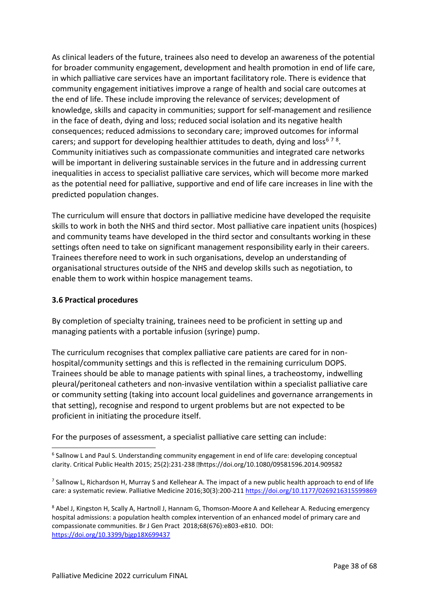As clinical leaders of the future, trainees also need to develop an awareness of the potential for broader community engagement, development and health promotion in end of life care, in which palliative care services have an important facilitatory role. There is evidence that community engagement initiatives improve a range of health and social care outcomes at the end of life. These include improving the relevance of services; development of knowledge, skills and capacity in communities; support for self-management and resilience in the face of death, dying and loss; reduced social isolation and its negative health consequences; reduced admissions to secondary care; improved outcomes for informal carers; and support for developing healthier attitudes to death, dying and loss<sup>678</sup>. Community initiatives such as compassionate communities and integrated care networks will be important in delivering sustainable services in the future and in addressing current inequalities in access to specialist palliative care services, which will become more marked as the potential need for palliative, supportive and end of life care increases in line with the predicted population changes.

The curriculum will ensure that doctors in palliative medicine have developed the requisite skills to work in both the NHS and third sector. Most palliative care inpatient units (hospices) and community teams have developed in the third sector and consultants working in these settings often need to take on significant management responsibility early in their careers. Trainees therefore need to work in such organisations, develop an understanding of organisational structures outside of the NHS and develop skills such as negotiation, to enable them to work within hospice management teams.

# <span id="page-37-0"></span>**3.6 Practical procedures**

By completion of specialty training, trainees need to be proficient in setting up and managing patients with a portable infusion (syringe) pump.

The curriculum recognises that complex palliative care patients are cared for in nonhospital/community settings and this is reflected in the remaining curriculum DOPS. Trainees should be able to manage patients with spinal lines, a tracheostomy, indwelling pleural/peritoneal catheters and non-invasive ventilation within a specialist palliative care or community setting (taking into account local guidelines and governance arrangements in that setting), recognise and respond to urgent problems but are not expected to be proficient in initiating the procedure itself.

For the purposes of assessment, a specialist palliative care setting can include:

 $^7$  Sallnow L, Richardson H, Murray S and Kellehear A. The impact of a new public health approach to end of life care: a systematic review. Palliative Medicine 2016;30(3):200-211<https://doi.org/10.1177/0269216315599869>

<sup>8</sup> Abel J, Kingston H, Scally A, Hartnoll J, Hannam G, Thomson-Moore A and Kellehear A. Reducing emergency hospital admissions: a population health complex intervention of an enhanced model of primary care and compassionate communities. Br J Gen Pract 2018;68(676):e803-e810. DOI: <https://doi.org/10.3399/bjgp18X699437>

<sup>&</sup>lt;sup>6</sup> Sallnow L and Paul S. Understanding community engagement in end of life care: developing conceptual clarity. Critical Public Health 2015; 25(2):231-238 https://doi.org/10.1080/09581596.2014.909582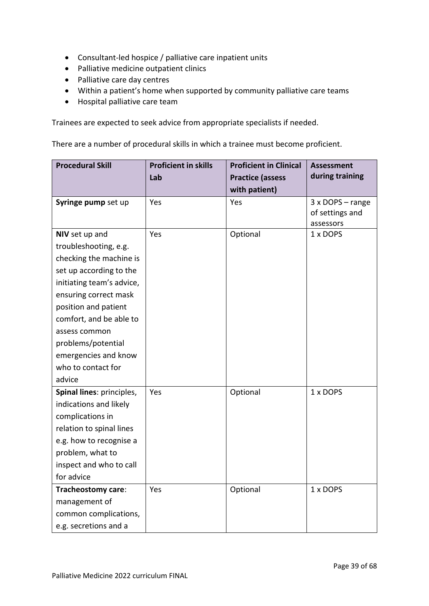- Consultant-led hospice / palliative care inpatient units
- Palliative medicine outpatient clinics
- Palliative care day centres
- Within a patient's home when supported by community palliative care teams
- Hospital palliative care team

Trainees are expected to seek advice from appropriate specialists if needed.

There are a number of procedural skills in which a trainee must become proficient.

| <b>Procedural Skill</b>   | <b>Proficient in skills</b> | <b>Proficient in Clinical</b> | <b>Assessment</b> |
|---------------------------|-----------------------------|-------------------------------|-------------------|
|                           | Lab                         | <b>Practice (assess</b>       | during training   |
|                           |                             | with patient)                 |                   |
| Syringe pump set up       | Yes                         | Yes                           | 3 x DOPS - range  |
|                           |                             |                               | of settings and   |
|                           |                             |                               | assessors         |
| NIV set up and            | Yes                         | Optional                      | 1 x DOPS          |
| troubleshooting, e.g.     |                             |                               |                   |
| checking the machine is   |                             |                               |                   |
| set up according to the   |                             |                               |                   |
| initiating team's advice, |                             |                               |                   |
| ensuring correct mask     |                             |                               |                   |
| position and patient      |                             |                               |                   |
| comfort, and be able to   |                             |                               |                   |
| assess common             |                             |                               |                   |
| problems/potential        |                             |                               |                   |
| emergencies and know      |                             |                               |                   |
| who to contact for        |                             |                               |                   |
| advice                    |                             |                               |                   |
| Spinal lines: principles, | Yes                         | Optional                      | 1 x DOPS          |
| indications and likely    |                             |                               |                   |
| complications in          |                             |                               |                   |
| relation to spinal lines  |                             |                               |                   |
| e.g. how to recognise a   |                             |                               |                   |
| problem, what to          |                             |                               |                   |
| inspect and who to call   |                             |                               |                   |
| for advice                |                             |                               |                   |
| Tracheostomy care:        | Yes                         | Optional                      | 1 x DOPS          |
| management of             |                             |                               |                   |
| common complications,     |                             |                               |                   |
| e.g. secretions and a     |                             |                               |                   |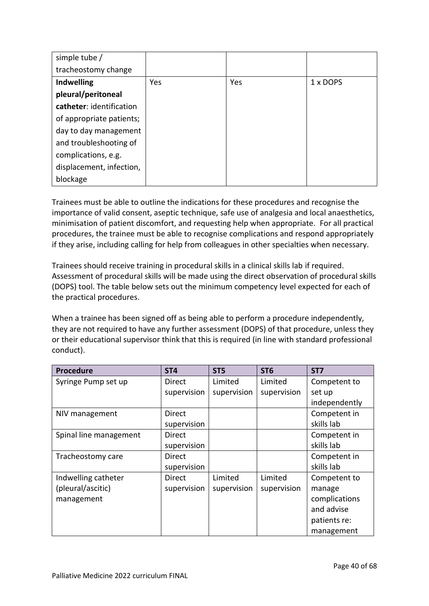| simple tube /            |     |     |          |
|--------------------------|-----|-----|----------|
| tracheostomy change      |     |     |          |
| <b>Indwelling</b>        | Yes | Yes | 1 x DOPS |
| pleural/peritoneal       |     |     |          |
| catheter: identification |     |     |          |
| of appropriate patients; |     |     |          |
| day to day management    |     |     |          |
| and troubleshooting of   |     |     |          |
| complications, e.g.      |     |     |          |
| displacement, infection, |     |     |          |
| blockage                 |     |     |          |

Trainees must be able to outline the indications for these procedures and recognise the importance of valid consent, aseptic technique, safe use of analgesia and local anaesthetics, minimisation of patient discomfort, and requesting help when appropriate. For all practical procedures, the trainee must be able to recognise complications and respond appropriately if they arise, including calling for help from colleagues in other specialties when necessary.

Trainees should receive training in procedural skills in a clinical skills lab if required. Assessment of procedural skills will be made using the direct observation of procedural skills (DOPS) tool. The table below sets out the minimum competency level expected for each of the practical procedures.

When a trainee has been signed off as being able to perform a procedure independently, they are not required to have any further assessment (DOPS) of that procedure, unless they or their educational supervisor think that this is required (in line with standard professional conduct).

| Procedure              | ST <sub>4</sub> | ST <sub>5</sub> | ST <sub>6</sub> | ST <sub>7</sub> |
|------------------------|-----------------|-----------------|-----------------|-----------------|
| Syringe Pump set up    | Direct          | Limited         | Limited         | Competent to    |
|                        | supervision     | supervision     | supervision     | set up          |
|                        |                 |                 |                 | independently   |
| NIV management         | Direct          |                 |                 | Competent in    |
|                        | supervision     |                 |                 | skills lab      |
| Spinal line management | <b>Direct</b>   |                 |                 | Competent in    |
|                        | supervision     |                 |                 | skills lab      |
| Tracheostomy care      | Direct          |                 |                 | Competent in    |
|                        | supervision     |                 |                 | skills lab      |
| Indwelling catheter    | <b>Direct</b>   | Limited         | Limited         | Competent to    |
| (pleural/ascitic)      | supervision     | supervision     | supervision     | manage          |
| management             |                 |                 |                 | complications   |
|                        |                 |                 |                 | and advise      |
|                        |                 |                 |                 | patients re:    |
|                        |                 |                 |                 | management      |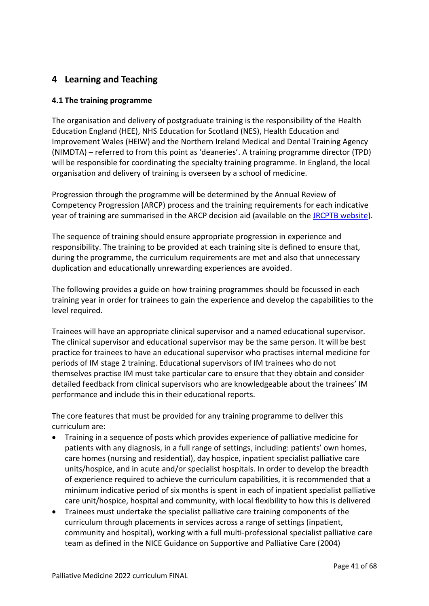# <span id="page-40-0"></span>**4 Learning and Teaching**

# <span id="page-40-1"></span>**4.1 The training programme**

The organisation and delivery of postgraduate training is the responsibility of the Health Education England (HEE), NHS Education for Scotland (NES), Health Education and Improvement Wales (HEIW) and the Northern Ireland Medical and Dental Training Agency (NIMDTA) – referred to from this point as 'deaneries'. A training programme director (TPD) will be responsible for coordinating the specialty training programme. In England, the local organisation and delivery of training is overseen by a school of medicine.

Progression through the programme will be determined by the Annual Review of Competency Progression (ARCP) process and the training requirements for each indicative year of training are summarised in the ARCP decision aid (available on the [JRCPTB website\)](http://www.jrcptb.org.uk/).

The sequence of training should ensure appropriate progression in experience and responsibility. The training to be provided at each training site is defined to ensure that, during the programme, the curriculum requirements are met and also that unnecessary duplication and educationally unrewarding experiences are avoided.

The following provides a guide on how training programmes should be focussed in each training year in order for trainees to gain the experience and develop the capabilities to the level required.

Trainees will have an appropriate clinical supervisor and a named educational supervisor. The clinical supervisor and educational supervisor may be the same person. It will be best practice for trainees to have an educational supervisor who practises internal medicine for periods of IM stage 2 training. Educational supervisors of IM trainees who do not themselves practise IM must take particular care to ensure that they obtain and consider detailed feedback from clinical supervisors who are knowledgeable about the trainees' IM performance and include this in their educational reports.

The core features that must be provided for any training programme to deliver this curriculum are:

- Training in a sequence of posts which provides experience of palliative medicine for patients with any diagnosis, in a full range of settings, including: patients' own homes, care homes (nursing and residential), day hospice, inpatient specialist palliative care units/hospice, and in acute and/or specialist hospitals. In order to develop the breadth of experience required to achieve the curriculum capabilities, it is recommended that a minimum indicative period of six months is spent in each of inpatient specialist palliative care unit/hospice, hospital and community, with local flexibility to how this is delivered
- Trainees must undertake the specialist palliative care training components of the curriculum through placements in services across a range of settings (inpatient, community and hospital), working with a full multi-professional specialist palliative care team as defined in the NICE Guidance on Supportive and Palliative Care (2004)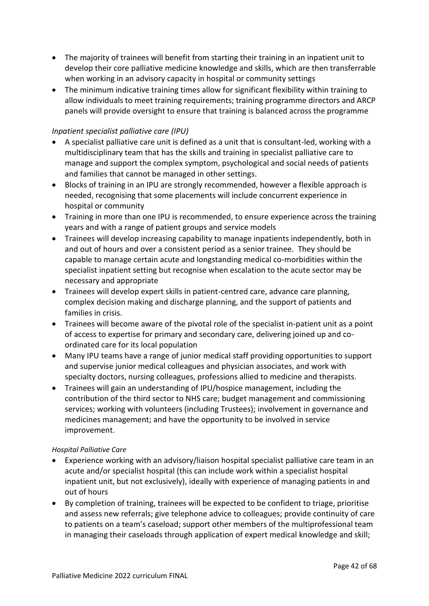- The majority of trainees will benefit from starting their training in an inpatient unit to develop their core palliative medicine knowledge and skills, which are then transferrable when working in an advisory capacity in hospital or community settings
- The minimum indicative training times allow for significant flexibility within training to allow individuals to meet training requirements; training programme directors and ARCP panels will provide oversight to ensure that training is balanced across the programme

# *Inpatient specialist palliative care (IPU)*

- A specialist palliative care unit is defined as a unit that is consultant-led, working with a multidisciplinary team that has the skills and training in specialist palliative care to manage and support the complex symptom, psychological and social needs of patients and families that cannot be managed in other settings.
- Blocks of training in an IPU are strongly recommended, however a flexible approach is needed, recognising that some placements will include concurrent experience in hospital or community
- Training in more than one IPU is recommended, to ensure experience across the training years and with a range of patient groups and service models
- Trainees will develop increasing capability to manage inpatients independently, both in and out of hours and over a consistent period as a senior trainee. They should be capable to manage certain acute and longstanding medical co-morbidities within the specialist inpatient setting but recognise when escalation to the acute sector may be necessary and appropriate
- Trainees will develop expert skills in patient-centred care, advance care planning, complex decision making and discharge planning, and the support of patients and families in crisis.
- Trainees will become aware of the pivotal role of the specialist in-patient unit as a point of access to expertise for primary and secondary care, delivering joined up and coordinated care for its local population
- Many IPU teams have a range of junior medical staff providing opportunities to support and supervise junior medical colleagues and physician associates, and work with specialty doctors, nursing colleagues, professions allied to medicine and therapists.
- Trainees will gain an understanding of IPU/hospice management, including the contribution of the third sector to NHS care; budget management and commissioning services; working with volunteers (including Trustees); involvement in governance and medicines management; and have the opportunity to be involved in service improvement.

## *Hospital Palliative Care*

- Experience working with an advisory/liaison hospital specialist palliative care team in an acute and/or specialist hospital (this can include work within a specialist hospital inpatient unit, but not exclusively), ideally with experience of managing patients in and out of hours
- By completion of training, trainees will be expected to be confident to triage, prioritise and assess new referrals; give telephone advice to colleagues; provide continuity of care to patients on a team's caseload; support other members of the multiprofessional team in managing their caseloads through application of expert medical knowledge and skill;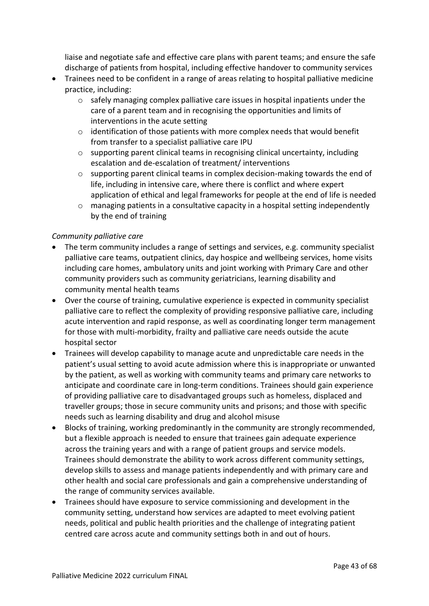liaise and negotiate safe and effective care plans with parent teams; and ensure the safe discharge of patients from hospital, including effective handover to community services

- Trainees need to be confident in a range of areas relating to hospital palliative medicine practice, including:
	- $\circ$  safely managing complex palliative care issues in hospital inpatients under the care of a parent team and in recognising the opportunities and limits of interventions in the acute setting
	- $\circ$  identification of those patients with more complex needs that would benefit from transfer to a specialist palliative care IPU
	- $\circ$  supporting parent clinical teams in recognising clinical uncertainty, including escalation and de-escalation of treatment/ interventions
	- $\circ$  supporting parent clinical teams in complex decision-making towards the end of life, including in intensive care, where there is conflict and where expert application of ethical and legal frameworks for people at the end of life is needed
	- $\circ$  managing patients in a consultative capacity in a hospital setting independently by the end of training

# *Community palliative care*

- The term community includes a range of settings and services, e.g. community specialist palliative care teams, outpatient clinics, day hospice and wellbeing services, home visits including care homes, ambulatory units and joint working with Primary Care and other community providers such as community geriatricians, learning disability and community mental health teams
- Over the course of training, cumulative experience is expected in community specialist palliative care to reflect the complexity of providing responsive palliative care, including acute intervention and rapid response, as well as coordinating longer term management for those with multi-morbidity, frailty and palliative care needs outside the acute hospital sector
- Trainees will develop capability to manage acute and unpredictable care needs in the patient's usual setting to avoid acute admission where this is inappropriate or unwanted by the patient, as well as working with community teams and primary care networks to anticipate and coordinate care in long-term conditions. Trainees should gain experience of providing palliative care to disadvantaged groups such as homeless, displaced and traveller groups; those in secure community units and prisons; and those with specific needs such as learning disability and drug and alcohol misuse
- Blocks of training, working predominantly in the community are strongly recommended, but a flexible approach is needed to ensure that trainees gain adequate experience across the training years and with a range of patient groups and service models. Trainees should demonstrate the ability to work across different community settings, develop skills to assess and manage patients independently and with primary care and other health and social care professionals and gain a comprehensive understanding of the range of community services available.
- Trainees should have exposure to service commissioning and development in the community setting, understand how services are adapted to meet evolving patient needs, political and public health priorities and the challenge of integrating patient centred care across acute and community settings both in and out of hours.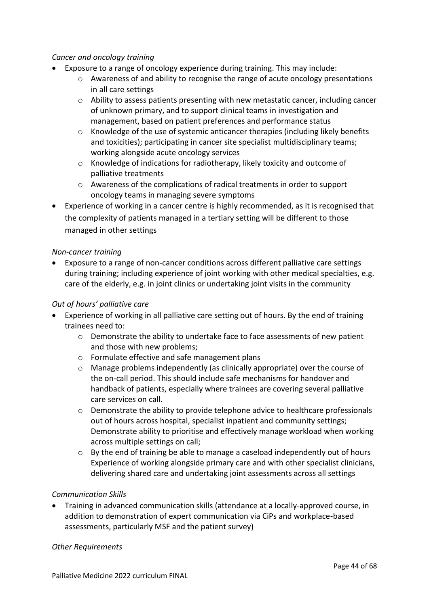## *Cancer and oncology training*

- Exposure to a range of oncology experience during training. This may include:
	- $\circ$  Awareness of and ability to recognise the range of acute oncology presentations in all care settings
	- $\circ$  Ability to assess patients presenting with new metastatic cancer, including cancer of unknown primary, and to support clinical teams in investigation and management, based on patient preferences and performance status
	- $\circ$  Knowledge of the use of systemic anticancer therapies (including likely benefits and toxicities); participating in cancer site specialist multidisciplinary teams; working alongside acute oncology services
	- $\circ$  Knowledge of indications for radiotherapy, likely toxicity and outcome of palliative treatments
	- o Awareness of the complications of radical treatments in order to support oncology teams in managing severe symptoms
- Experience of working in a cancer centre is highly recommended, as it is recognised that the complexity of patients managed in a tertiary setting will be different to those managed in other settings

## *Non-cancer training*

• Exposure to a range of non-cancer conditions across different palliative care settings during training; including experience of joint working with other medical specialties, e.g. care of the elderly, e.g. in joint clinics or undertaking joint visits in the community

## *Out of hours' palliative care*

- Experience of working in all palliative care setting out of hours. By the end of training trainees need to:
	- o Demonstrate the ability to undertake face to face assessments of new patient and those with new problems;
	- o Formulate effective and safe management plans
	- o Manage problems independently (as clinically appropriate) over the course of the on-call period. This should include safe mechanisms for handover and handback of patients, especially where trainees are covering several palliative care services on call.
	- $\circ$  Demonstrate the ability to provide telephone advice to healthcare professionals out of hours across hospital, specialist inpatient and community settings; Demonstrate ability to prioritise and effectively manage workload when working across multiple settings on call;
	- o By the end of training be able to manage a caseload independently out of hours Experience of working alongside primary care and with other specialist clinicians, delivering shared care and undertaking joint assessments across all settings

## *Communication Skills*

• Training in advanced communication skills (attendance at a locally-approved course, in addition to demonstration of expert communication via CiPs and workplace-based assessments, particularly MSF and the patient survey)

## *Other Requirements*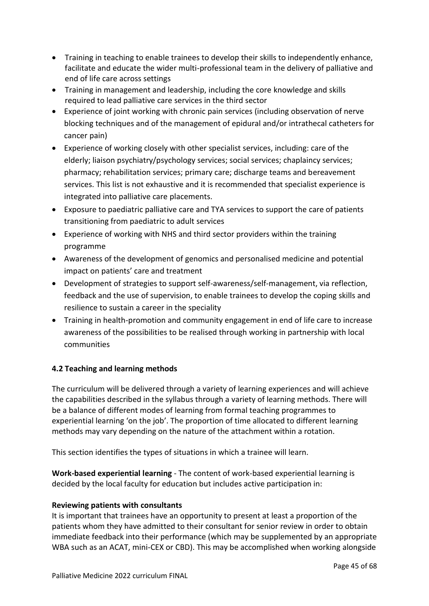- Training in teaching to enable trainees to develop their skills to independently enhance, facilitate and educate the wider multi-professional team in the delivery of palliative and end of life care across settings
- Training in management and leadership, including the core knowledge and skills required to lead palliative care services in the third sector
- Experience of joint working with chronic pain services (including observation of nerve blocking techniques and of the management of epidural and/or intrathecal catheters for cancer pain)
- Experience of working closely with other specialist services, including: care of the elderly; liaison psychiatry/psychology services; social services; chaplaincy services; pharmacy; rehabilitation services; primary care; discharge teams and bereavement services. This list is not exhaustive and it is recommended that specialist experience is integrated into palliative care placements.
- Exposure to paediatric palliative care and TYA services to support the care of patients transitioning from paediatric to adult services
- Experience of working with NHS and third sector providers within the training programme
- Awareness of the development of genomics and personalised medicine and potential impact on patients' care and treatment
- Development of strategies to support self-awareness/self-management, via reflection, feedback and the use of supervision, to enable trainees to develop the coping skills and resilience to sustain a career in the speciality
- Training in health-promotion and community engagement in end of life care to increase awareness of the possibilities to be realised through working in partnership with local communities

# <span id="page-44-0"></span>**4.2 Teaching and learning methods**

The curriculum will be delivered through a variety of learning experiences and will achieve the capabilities described in the syllabus through a variety of learning methods. There will be a balance of different modes of learning from formal teaching programmes to experiential learning 'on the job'. The proportion of time allocated to different learning methods may vary depending on the nature of the attachment within a rotation.

This section identifies the types of situations in which a trainee will learn.

**Work-based experiential learning** - The content of work-based experiential learning is decided by the local faculty for education but includes active participation in:

# **Reviewing patients with consultants**

It is important that trainees have an opportunity to present at least a proportion of the patients whom they have admitted to their consultant for senior review in order to obtain immediate feedback into their performance (which may be supplemented by an appropriate WBA such as an ACAT, mini-CEX or CBD). This may be accomplished when working alongside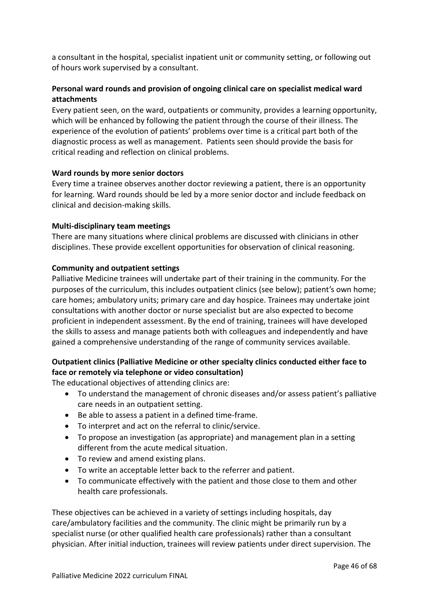a consultant in the hospital, specialist inpatient unit or community setting, or following out of hours work supervised by a consultant.

# **Personal ward rounds and provision of ongoing clinical care on specialist medical ward attachments**

Every patient seen, on the ward, outpatients or community, provides a learning opportunity, which will be enhanced by following the patient through the course of their illness. The experience of the evolution of patients' problems over time is a critical part both of the diagnostic process as well as management. Patients seen should provide the basis for critical reading and reflection on clinical problems.

# **Ward rounds by more senior doctors**

Every time a trainee observes another doctor reviewing a patient, there is an opportunity for learning. Ward rounds should be led by a more senior doctor and include feedback on clinical and decision-making skills.

## **Multi-disciplinary team meetings**

There are many situations where clinical problems are discussed with clinicians in other disciplines. These provide excellent opportunities for observation of clinical reasoning.

# **Community and outpatient settings**

Palliative Medicine trainees will undertake part of their training in the community. For the purposes of the curriculum, this includes outpatient clinics (see below); patient's own home; care homes; ambulatory units; primary care and day hospice. Trainees may undertake joint consultations with another doctor or nurse specialist but are also expected to become proficient in independent assessment. By the end of training, trainees will have developed the skills to assess and manage patients both with colleagues and independently and have gained a comprehensive understanding of the range of community services available.

# **Outpatient clinics (Palliative Medicine or other specialty clinics conducted either face to face or remotely via telephone or video consultation)**

The educational objectives of attending clinics are:

- To understand the management of chronic diseases and/or assess patient's palliative care needs in an outpatient setting.
- Be able to assess a patient in a defined time-frame.
- To interpret and act on the referral to clinic/service.
- To propose an investigation (as appropriate) and management plan in a setting different from the acute medical situation.
- To review and amend existing plans.
- To write an acceptable letter back to the referrer and patient.
- To communicate effectively with the patient and those close to them and other health care professionals.

These objectives can be achieved in a variety of settings including hospitals, day care/ambulatory facilities and the community. The clinic might be primarily run by a specialist nurse (or other qualified health care professionals) rather than a consultant physician. After initial induction, trainees will review patients under direct supervision. The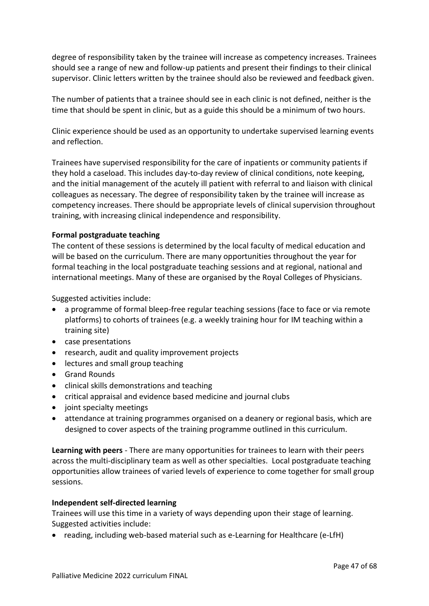degree of responsibility taken by the trainee will increase as competency increases. Trainees should see a range of new and follow-up patients and present their findings to their clinical supervisor. Clinic letters written by the trainee should also be reviewed and feedback given.

The number of patients that a trainee should see in each clinic is not defined, neither is the time that should be spent in clinic, but as a guide this should be a minimum of two hours.

Clinic experience should be used as an opportunity to undertake supervised learning events and reflection.

Trainees have supervised responsibility for the care of inpatients or community patients if they hold a caseload. This includes day-to-day review of clinical conditions, note keeping, and the initial management of the acutely ill patient with referral to and liaison with clinical colleagues as necessary. The degree of responsibility taken by the trainee will increase as competency increases. There should be appropriate levels of clinical supervision throughout training, with increasing clinical independence and responsibility.

## **Formal postgraduate teaching**

The content of these sessions is determined by the local faculty of medical education and will be based on the curriculum. There are many opportunities throughout the year for formal teaching in the local postgraduate teaching sessions and at regional, national and international meetings. Many of these are organised by the Royal Colleges of Physicians.

Suggested activities include:

- a programme of formal bleep-free regular teaching sessions (face to face or via remote platforms) to cohorts of trainees (e.g. a weekly training hour for IM teaching within a training site)
- case presentations
- research, audit and quality improvement projects
- lectures and small group teaching
- Grand Rounds
- clinical skills demonstrations and teaching
- critical appraisal and evidence based medicine and journal clubs
- joint specialty meetings
- attendance at training programmes organised on a deanery or regional basis, which are designed to cover aspects of the training programme outlined in this curriculum.

**Learning with peers** - There are many opportunities for trainees to learn with their peers across the multi-disciplinary team as well as other specialties. Local postgraduate teaching opportunities allow trainees of varied levels of experience to come together for small group sessions.

## **Independent self-directed learning**

Trainees will use this time in a variety of ways depending upon their stage of learning. Suggested activities include:

• reading, including web-based material such as e-Learning for Healthcare (e-LfH)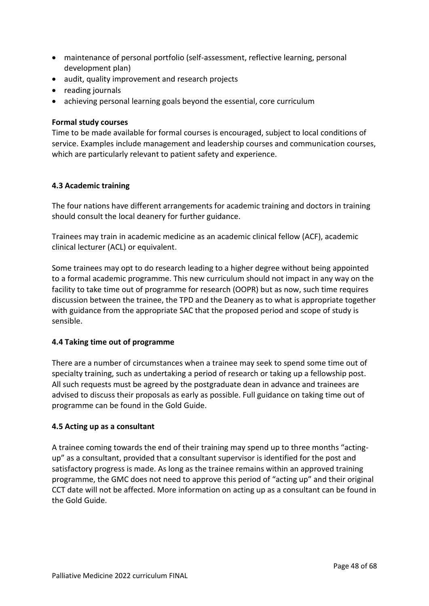- maintenance of personal portfolio (self-assessment, reflective learning, personal development plan)
- audit, quality improvement and research projects
- reading journals
- achieving personal learning goals beyond the essential, core curriculum

#### **Formal study courses**

Time to be made available for formal courses is encouraged, subject to local conditions of service. Examples include management and leadership courses and communication courses, which are particularly relevant to patient safety and experience.

#### <span id="page-47-0"></span>**4.3 Academic training**

The four nations have different arrangements for academic training and doctors in training should consult the local deanery for further guidance.

Trainees may train in academic medicine as an academic clinical fellow (ACF), academic clinical lecturer (ACL) or equivalent.

Some trainees may opt to do research leading to a higher degree without being appointed to a formal academic programme. This new curriculum should not impact in any way on the facility to take time out of programme for research (OOPR) but as now, such time requires discussion between the trainee, the TPD and the Deanery as to what is appropriate together with guidance from the appropriate SAC that the proposed period and scope of study is sensible.

## <span id="page-47-1"></span>**4.4 Taking time out of programme**

There are a number of circumstances when a trainee may seek to spend some time out of specialty training, such as undertaking a period of research or taking up a fellowship post. All such requests must be agreed by the postgraduate dean in advance and trainees are advised to discuss their proposals as early as possible. Full guidance on taking time out of programme can be found in the Gold Guide.

## <span id="page-47-2"></span>**4.5 Acting up as a consultant**

A trainee coming towards the end of their training may spend up to three months "actingup" as a consultant, provided that a consultant supervisor is identified for the post and satisfactory progress is made. As long as the trainee remains within an approved training programme, the GMC does not need to approve this period of "acting up" and their original CCT date will not be affected. More information on acting up as a consultant can be found in the Gold Guide.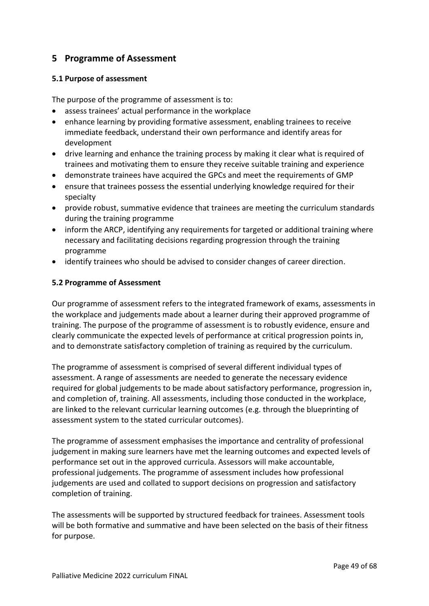# <span id="page-48-0"></span>**5 Programme of Assessment**

## <span id="page-48-1"></span>**5.1 Purpose of assessment**

The purpose of the programme of assessment is to:

- assess trainees' actual performance in the workplace
- enhance learning by providing formative assessment, enabling trainees to receive immediate feedback, understand their own performance and identify areas for development
- drive learning and enhance the training process by making it clear what is required of trainees and motivating them to ensure they receive suitable training and experience
- demonstrate trainees have acquired the GPCs and meet the requirements of GMP
- ensure that trainees possess the essential underlying knowledge required for their specialty
- provide robust, summative evidence that trainees are meeting the curriculum standards during the training programme
- inform the ARCP, identifying any requirements for targeted or additional training where necessary and facilitating decisions regarding progression through the training programme
- identify trainees who should be advised to consider changes of career direction.

# <span id="page-48-2"></span>**5.2 Programme of Assessment**

Our programme of assessment refers to the integrated framework of exams, assessments in the workplace and judgements made about a learner during their approved programme of training. The purpose of the programme of assessment is to robustly evidence, ensure and clearly communicate the expected levels of performance at critical progression points in, and to demonstrate satisfactory completion of training as required by the curriculum.

The programme of assessment is comprised of several different individual types of assessment. A range of assessments are needed to generate the necessary evidence required for global judgements to be made about satisfactory performance, progression in, and completion of, training. All assessments, including those conducted in the workplace, are linked to the relevant curricular learning outcomes (e.g. through the blueprinting of assessment system to the stated curricular outcomes).

The programme of assessment emphasises the importance and centrality of professional judgement in making sure learners have met the learning outcomes and expected levels of performance set out in the approved curricula. Assessors will make accountable, professional judgements. The programme of assessment includes how professional judgements are used and collated to support decisions on progression and satisfactory completion of training.

The assessments will be supported by structured feedback for trainees. Assessment tools will be both formative and summative and have been selected on the basis of their fitness for purpose.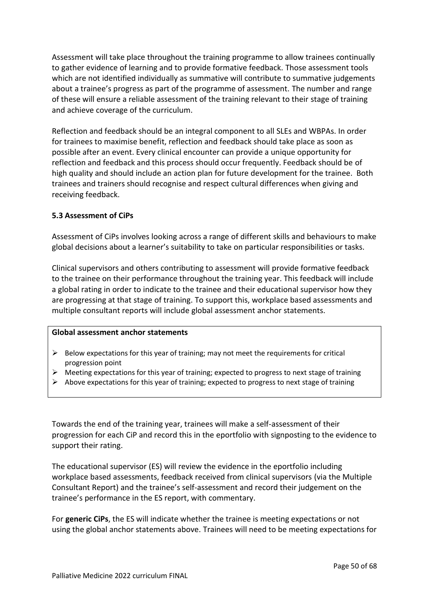Assessment will take place throughout the training programme to allow trainees continually to gather evidence of learning and to provide formative feedback. Those assessment tools which are not identified individually as summative will contribute to summative judgements about a trainee's progress as part of the programme of assessment. The number and range of these will ensure a reliable assessment of the training relevant to their stage of training and achieve coverage of the curriculum.

Reflection and feedback should be an integral component to all SLEs and WBPAs. In order for trainees to maximise benefit, reflection and feedback should take place as soon as possible after an event. Every clinical encounter can provide a unique opportunity for reflection and feedback and this process should occur frequently. Feedback should be of high quality and should include an action plan for future development for the trainee. Both trainees and trainers should recognise and respect cultural differences when giving and receiving feedback.

## <span id="page-49-0"></span>**5.3 Assessment of CiPs**

Assessment of CiPs involves looking across a range of different skills and behaviours to make global decisions about a learner's suitability to take on particular responsibilities or tasks.

Clinical supervisors and others contributing to assessment will provide formative feedback to the trainee on their performance throughout the training year. This feedback will include a global rating in order to indicate to the trainee and their educational supervisor how they are progressing at that stage of training. To support this, workplace based assessments and multiple consultant reports will include global assessment anchor statements.

#### **Global assessment anchor statements**

- $\triangleright$  Below expectations for this year of training; may not meet the requirements for critical progression point
- $\triangleright$  Meeting expectations for this year of training; expected to progress to next stage of training
- $\triangleright$  Above expectations for this year of training; expected to progress to next stage of training

Towards the end of the training year, trainees will make a self-assessment of their progression for each CiP and record this in the eportfolio with signposting to the evidence to support their rating.

The educational supervisor (ES) will review the evidence in the eportfolio including workplace based assessments, feedback received from clinical supervisors (via the Multiple Consultant Report) and the trainee's self-assessment and record their judgement on the trainee's performance in the ES report, with commentary.

For **generic CiPs**, the ES will indicate whether the trainee is meeting expectations or not using the global anchor statements above. Trainees will need to be meeting expectations for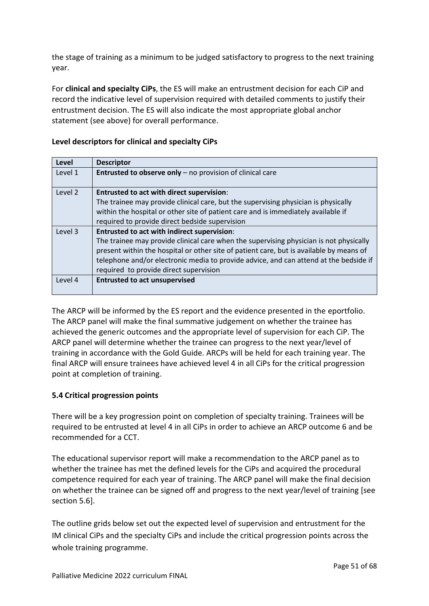the stage of training as a minimum to be judged satisfactory to progress to the next training year.

For **clinical and specialty CiPs**, the ES will make an entrustment decision for each CiP and record the indicative level of supervision required with detailed comments to justify their entrustment decision. The ES will also indicate the most appropriate global anchor statement (see above) for overall performance.

| Level   | <b>Descriptor</b>                                                                       |
|---------|-----------------------------------------------------------------------------------------|
| Level 1 | <b>Entrusted to observe only</b> – no provision of clinical care                        |
| Level 2 | <b>Entrusted to act with direct supervision:</b>                                        |
|         | The trainee may provide clinical care, but the supervising physician is physically      |
|         | within the hospital or other site of patient care and is immediately available if       |
|         | required to provide direct bedside supervision                                          |
| Level 3 | <b>Entrusted to act with indirect supervision:</b>                                      |
|         | The trainee may provide clinical care when the supervising physician is not physically  |
|         | present within the hospital or other site of patient care, but is available by means of |
|         | telephone and/or electronic media to provide advice, and can attend at the bedside if   |
|         | required to provide direct supervision                                                  |
| Level 4 | <b>Entrusted to act unsupervised</b>                                                    |
|         |                                                                                         |

# **Level descriptors for clinical and specialty CiPs**

The ARCP will be informed by the ES report and the evidence presented in the eportfolio. The ARCP panel will make the final summative judgement on whether the trainee has achieved the generic outcomes and the appropriate level of supervision for each CiP. The ARCP panel will determine whether the trainee can progress to the next year/level of training in accordance with the Gold Guide. ARCPs will be held for each training year. The final ARCP will ensure trainees have achieved level 4 in all CiPs for the critical progression point at completion of training.

# <span id="page-50-0"></span>**5.4 Critical progression points**

There will be a key progression point on completion of specialty training. Trainees will be required to be entrusted at level 4 in all CiPs in order to achieve an ARCP outcome 6 and be recommended for a CCT.

The educational supervisor report will make a recommendation to the ARCP panel as to whether the trainee has met the defined levels for the CiPs and acquired the procedural competence required for each year of training. The ARCP panel will make the final decision on whether the trainee can be signed off and progress to the next year/level of training [see section 5.6].

The outline grids below set out the expected level of supervision and entrustment for the IM clinical CiPs and the specialty CiPs and include the critical progression points across the whole training programme.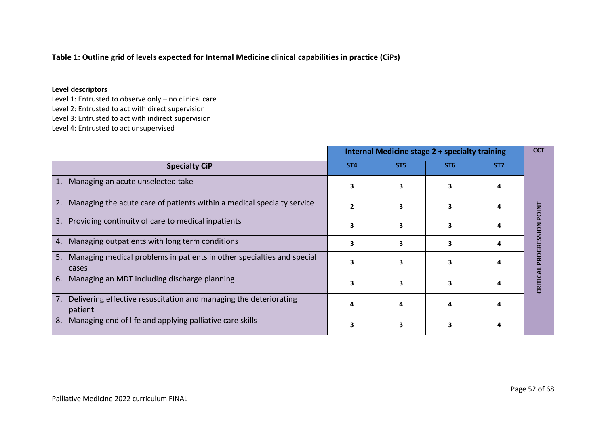#### **Table 1: Outline grid of levels expected for Internal Medicine clinical capabilities in practice (CiPs)**

#### **Level descriptors**

Level 1: Entrusted to observe only – no clinical care Level 2: Entrusted to act with direct supervision Level 3: Entrusted to act with indirect supervision Level 4: Entrusted to act unsupervised

**Internal Medicine stage 2 + specialty training**  $\begin{bmatrix} CCT \end{bmatrix}$ **Specialty CiP ST4 ST5 ST6 ST7** 1. Managing an acute unselected take **3 3 3 4** 2. Managing the acute care of patients within a medical specialty service  $\begin{array}{ccc} \n\end{array}$  **2**  $\begin{array}{ccc} \n\end{array}$  **3**  $\begin{array}{ccc} \n\end{array}$  **4** CRITICAL PROGRESSION POINT **CRITICAL PROGRESSION POINT** 3. Providing continuity of care to medical inpatients **<sup>3</sup> <sup>3</sup> <sup>3</sup> <sup>4</sup>** 4. Managing outpatients with long term conditions **<sup>3</sup> <sup>3</sup> <sup>3</sup> <sup>4</sup>** 5. Managing medical problems in patients in other specialties and special **3 3 3 4** cases 6. Managing an MDT including discharge planning  $\begin{array}{ccc} 3 & 3 & 3 \end{array}$  **4** 7. Delivering effective resuscitation and managing the deteriorating **4 4 4 4** patient 8. Managing end of life and applying palliative care skills **<sup>3</sup> <sup>3</sup> <sup>3</sup> <sup>4</sup>**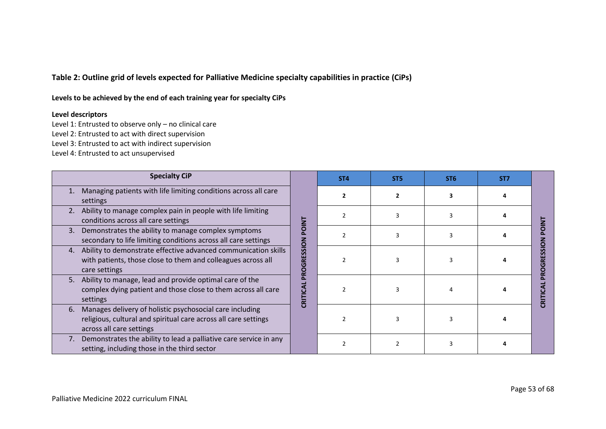**Table 2: Outline grid of levels expected for Palliative Medicine specialty capabilities in practice (CiPs)**

**Levels to be achieved by the end of each training year for specialty CiPs** 

#### **Level descriptors**

Level 1: Entrusted to observe only – no clinical care

Level 2: Entrusted to act with direct supervision

Level 3: Entrusted to act with indirect supervision

Level 4: Entrusted to act unsupervised

| <b>Specialty CiP</b>                                                                                                                                          |                      | ST <sub>4</sub> | ST <sub>5</sub> | ST <sub>6</sub> | ST <sub>7</sub> |  |
|---------------------------------------------------------------------------------------------------------------------------------------------------------------|----------------------|-----------------|-----------------|-----------------|-----------------|--|
| Managing patients with life limiting conditions across all care<br>settings                                                                                   |                      |                 |                 |                 |                 |  |
| Ability to manage complex pain in people with life limiting<br>2.<br>conditions across all care settings                                                      | <b>TAIO</b>          |                 |                 |                 |                 |  |
| Demonstrates the ability to manage complex symptoms<br>3.<br>secondary to life limiting conditions across all care settings                                   |                      |                 |                 |                 |                 |  |
| Ability to demonstrate effective advanced communication skills<br>4.<br>with patients, those close to them and colleagues across all<br>care settings         | SSION<br>ш<br>ច<br>Q |                 |                 |                 |                 |  |
| Ability to manage, lead and provide optimal care of the<br>5.<br>complex dying patient and those close to them across all care<br>settings                    | CRITICA              |                 |                 |                 |                 |  |
| Manages delivery of holistic psychosocial care including<br>6.<br>religious, cultural and spiritual care across all care settings<br>across all care settings |                      |                 |                 |                 |                 |  |
| Demonstrates the ability to lead a palliative care service in any<br>7.<br>setting, including those in the third sector                                       |                      |                 |                 |                 |                 |  |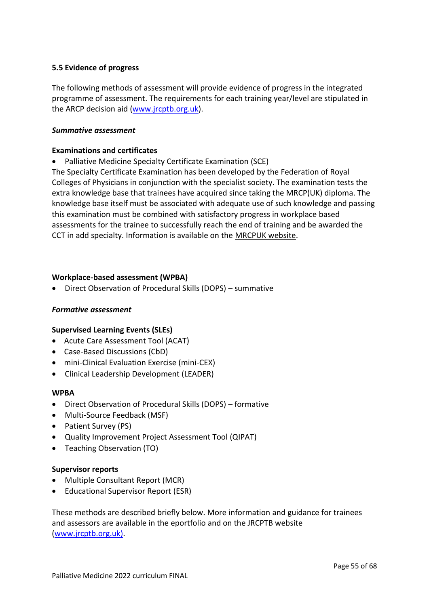## <span id="page-54-0"></span>**5.5 Evidence of progress**

The following methods of assessment will provide evidence of progress in the integrated programme of assessment. The requirements for each training year/level are stipulated in the ARCP decision aid [\(www.jrcptb.org.uk\)](http://www.jrcptb.org.uk/).

#### *Summative assessment*

#### **Examinations and certificates**

• Palliative Medicine Specialty Certificate Examination (SCE)

The Specialty Certificate Examination has been developed by the Federation of Royal Colleges of Physicians in conjunction with the specialist society. The examination tests the extra knowledge base that trainees have acquired since taking the MRCP(UK) diploma. The knowledge base itself must be associated with adequate use of such knowledge and passing this examination must be combined with satisfactory progress in workplace based assessments for the trainee to successfully reach the end of training and be awarded the CCT in add specialty. Information is available on the [MRCPUK website.](https://www.mrcpuk.org/mrcpuk-examinations/specialty-certificate-examinations/specialties/respiratory-medicine)

## **Workplace-based assessment (WPBA)**

• Direct Observation of Procedural Skills (DOPS) – summative

## *Formative assessment*

## **Supervised Learning Events (SLEs)**

- Acute Care Assessment Tool (ACAT)
- Case-Based Discussions (CbD)
- mini-Clinical Evaluation Exercise (mini-CEX)
- Clinical Leadership Development (LEADER)

## **WPBA**

- Direct Observation of Procedural Skills (DOPS) formative
- Multi-Source Feedback (MSF)
- Patient Survey (PS)
- Quality Improvement Project Assessment Tool (QIPAT)
- Teaching Observation (TO)

## **Supervisor reports**

- Multiple Consultant Report (MCR)
- Educational Supervisor Report (ESR)

These methods are described briefly below. More information and guidance for trainees and assessors are available in the eportfolio and on the JRCPTB website [\(www.jrcptb.org.uk\)](http://www.jrcptb.org.uk/).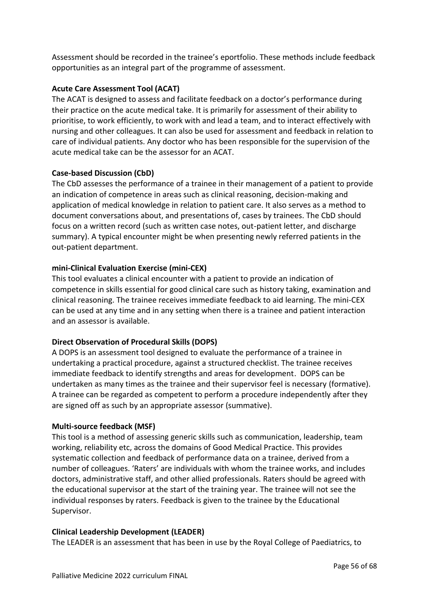Assessment should be recorded in the trainee's eportfolio. These methods include feedback opportunities as an integral part of the programme of assessment.

# **Acute Care Assessment Tool (ACAT)**

The ACAT is designed to assess and facilitate feedback on a doctor's performance during their practice on the acute medical take. It is primarily for assessment of their ability to prioritise, to work efficiently, to work with and lead a team, and to interact effectively with nursing and other colleagues. It can also be used for assessment and feedback in relation to care of individual patients. Any doctor who has been responsible for the supervision of the acute medical take can be the assessor for an ACAT.

# **Case-based Discussion (CbD)**

The CbD assesses the performance of a trainee in their management of a patient to provide an indication of competence in areas such as clinical reasoning, decision-making and application of medical knowledge in relation to patient care. It also serves as a method to document conversations about, and presentations of, cases by trainees. The CbD should focus on a written record (such as written case notes, out-patient letter, and discharge summary). A typical encounter might be when presenting newly referred patients in the out-patient department.

# **mini-Clinical Evaluation Exercise (mini-CEX)**

This tool evaluates a clinical encounter with a patient to provide an indication of competence in skills essential for good clinical care such as history taking, examination and clinical reasoning. The trainee receives immediate feedback to aid learning. The mini-CEX can be used at any time and in any setting when there is a trainee and patient interaction and an assessor is available.

# **Direct Observation of Procedural Skills (DOPS)**

A DOPS is an assessment tool designed to evaluate the performance of a trainee in undertaking a practical procedure, against a structured checklist. The trainee receives immediate feedback to identify strengths and areas for development. DOPS can be undertaken as many times as the trainee and their supervisor feel is necessary (formative). A trainee can be regarded as competent to perform a procedure independently after they are signed off as such by an appropriate assessor (summative).

## **Multi-source feedback (MSF)**

This tool is a method of assessing generic skills such as communication, leadership, team working, reliability etc, across the domains of Good Medical Practice. This provides systematic collection and feedback of performance data on a trainee, derived from a number of colleagues. 'Raters' are individuals with whom the trainee works, and includes doctors, administrative staff, and other allied professionals. Raters should be agreed with the educational supervisor at the start of the training year. The trainee will not see the individual responses by raters. Feedback is given to the trainee by the Educational Supervisor.

## **Clinical Leadership Development (LEADER)**

The LEADER is an assessment that has been in use by the Royal College of Paediatrics, to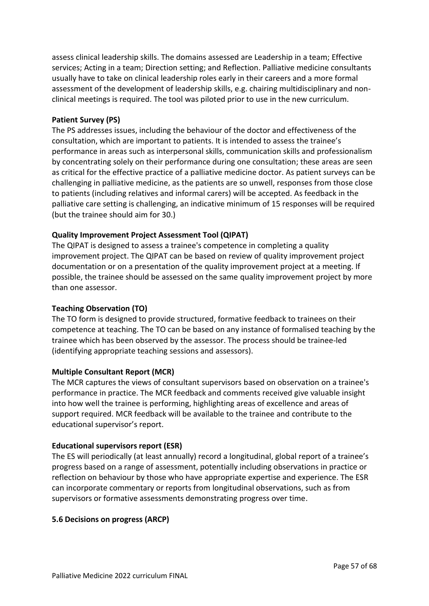assess clinical leadership skills. The domains assessed are Leadership in a team; Effective services; Acting in a team; Direction setting; and Reflection. Palliative medicine consultants usually have to take on clinical leadership roles early in their careers and a more formal assessment of the development of leadership skills, e.g. chairing multidisciplinary and nonclinical meetings is required. The tool was piloted prior to use in the new curriculum.

#### **Patient Survey (PS)**

The PS addresses issues, including the behaviour of the doctor and effectiveness of the consultation, which are important to patients. It is intended to assess the trainee's performance in areas such as interpersonal skills, communication skills and professionalism by concentrating solely on their performance during one consultation; these areas are seen as critical for the effective practice of a palliative medicine doctor. As patient surveys can be challenging in palliative medicine, as the patients are so unwell, responses from those close to patients (including relatives and informal carers) will be accepted. As feedback in the palliative care setting is challenging, an indicative minimum of 15 responses will be required (but the trainee should aim for 30.)

## **Quality Improvement Project Assessment Tool (QIPAT)**

The QIPAT is designed to assess a trainee's competence in completing a quality improvement project. The QIPAT can be based on review of quality improvement project documentation or on a presentation of the quality improvement project at a meeting. If possible, the trainee should be assessed on the same quality improvement project by more than one assessor.

## **Teaching Observation (TO)**

The TO form is designed to provide structured, formative feedback to trainees on their competence at teaching. The TO can be based on any instance of formalised teaching by the trainee which has been observed by the assessor. The process should be trainee-led (identifying appropriate teaching sessions and assessors).

## **Multiple Consultant Report (MCR)**

The MCR captures the views of consultant supervisors based on observation on a trainee's performance in practice. The MCR feedback and comments received give valuable insight into how well the trainee is performing, highlighting areas of excellence and areas of support required. MCR feedback will be available to the trainee and contribute to the educational supervisor's report.

## **Educational supervisors report (ESR)**

The ES will periodically (at least annually) record a longitudinal, global report of a trainee's progress based on a range of assessment, potentially including observations in practice or reflection on behaviour by those who have appropriate expertise and experience. The ESR can incorporate commentary or reports from longitudinal observations, such as from supervisors or formative assessments demonstrating progress over time.

## <span id="page-56-0"></span>**5.6 Decisions on progress (ARCP)**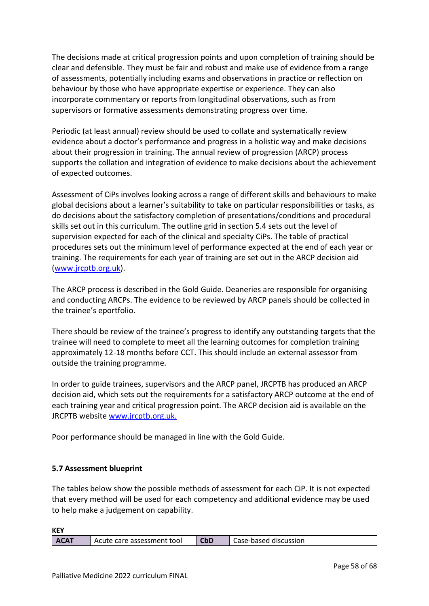The decisions made at critical progression points and upon completion of training should be clear and defensible. They must be fair and robust and make use of evidence from a range of assessments, potentially including exams and observations in practice or reflection on behaviour by those who have appropriate expertise or experience. They can also incorporate commentary or reports from longitudinal observations, such as from supervisors or formative assessments demonstrating progress over time.

Periodic (at least annual) review should be used to collate and systematically review evidence about a doctor's performance and progress in a holistic way and make decisions about their progression in training. The annual review of progression (ARCP) process supports the collation and integration of evidence to make decisions about the achievement of expected outcomes.

Assessment of CiPs involves looking across a range of different skills and behaviours to make global decisions about a learner's suitability to take on particular responsibilities or tasks, as do decisions about the satisfactory completion of presentations/conditions and procedural skills set out in this curriculum. The outline grid in section 5.4 sets out the level of supervision expected for each of the clinical and specialty CiPs. The table of practical procedures sets out the minimum level of performance expected at the end of each year or training. The requirements for each year of training are set out in the ARCP decision aid [\(www.jrcptb.org.uk\)](http://www.jrcptb.org.uk/).

The ARCP process is described in the Gold Guide. Deaneries are responsible for organising and conducting ARCPs. The evidence to be reviewed by ARCP panels should be collected in the trainee's eportfolio.

There should be review of the trainee's progress to identify any outstanding targets that the trainee will need to complete to meet all the learning outcomes for completion training approximately 12-18 months before CCT. This should include an external assessor from outside the training programme.

In order to guide trainees, supervisors and the ARCP panel, JRCPTB has produced an ARCP decision aid, which sets out the requirements for a satisfactory ARCP outcome at the end of each training year and critical progression point. The ARCP decision aid is available on the JRCPTB website [www.jrcptb.org.uk.](http://www.jrcptb.org.uk/)

Poor performance should be managed in line with the Gold Guide.

# <span id="page-57-0"></span>**5.7 Assessment blueprint**

The tables below show the possible methods of assessment for each CiP. It is not expected that every method will be used for each competency and additional evidence may be used to help make a judgement on capability.

**KEY**

| <b>CbD</b><br><b>ACAT</b><br>Case-based discussion<br>care assessment tool<br>Acute |
|-------------------------------------------------------------------------------------|
|-------------------------------------------------------------------------------------|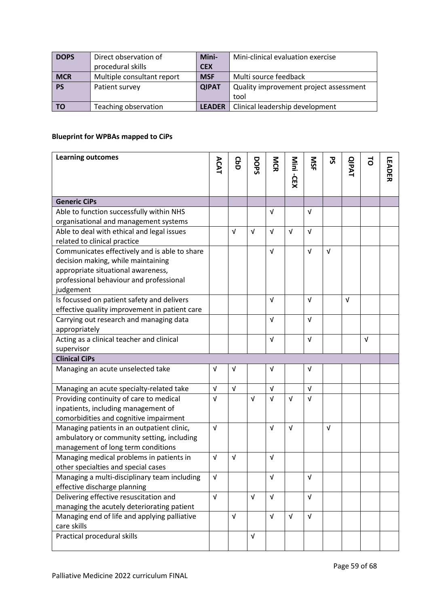| <b>DOPS</b> | Direct observation of      | Mini-         | Mini-clinical evaluation exercise      |
|-------------|----------------------------|---------------|----------------------------------------|
|             | procedural skills          | <b>CEX</b>    |                                        |
| <b>MCR</b>  | Multiple consultant report | <b>MSF</b>    | Multi source feedback                  |
| <b>PS</b>   | Patient survey             | <b>QIPAT</b>  | Quality improvement project assessment |
|             |                            |               | tool                                   |
| <b>TO</b>   | Teaching observation       | <b>LEADER</b> | Clinical leadership development        |

# **Blueprint for WPBAs mapped to CiPs**

| <b>Learning outcomes</b>                      | ACAT       | GaD        | DOPS       | <b>NCR</b> |            | SIN        | <b>S</b>   | <b>QIPAT</b> | $\vec{c}$  |               |
|-----------------------------------------------|------------|------------|------------|------------|------------|------------|------------|--------------|------------|---------------|
|                                               |            |            |            |            | Mini-CEX   |            |            |              |            | <b>LEADER</b> |
|                                               |            |            |            |            |            |            |            |              |            |               |
| <b>Generic CiPs</b>                           |            |            |            |            |            |            |            |              |            |               |
| Able to function successfully within NHS      |            |            |            | v          |            | $\sqrt{ }$ |            |              |            |               |
| organisational and management systems         |            |            |            |            |            |            |            |              |            |               |
| Able to deal with ethical and legal issues    |            | $\sqrt{ }$ | $\sqrt{ }$ | $\sqrt{ }$ | $\sqrt{ }$ | $\sqrt{ }$ |            |              |            |               |
| related to clinical practice                  |            |            |            |            |            |            |            |              |            |               |
| Communicates effectively and is able to share |            |            |            | $\sqrt{ }$ |            | $\sqrt{ }$ | $\sqrt{ }$ |              |            |               |
| decision making, while maintaining            |            |            |            |            |            |            |            |              |            |               |
| appropriate situational awareness,            |            |            |            |            |            |            |            |              |            |               |
| professional behaviour and professional       |            |            |            |            |            |            |            |              |            |               |
| judgement                                     |            |            |            |            |            |            |            |              |            |               |
| Is focussed on patient safety and delivers    |            |            |            | $\sqrt{ }$ |            | $\sqrt{ }$ |            | $\sqrt{ }$   |            |               |
| effective quality improvement in patient care |            |            |            |            |            |            |            |              |            |               |
| Carrying out research and managing data       |            |            |            | $\sqrt{ }$ |            | $\sqrt{ }$ |            |              |            |               |
| appropriately                                 |            |            |            |            |            |            |            |              |            |               |
| Acting as a clinical teacher and clinical     |            |            |            | $\sqrt{ }$ |            | $\sqrt{ }$ |            |              | $\sqrt{ }$ |               |
| supervisor                                    |            |            |            |            |            |            |            |              |            |               |
| <b>Clinical CiPs</b>                          |            |            |            |            |            |            |            |              |            |               |
| Managing an acute unselected take             | $\sqrt{ }$ | $\sqrt{ }$ |            | v          |            | $\sqrt{ }$ |            |              |            |               |
| Managing an acute specialty-related take      | $\sqrt{ }$ | $\sqrt{ }$ |            | $\sqrt{ }$ |            | $\sqrt{ }$ |            |              |            |               |
| Providing continuity of care to medical       | $\sqrt{ }$ |            | $\sqrt{ }$ | $\sqrt{ }$ | $\sqrt{ }$ | $\sqrt{ }$ |            |              |            |               |
| inpatients, including management of           |            |            |            |            |            |            |            |              |            |               |
| comorbidities and cognitive impairment        |            |            |            |            |            |            |            |              |            |               |
| Managing patients in an outpatient clinic,    | $\sqrt{ }$ |            |            | $\sqrt{ }$ | $\sqrt{ }$ |            | $\sqrt{ }$ |              |            |               |
| ambulatory or community setting, including    |            |            |            |            |            |            |            |              |            |               |
| management of long term conditions            |            |            |            |            |            |            |            |              |            |               |
| Managing medical problems in patients in      | $\sqrt{ }$ | $\sqrt{ }$ |            | $\sqrt{ }$ |            |            |            |              |            |               |
| other specialties and special cases           |            |            |            |            |            |            |            |              |            |               |
| Managing a multi-disciplinary team including  | V          |            |            | v          |            | V          |            |              |            |               |
| effective discharge planning                  |            |            |            |            |            |            |            |              |            |               |
| Delivering effective resuscitation and        | $\sqrt{ }$ |            | $\sqrt{ }$ | $\sqrt{ }$ |            | $\sqrt{ }$ |            |              |            |               |
| managing the acutely deteriorating patient    |            |            |            |            |            |            |            |              |            |               |
| Managing end of life and applying palliative  |            | $\sqrt{ }$ |            | $\sqrt{ }$ | $\sqrt{ }$ | $\sqrt{ }$ |            |              |            |               |
| care skills                                   |            |            |            |            |            |            |            |              |            |               |
| Practical procedural skills                   |            |            | $\sqrt{ }$ |            |            |            |            |              |            |               |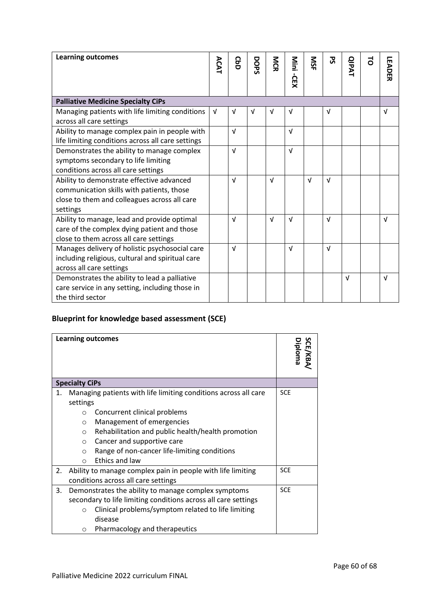| <b>Learning outcomes</b>                          | ACAT | <b>GbD</b> | DOPS | <b>NCR</b> | Nini<br>-GEX | <b>NSF</b> | უ<br>ა     | <b>QIPAT</b> | 5 | <b>LEADER</b> |
|---------------------------------------------------|------|------------|------|------------|--------------|------------|------------|--------------|---|---------------|
|                                                   |      |            |      |            |              |            |            |              |   |               |
| <b>Palliative Medicine Specialty CiPs</b>         |      |            |      |            |              |            |            |              |   |               |
| Managing patients with life limiting conditions   |      | V          | v    | v          | v            |            | V          |              |   | $\sqrt{ }$    |
| across all care settings                          |      |            |      |            |              |            |            |              |   |               |
| Ability to manage complex pain in people with     |      | $\sqrt{ }$ |      |            | $\sqrt{ }$   |            |            |              |   |               |
| life limiting conditions across all care settings |      |            |      |            |              |            |            |              |   |               |
| Demonstrates the ability to manage complex        |      | $\sqrt{ }$ |      |            | $\sqrt{ }$   |            |            |              |   |               |
| symptoms secondary to life limiting               |      |            |      |            |              |            |            |              |   |               |
| conditions across all care settings               |      |            |      |            |              |            |            |              |   |               |
| Ability to demonstrate effective advanced         |      | $\sqrt{ }$ |      | $\sqrt{ }$ |              | $\sqrt{ }$ | $\sqrt{ }$ |              |   |               |
| communication skills with patients, those         |      |            |      |            |              |            |            |              |   |               |
| close to them and colleagues across all care      |      |            |      |            |              |            |            |              |   |               |
| settings                                          |      |            |      |            |              |            |            |              |   |               |
| Ability to manage, lead and provide optimal       |      | $\sqrt{ }$ |      | $\sqrt{ }$ | $\sqrt{ }$   |            | $\sqrt{ }$ |              |   | $\sqrt{ }$    |
| care of the complex dying patient and those       |      |            |      |            |              |            |            |              |   |               |
| close to them across all care settings            |      |            |      |            |              |            |            |              |   |               |
| Manages delivery of holistic psychosocial care    |      | $\sqrt{ }$ |      |            | $\sqrt{ }$   |            | $\sqrt{ }$ |              |   |               |
| including religious, cultural and spiritual care  |      |            |      |            |              |            |            |              |   |               |
| across all care settings                          |      |            |      |            |              |            |            |              |   |               |
| Demonstrates the ability to lead a palliative     |      |            |      |            |              |            |            | $\sqrt{ }$   |   | $\sqrt{ }$    |
| care service in any setting, including those in   |      |            |      |            |              |            |            |              |   |               |
| the third sector                                  |      |            |      |            |              |            |            |              |   |               |

# **Blueprint for knowledge based assessment (SCE)**

|                       |          | <b>Learning outcomes</b>                                        |            | SCE/KBA/<br>Diploma |
|-----------------------|----------|-----------------------------------------------------------------|------------|---------------------|
| <b>Specialty CiPs</b> |          |                                                                 |            |                     |
| 1.                    |          | Managing patients with life limiting conditions across all care | <b>SCE</b> |                     |
|                       | settings |                                                                 |            |                     |
|                       | $\Omega$ | Concurrent clinical problems                                    |            |                     |
|                       | $\Omega$ | Management of emergencies                                       |            |                     |
|                       | $\Omega$ | Rehabilitation and public health/health promotion               |            |                     |
|                       | $\circ$  | Cancer and supportive care                                      |            |                     |
|                       | $\Omega$ | Range of non-cancer life-limiting conditions                    |            |                     |
|                       | ◯        | Ethics and law                                                  |            |                     |
| 2.                    |          | Ability to manage complex pain in people with life limiting     | <b>SCE</b> |                     |
|                       |          | conditions across all care settings                             |            |                     |
| 3.                    |          | Demonstrates the ability to manage complex symptoms             | <b>SCE</b> |                     |
|                       |          |                                                                 |            |                     |
|                       | $\Omega$ | Clinical problems/symptom related to life limiting              |            |                     |
|                       |          | disease                                                         |            |                     |
|                       | O        | Pharmacology and therapeutics                                   |            |                     |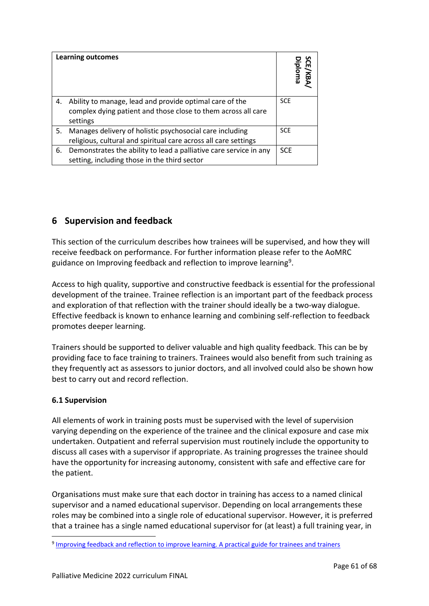|    | <b>Learning outcomes</b>                                                                                                             | n<br><b>CE/KBA</b><br>Diploma |
|----|--------------------------------------------------------------------------------------------------------------------------------------|-------------------------------|
| 4. | Ability to manage, lead and provide optimal care of the<br>complex dying patient and those close to them across all care<br>settings | <b>SCE</b>                    |
| 5. | Manages delivery of holistic psychosocial care including<br>religious, cultural and spiritual care across all care settings          | <b>SCE</b>                    |
| 6. | Demonstrates the ability to lead a palliative care service in any<br>setting, including those in the third sector                    | <b>SCE</b>                    |

# <span id="page-60-0"></span>**6 Supervision and feedback**

This section of the curriculum describes how trainees will be supervised, and how they will receive feedback on performance. For further information please refer to the AoMRC guidance on Improving feedback and reflection to improve learning<sup>9</sup>.

Access to high quality, supportive and constructive feedback is essential for the professional development of the trainee. Trainee reflection is an important part of the feedback process and exploration of that reflection with the trainer should ideally be a two-way dialogue. Effective feedback is known to enhance learning and combining self-reflection to feedback promotes deeper learning.

Trainers should be supported to deliver valuable and high quality feedback. This can be by providing face to face training to trainers. Trainees would also benefit from such training as they frequently act as assessors to junior doctors, and all involved could also be shown how best to carry out and record reflection.

# <span id="page-60-1"></span>**6.1 Supervision**

All elements of work in training posts must be supervised with the level of supervision varying depending on the experience of the trainee and the clinical exposure and case mix undertaken. Outpatient and referral supervision must routinely include the opportunity to discuss all cases with a supervisor if appropriate. As training progresses the trainee should have the opportunity for increasing autonomy, consistent with safe and effective care for the patient.

Organisations must make sure that each doctor in training has access to a named clinical supervisor and a named educational supervisor. Depending on local arrangements these roles may be combined into a single role of educational supervisor. However, it is preferred that a trainee has a single named educational supervisor for (at least) a full training year, in

<sup>&</sup>lt;sup>9</sup> [Improving feedback and reflection to improve learning. A practical guide for trainees and trainers](http://www.aomrc.org.uk/publications/reports-guidance/improving-feedback-reflection-improve-learning-practical-guide-trainees-trainers/)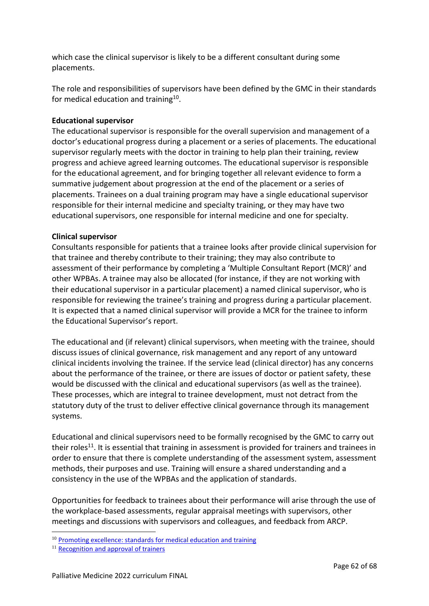which case the clinical supervisor is likely to be a different consultant during some placements.

The role and responsibilities of supervisors have been defined by the GMC in their standards for medical education and training $^{10}$ .

# **Educational supervisor**

The educational supervisor is responsible for the overall supervision and management of a doctor's educational progress during a placement or a series of placements. The educational supervisor regularly meets with the doctor in training to help plan their training, review progress and achieve agreed learning outcomes. The educational supervisor is responsible for the educational agreement, and for bringing together all relevant evidence to form a summative judgement about progression at the end of the placement or a series of placements. Trainees on a dual training program may have a single educational supervisor responsible for their internal medicine and specialty training, or they may have two educational supervisors, one responsible for internal medicine and one for specialty.

## **Clinical supervisor**

Consultants responsible for patients that a trainee looks after provide clinical supervision for that trainee and thereby contribute to their training; they may also contribute to assessment of their performance by completing a 'Multiple Consultant Report (MCR)' and other WPBAs. A trainee may also be allocated (for instance, if they are not working with their educational supervisor in a particular placement) a named clinical supervisor, who is responsible for reviewing the trainee's training and progress during a particular placement. It is expected that a named clinical supervisor will provide a MCR for the trainee to inform the Educational Supervisor's report.

The educational and (if relevant) clinical supervisors, when meeting with the trainee, should discuss issues of clinical governance, risk management and any report of any untoward clinical incidents involving the trainee. If the service lead (clinical director) has any concerns about the performance of the trainee, or there are issues of doctor or patient safety, these would be discussed with the clinical and educational supervisors (as well as the trainee). These processes, which are integral to trainee development, must not detract from the statutory duty of the trust to deliver effective clinical governance through its management systems.

Educational and clinical supervisors need to be formally recognised by the GMC to carry out their roles<sup>11</sup>. It is essential that training in assessment is provided for trainers and trainees in order to ensure that there is complete understanding of the assessment system, assessment methods, their purposes and use. Training will ensure a shared understanding and a consistency in the use of the WPBAs and the application of standards.

Opportunities for feedback to trainees about their performance will arise through the use of the workplace-based assessments, regular appraisal meetings with supervisors, other meetings and discussions with supervisors and colleagues, and feedback from ARCP.

 $10$  [Promoting excellence: standards for medical education and training](http://www.gmc-uk.org/education/standards.asp)

<sup>&</sup>lt;sup>11</sup> [Recognition and approval of trainers](http://www.gmc-uk.org/education/10264.asp)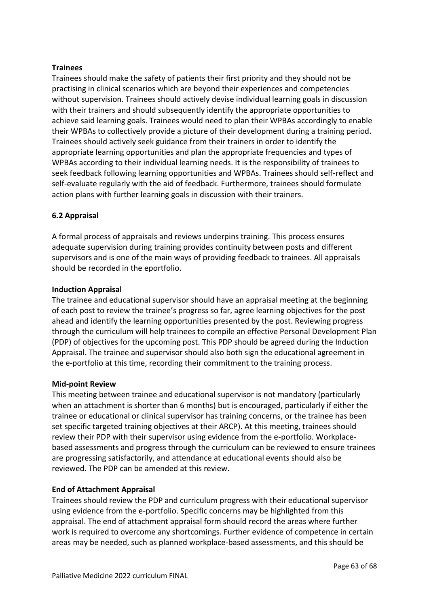## **Trainees**

Trainees should make the safety of patients their first priority and they should not be practising in clinical scenarios which are beyond their experiences and competencies without supervision. Trainees should actively devise individual learning goals in discussion with their trainers and should subsequently identify the appropriate opportunities to achieve said learning goals. Trainees would need to plan their WPBAs accordingly to enable their WPBAs to collectively provide a picture of their development during a training period. Trainees should actively seek guidance from their trainers in order to identify the appropriate learning opportunities and plan the appropriate frequencies and types of WPBAs according to their individual learning needs. It is the responsibility of trainees to seek feedback following learning opportunities and WPBAs. Trainees should self-reflect and self-evaluate regularly with the aid of feedback. Furthermore, trainees should formulate action plans with further learning goals in discussion with their trainers.

# <span id="page-62-0"></span>**6.2 Appraisal**

A formal process of appraisals and reviews underpins training. This process ensures adequate supervision during training provides continuity between posts and different supervisors and is one of the main ways of providing feedback to trainees. All appraisals should be recorded in the eportfolio.

## **Induction Appraisal**

The trainee and educational supervisor should have an appraisal meeting at the beginning of each post to review the trainee's progress so far, agree learning objectives for the post ahead and identify the learning opportunities presented by the post. Reviewing progress through the curriculum will help trainees to compile an effective Personal Development Plan (PDP) of objectives for the upcoming post. This PDP should be agreed during the Induction Appraisal. The trainee and supervisor should also both sign the educational agreement in the e-portfolio at this time, recording their commitment to the training process.

## **Mid-point Review**

This meeting between trainee and educational supervisor is not mandatory (particularly when an attachment is shorter than 6 months) but is encouraged, particularly if either the trainee or educational or clinical supervisor has training concerns, or the trainee has been set specific targeted training objectives at their ARCP). At this meeting, trainees should review their PDP with their supervisor using evidence from the e-portfolio. Workplacebased assessments and progress through the curriculum can be reviewed to ensure trainees are progressing satisfactorily, and attendance at educational events should also be reviewed. The PDP can be amended at this review.

## **End of Attachment Appraisal**

Trainees should review the PDP and curriculum progress with their educational supervisor using evidence from the e-portfolio. Specific concerns may be highlighted from this appraisal. The end of attachment appraisal form should record the areas where further work is required to overcome any shortcomings. Further evidence of competence in certain areas may be needed, such as planned workplace-based assessments, and this should be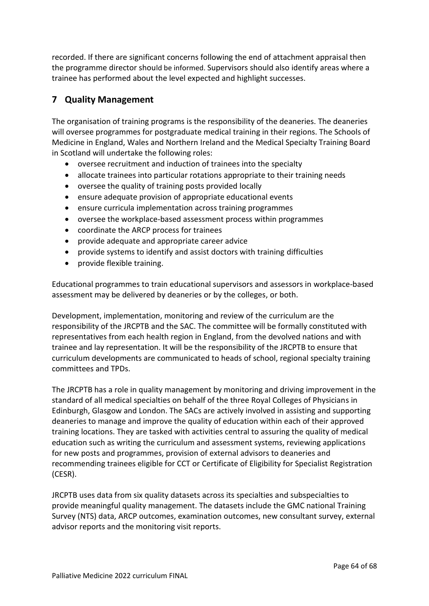recorded. If there are significant concerns following the end of attachment appraisal then the programme director should be informed. Supervisors should also identify areas where a trainee has performed about the level expected and highlight successes.

# <span id="page-63-0"></span>**7 Quality Management**

The organisation of training programs is the responsibility of the deaneries. The deaneries will oversee programmes for postgraduate medical training in their regions. The Schools of Medicine in England, Wales and Northern Ireland and the Medical Specialty Training Board in Scotland will undertake the following roles:

- oversee recruitment and induction of trainees into the specialty
- allocate trainees into particular rotations appropriate to their training needs
- oversee the quality of training posts provided locally
- ensure adequate provision of appropriate educational events
- ensure curricula implementation across training programmes
- oversee the workplace-based assessment process within programmes
- coordinate the ARCP process for trainees
- provide adequate and appropriate career advice
- provide systems to identify and assist doctors with training difficulties
- provide flexible training.

Educational programmes to train educational supervisors and assessors in workplace-based assessment may be delivered by deaneries or by the colleges, or both.

Development, implementation, monitoring and review of the curriculum are the responsibility of the JRCPTB and the SAC. The committee will be formally constituted with representatives from each health region in England, from the devolved nations and with trainee and lay representation. It will be the responsibility of the JRCPTB to ensure that curriculum developments are communicated to heads of school, regional specialty training committees and TPDs.

The JRCPTB has a role in quality management by monitoring and driving improvement in the standard of all medical specialties on behalf of the three Royal Colleges of Physicians in Edinburgh, Glasgow and London. The SACs are actively involved in assisting and supporting deaneries to manage and improve the quality of education within each of their approved training locations. They are tasked with activities central to assuring the quality of medical education such as writing the curriculum and assessment systems, reviewing applications for new posts and programmes, provision of external advisors to deaneries and recommending trainees eligible for CCT or Certificate of Eligibility for Specialist Registration (CESR).

JRCPTB uses data from six quality datasets across its specialties and subspecialties to provide meaningful quality management. The datasets include the GMC national Training Survey (NTS) data, ARCP outcomes, examination outcomes, new consultant survey, external advisor reports and the monitoring visit reports.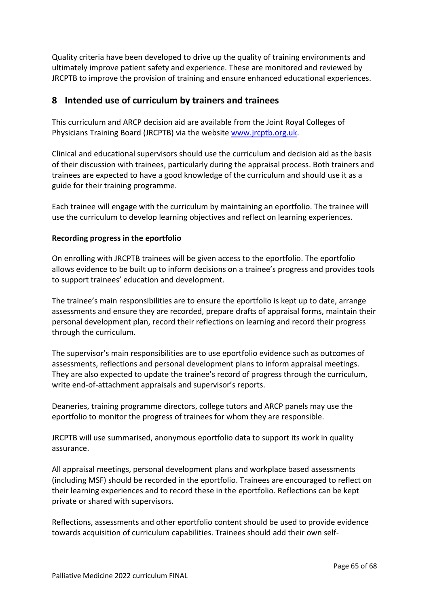Quality criteria have been developed to drive up the quality of training environments and ultimately improve patient safety and experience. These are monitored and reviewed by JRCPTB to improve the provision of training and ensure enhanced educational experiences.

# <span id="page-64-0"></span>**8 Intended use of curriculum by trainers and trainees**

This curriculum and ARCP decision aid are available from the Joint Royal Colleges of Physicians Training Board (JRCPTB) via the websit[e www.jrcptb.org.uk.](http://www.jrcptb.org.uk/)

Clinical and educational supervisors should use the curriculum and decision aid as the basis of their discussion with trainees, particularly during the appraisal process. Both trainers and trainees are expected to have a good knowledge of the curriculum and should use it as a guide for their training programme.

Each trainee will engage with the curriculum by maintaining an eportfolio. The trainee will use the curriculum to develop learning objectives and reflect on learning experiences.

## **Recording progress in the eportfolio**

On enrolling with JRCPTB trainees will be given access to the eportfolio. The eportfolio allows evidence to be built up to inform decisions on a trainee's progress and provides tools to support trainees' education and development.

The trainee's main responsibilities are to ensure the eportfolio is kept up to date, arrange assessments and ensure they are recorded, prepare drafts of appraisal forms, maintain their personal development plan, record their reflections on learning and record their progress through the curriculum.

The supervisor's main responsibilities are to use eportfolio evidence such as outcomes of assessments, reflections and personal development plans to inform appraisal meetings. They are also expected to update the trainee's record of progress through the curriculum, write end-of-attachment appraisals and supervisor's reports.

Deaneries, training programme directors, college tutors and ARCP panels may use the eportfolio to monitor the progress of trainees for whom they are responsible.

JRCPTB will use summarised, anonymous eportfolio data to support its work in quality assurance.

All appraisal meetings, personal development plans and workplace based assessments (including MSF) should be recorded in the eportfolio. Trainees are encouraged to reflect on their learning experiences and to record these in the eportfolio. Reflections can be kept private or shared with supervisors.

Reflections, assessments and other eportfolio content should be used to provide evidence towards acquisition of curriculum capabilities. Trainees should add their own self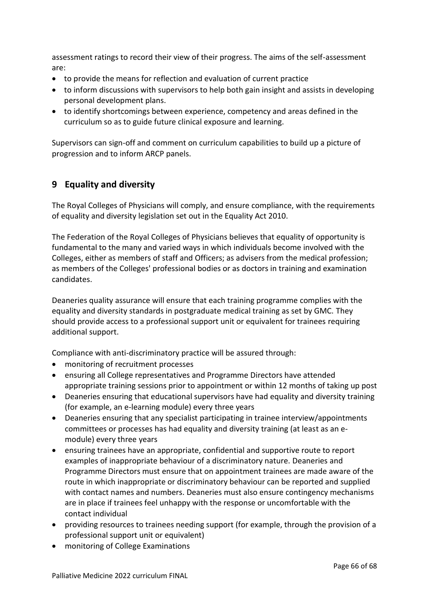assessment ratings to record their view of their progress. The aims of the self-assessment are:

- to provide the means for reflection and evaluation of current practice
- to inform discussions with supervisors to help both gain insight and assists in developing personal development plans.
- to identify shortcomings between experience, competency and areas defined in the curriculum so as to guide future clinical exposure and learning.

Supervisors can sign-off and comment on curriculum capabilities to build up a picture of progression and to inform ARCP panels.

# <span id="page-65-0"></span>**9 Equality and diversity**

The Royal Colleges of Physicians will comply, and ensure compliance, with the requirements of equality and diversity legislation set out in the Equality Act 2010.

The Federation of the Royal Colleges of Physicians believes that equality of opportunity is fundamental to the many and varied ways in which individuals become involved with the Colleges, either as members of staff and Officers; as advisers from the medical profession; as members of the Colleges' professional bodies or as doctors in training and examination candidates.

Deaneries quality assurance will ensure that each training programme complies with the equality and diversity standards in postgraduate medical training as set by GMC. They should provide access to a professional support unit or equivalent for trainees requiring additional support.

Compliance with anti-discriminatory practice will be assured through:

- monitoring of recruitment processes
- ensuring all College representatives and Programme Directors have attended appropriate training sessions prior to appointment or within 12 months of taking up post
- Deaneries ensuring that educational supervisors have had equality and diversity training (for example, an e-learning module) every three years
- Deaneries ensuring that any specialist participating in trainee interview/appointments committees or processes has had equality and diversity training (at least as an emodule) every three years
- ensuring trainees have an appropriate, confidential and supportive route to report examples of inappropriate behaviour of a discriminatory nature. Deaneries and Programme Directors must ensure that on appointment trainees are made aware of the route in which inappropriate or discriminatory behaviour can be reported and supplied with contact names and numbers. Deaneries must also ensure contingency mechanisms are in place if trainees feel unhappy with the response or uncomfortable with the contact individual
- providing resources to trainees needing support (for example, through the provision of a professional support unit or equivalent)
- monitoring of College Examinations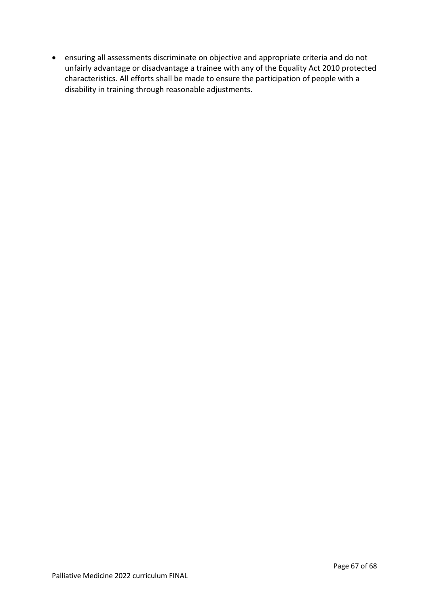• ensuring all assessments discriminate on objective and appropriate criteria and do not unfairly advantage or disadvantage a trainee with any of the Equality Act 2010 protected characteristics. All efforts shall be made to ensure the participation of people with a disability in training through reasonable adjustments.